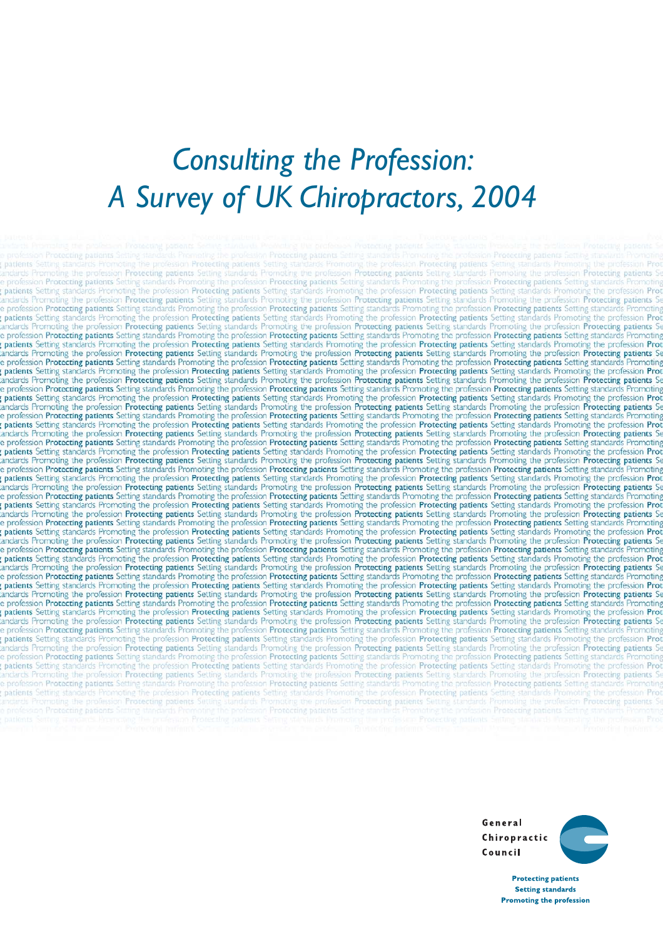# *Consulting the Profession: A Survey of UK Chiropractors, 2004*

the profession Protecting patients the ricolession Protecting patients Protecting patients Setting standards Protecting patients Setting standards **Protecting patients Setting standards Promoting** n Protecting patients Setting standards Promoting t Promoting the profession Protecting patients Setting standards Promoting the profession Protecting patients Setting standards omoting the profession Protecting patients Setting standards Promoting the profession Protecting patients Setting standards Promoting the n Protecting patients Setting standards Promoting the profession Protecting patients Setting standards Promoting the profession Protecting patients Setting standard etting standards Promoting the profession Protecting patients Setting standards Promoting the profession Protecting patients Setting standards Promotin patients Setting standards Promoting the profession Protecting patients Setting standards Promoting the profession Protecting patients Setting standards Promoting the profession Protecting patients Setting standards Promot patients ! andards Promoting the profession Protecting patients Setting standards Promoting the profession Protecting patients Setting standards Promoting the profession Protecting patients Setting residence profession Protecting patients. Setting standards Promoting the profession Protecting patients Setting standards Promoting the profession Protecting patients. Setting standards Promoting the profession Protecting andards Promoting the profession Protecting patients Setting standards Promoting the profession Protecting patients Setting standards Promoting the profession Protecting patients S profession Protecting patients Setting standards Promoting the profession Protecting patients Setting standards Promoting the profession Protecting patients Setting standard patients Setting standards Promoting the profession Protecting patients Setting standards Promoting the profession Protecting patients Setting standards Promoting particle in the profession. Protecting patients Setting standards Promoting the profession. Protecting patients Setting standards Promoting the profession. Protecting patients Setting standards Promoting the profession. Pr representing transmission and profession Protecting patients Setting standards Promoting the profession Protecting patients Setting standards Promoting the profession Protecting patients Setting standards Promoting the pro profession Protecting patients Setting standards Promoting the profession Protecting patients Setting standards Promoting the profession Protecting patients Setting standards Promoting patients Setting standards Promoting the profession Protecting patients Setting standards Promoting the profession Protecting patients Setting standards Promoting the profession Protecting iandards Promoting the profession Protecting patients Setting standards Promoting the profession Protecting patients Setting standards Promoting the profession Protecting patients Setting standards Promoting the profession andards Promoting the profession Protecting patients Setting standards Promoting the profession Protecting patients Setting standards Promoting the profession Protecting patients Setting standards Promoting the profession patients Setting standards Promoting the profession Protecting patients Setting standards Promoting the profession Protecting patients Setting standards Promoting the profession Protecting indards Promoting the profession Protecting patients Setting standards Promoting the profession Protecting patients Setting standards Promoting the profession Protecting patients Se profession Protecting patients Setting standards Promoting the profession Protecting patients Setting standards Promoting the profession Protecting patients Setting standards e protession Protecting patients Setting standards Promoting the protession Protecting patients Setting standards patients Setting standards Promoting the profession Protecting patients Setting standards Promoting the prof andards Promoting the profession Protecting patients Setting standards Promoting the profession Protecting patients Setting standards Promoting the profession Protecting patients Setting omoting e profession Protecting patients Setting standards Promoting the profession Protecting patients Setting standards Promoting the profession Protecting patients Setting standar patients Setting standards Promoting the profession Protecting patients Setting standards and and section Protecting patients Setting standards Promoting the profession Protecting patients Setting standards Promoting the p romoting the profession Protecting patients Setting standards Promoting the profession Protecting patients Setting standards Promoting the profe andards I on Protecting patients Setting standards Promoting the profession Protecting patients Setting standards Promoting the profession<br>Setting standards Promoting the profession Protecting patients Setting standards Promoting th Protecting patients Setting standards Setting standards Promoting the profession Protecting patients g the profession Pro Setting standards Promotin dards Promoting the profession Protecting patients Setting standards Promoting the profession Protecting patients Setting standards Promoting the profession Protecting patients on Protecting patients Setting standards Promoting the profession Protecting patients Setting standards Promoting the profession Protecting patients Setting standards Promoting the profession Protecting patients Setting st Protecting patients Setting Protecting patients



**Protecting patients Setting standards Promoting the profession**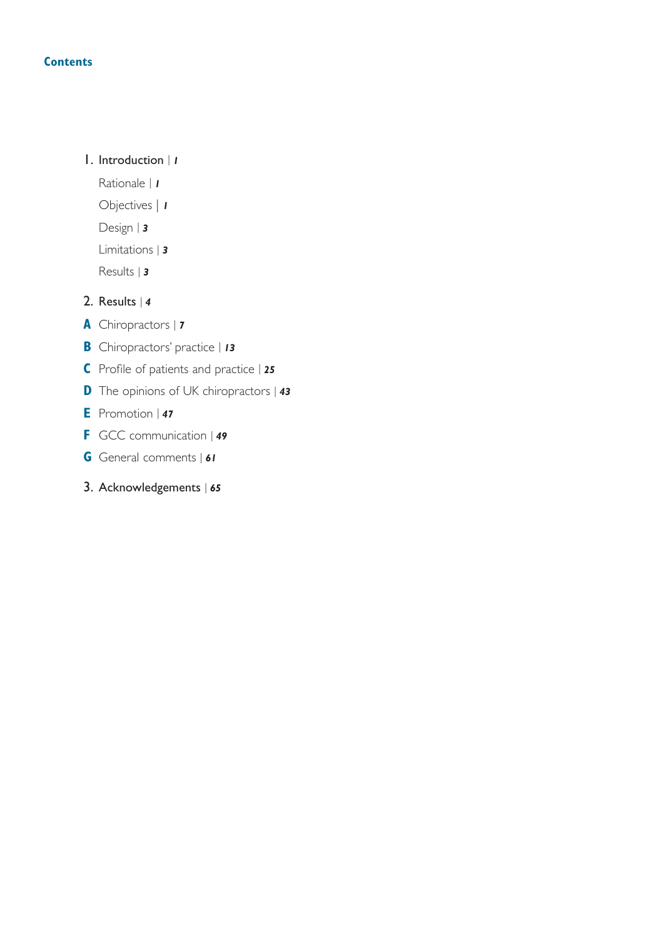#### **Contents**

- 1. Introduction | *1*
	- Rationale | *1*
	- Objectives | *1*
	- Design | *3*
	- Limitations | *3*
	- Results | *3*
- 2. Results | *4*
- **A** Chiropractors | *7*
- **B** Chiropractors' practice | *13*
- **C** Profile of patients and practice | *25*
- **D** The opinions of UK chiropractors | *43*
- **E** Promotion | *47*
- **F** GCC communication | *49*
- **G** General comments | *61*
- 3. Acknowledgements | *65*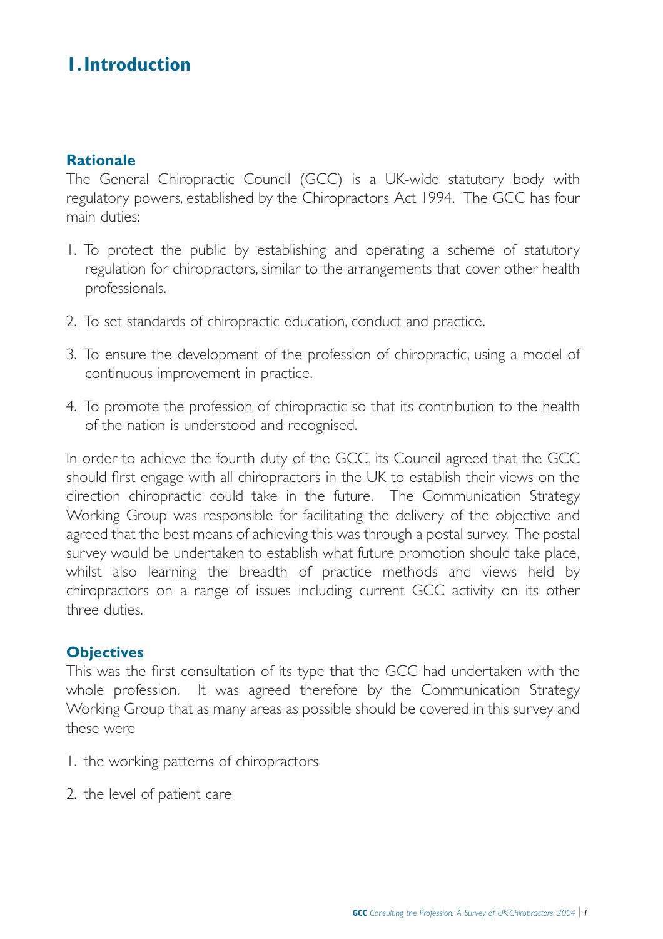# **1.Introduction**

# **Rationale**

The General Chiropractic Council (GCC) is a UK-wide statutory body with regulatory powers, established by the Chiropractors Act 1994. The GCC has four main duties:

- 1. To protect the public by establishing and operating a scheme of statutory regulation for chiropractors, similar to the arrangements that cover other health professionals.
- 2. To set standards of chiropractic education, conduct and practice.
- 3. To ensure the development of the profession of chiropractic, using a model of continuous improvement in practice.
- 4. To promote the profession of chiropractic so that its contribution to the health of the nation is understood and recognised.

In order to achieve the fourth duty of the GCC, its Council agreed that the GCC should first engage with all chiropractors in the UK to establish their views on the direction chiropractic could take in the future. The Communication Strategy Working Group was responsible for facilitating the delivery of the objective and agreed that the best means of achieving this was through a postal survey. The postal survey would be undertaken to establish what future promotion should take place, whilst also learning the breadth of practice methods and views held by chiropractors on a range of issues including current GCC activity on its other three duties.

# **Objectives**

This was the first consultation of its type that the GCC had undertaken with the whole profession. It was agreed therefore by the Communication Strategy Working Group that as many areas as possible should be covered in this survey and these were

- 1. the working patterns of chiropractors
- 2. the level of patient care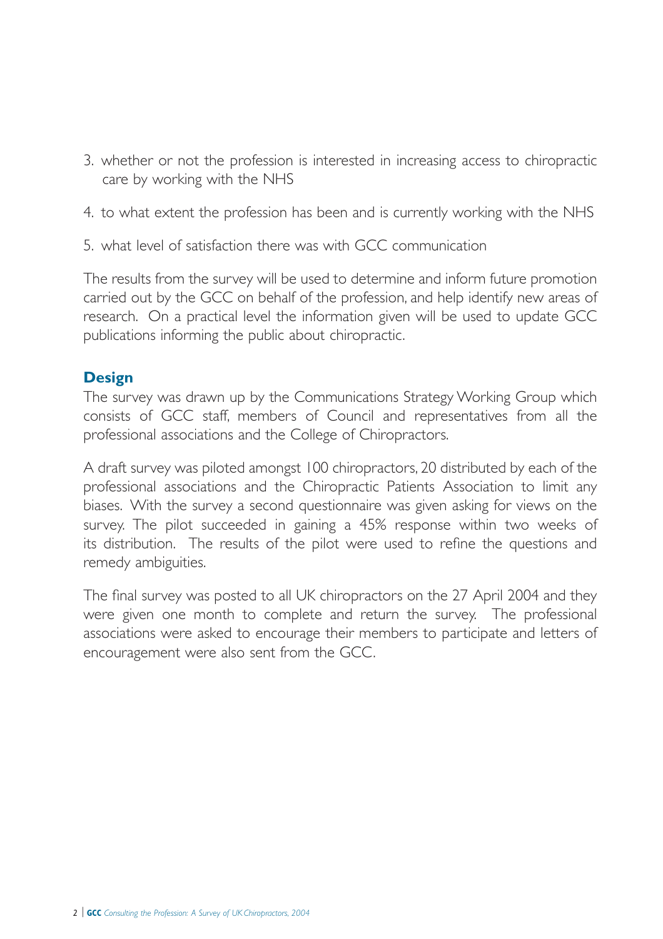- 3. whether or not the profession is interested in increasing access to chiropractic care by working with the NHS
- 4. to what extent the profession has been and is currently working with the NHS
- 5. what level of satisfaction there was with GCC communication

The results from the survey will be used to determine and inform future promotion carried out by the GCC on behalf of the profession, and help identify new areas of research. On a practical level the information given will be used to update GCC publications informing the public about chiropractic.

# **Design**

The survey was drawn up by the Communications Strategy Working Group which consists of GCC staff, members of Council and representatives from all the professional associations and the College of Chiropractors.

A draft survey was piloted amongst 100 chiropractors, 20 distributed by each of the professional associations and the Chiropractic Patients Association to limit any biases. With the survey a second questionnaire was given asking for views on the survey. The pilot succeeded in gaining a 45% response within two weeks of its distribution. The results of the pilot were used to refine the questions and remedy ambiguities.

The final survey was posted to all UK chiropractors on the 27 April 2004 and they were given one month to complete and return the survey. The professional associations were asked to encourage their members to participate and letters of encouragement were also sent from the GCC.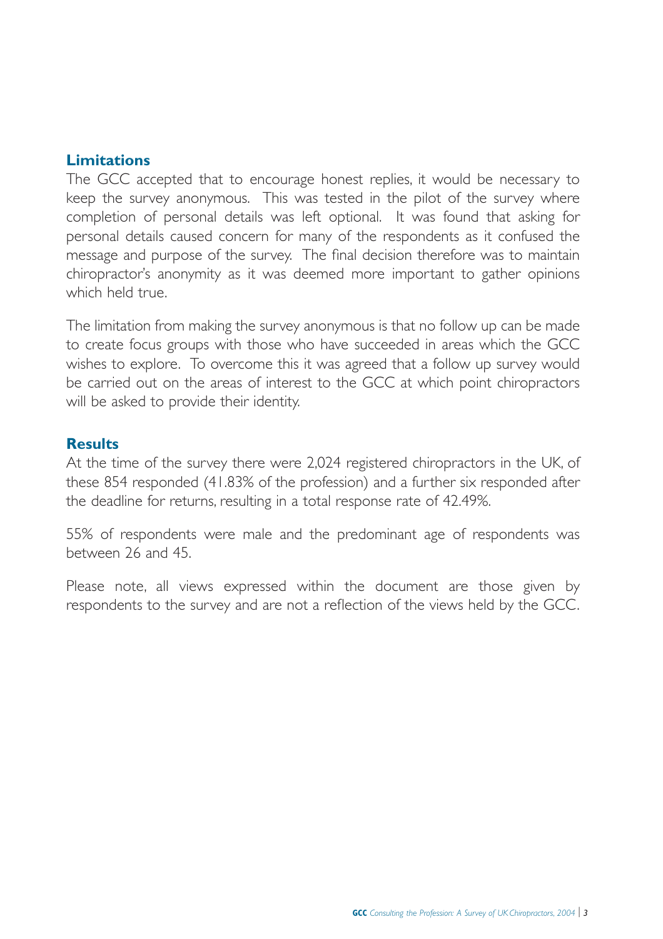# **Limitations**

The GCC accepted that to encourage honest replies, it would be necessary to keep the survey anonymous. This was tested in the pilot of the survey where completion of personal details was left optional. It was found that asking for personal details caused concern for many of the respondents as it confused the message and purpose of the survey. The final decision therefore was to maintain chiropractor's anonymity as it was deemed more important to gather opinions which held true.

The limitation from making the survey anonymous is that no follow up can be made to create focus groups with those who have succeeded in areas which the GCC wishes to explore. To overcome this it was agreed that a follow up survey would be carried out on the areas of interest to the GCC at which point chiropractors will be asked to provide their identity.

# **Results**

At the time of the survey there were 2,024 registered chiropractors in the UK, of these 854 responded (41.83% of the profession) and a further six responded after the deadline for returns, resulting in a total response rate of 42.49%.

55% of respondents were male and the predominant age of respondents was between 26 and 45.

Please note, all views expressed within the document are those given by respondents to the survey and are not a reflection of the views held by the GCC.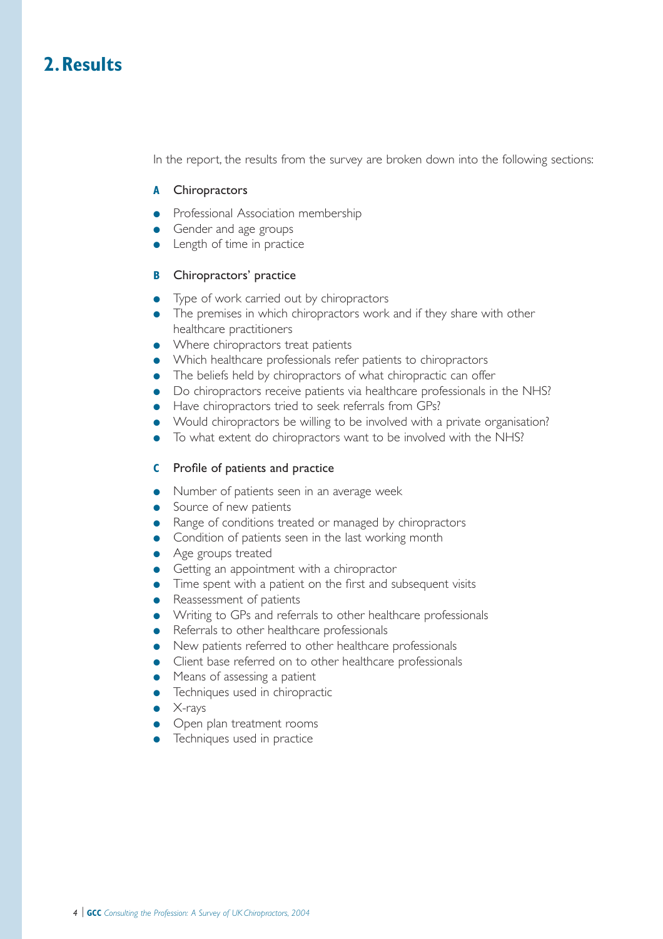# **2.Results**

In the report, the results from the survey are broken down into the following sections:

#### **A** Chiropractors

- **•** Professional Association membership
- Gender and age groups
- **•** Length of time in practice

#### **B** Chiropractors' practice

- Type of work carried out by chiropractors
- The premises in which chiropractors work and if they share with other healthcare practitioners
- Where chiropractors treat patients
- Which healthcare professionals refer patients to chiropractors
- The beliefs held by chiropractors of what chiropractic can offer
- Do chiropractors receive patients via healthcare professionals in the NHS?
- Have chiropractors tried to seek referrals from GPs?
- Would chiropractors be willing to be involved with a private organisation?
- To what extent do chiropractors want to be involved with the NHS?

#### **C** Profile of patients and practice

- Number of patients seen in an average week
- Source of new patients
- Range of conditions treated or managed by chiropractors
- Condition of patients seen in the last working month
- Age groups treated
- Getting an appointment with a chiropractor
- Time spent with a patient on the first and subsequent visits
- Reassessment of patients
- Writing to GPs and referrals to other healthcare professionals
- Referrals to other healthcare professionals
- New patients referred to other healthcare professionals
- Client base referred on to other healthcare professionals
- Means of assessing a patient
- Techniques used in chiropractic
- X-rays
- Open plan treatment rooms
- Techniques used in practice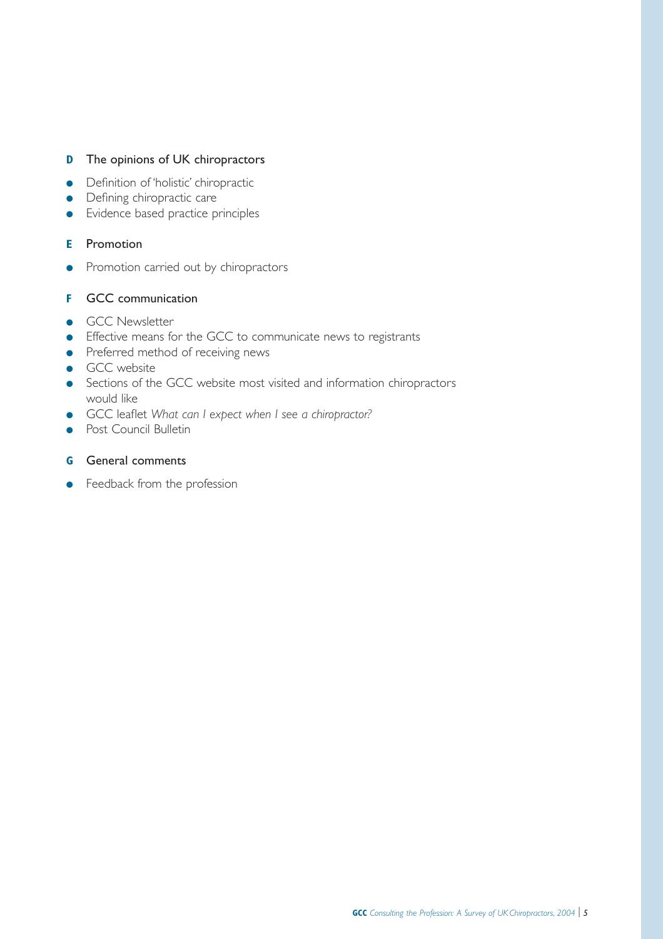#### **D** The opinions of UK chiropractors

- Definition of 'holistic' chiropractic
- Defining chiropractic care
- Evidence based practice principles

#### **E** Promotion

● Promotion carried out by chiropractors

#### **F** GCC communication

- GCC Newsletter
- Effective means for the GCC to communicate news to registrants
- Preferred method of receiving news
- GCC website
- Sections of the GCC website most visited and information chiropractors would like
- GCC leaflet *What can I expect when I see a chiropractor?*
- Post Council Bulletin

#### **G** General comments

• Feedback from the profession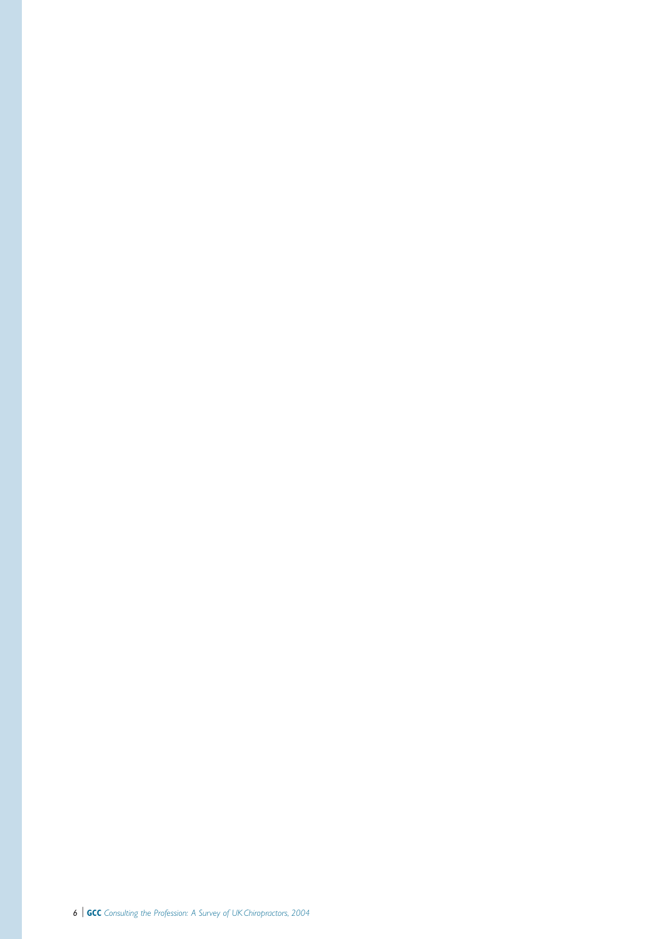| **GCC** *Consulting the Profession: A Survey of UK Chiropractors, 2004*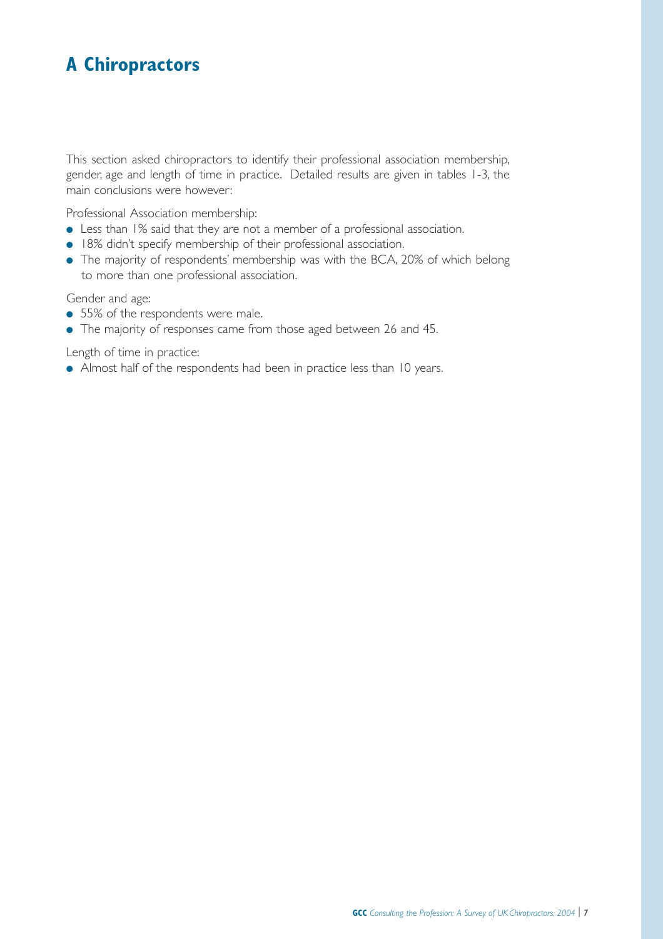# **A Chiropractors**

This section asked chiropractors to identify their professional association membership, gender, age and length of time in practice. Detailed results are given in tables 1-3, the main conclusions were however:

Professional Association membership:

- Less than 1% said that they are not a member of a professional association.
- 18% didn't specify membership of their professional association.
- The majority of respondents' membership was with the BCA, 20% of which belong to more than one professional association.

Gender and age:

- 55% of the respondents were male.
- The majority of responses came from those aged between 26 and 45.

Length of time in practice:

● Almost half of the respondents had been in practice less than 10 years.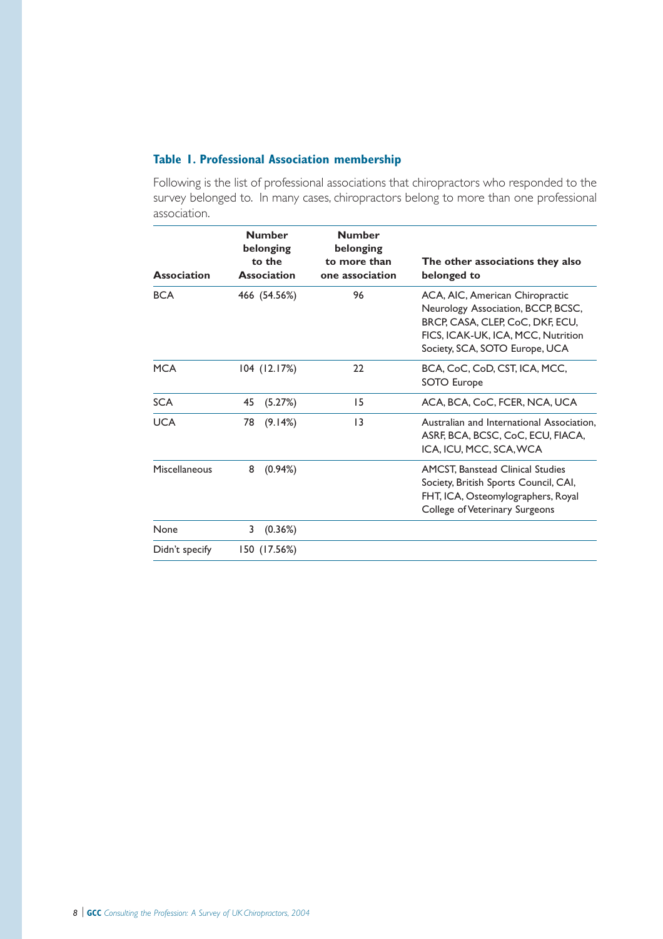## **Table 1. Professional Association membership**

Following is the list of professional associations that chiropractors who responded to the survey belonged to. In many cases, chiropractors belong to more than one professional association.

| <b>Association</b> | <b>Number</b><br>belonging<br>to the<br><b>Association</b> | <b>Number</b><br>belonging<br>to more than<br>one association | The other associations they also<br>belonged to                                                                                                                                   |
|--------------------|------------------------------------------------------------|---------------------------------------------------------------|-----------------------------------------------------------------------------------------------------------------------------------------------------------------------------------|
| <b>BCA</b>         | 466 (54.56%)                                               | 96                                                            | ACA, AIC, American Chiropractic<br>Neurology Association, BCCP, BCSC,<br>BRCP, CASA, CLEP, CoC, DKF, ECU,<br>FICS, ICAK-UK, ICA, MCC, Nutrition<br>Society, SCA, SOTO Europe, UCA |
| <b>MCA</b>         | 104 (12.17%)                                               | 22                                                            | BCA, CoC, CoD, CST, ICA, MCC,<br>SOTO Europe                                                                                                                                      |
| <b>SCA</b>         | 45<br>(5.27%)                                              | 15                                                            | ACA, BCA, CoC, FCER, NCA, UCA                                                                                                                                                     |
| <b>UCA</b>         | (9.14%)<br>78                                              | 13                                                            | Australian and International Association.<br>ASRF, BCA, BCSC, CoC, ECU, FIACA,<br>ICA, ICU, MCC, SCA, WCA                                                                         |
| Miscellaneous      | 8<br>(0.94%)                                               |                                                               | <b>AMCST, Banstead Clinical Studies</b><br>Society, British Sports Council, CAI,<br>FHT, ICA, Osteomylographers, Royal<br>College of Veterinary Surgeons                          |
| None               | (0.36%)<br>3                                               |                                                               |                                                                                                                                                                                   |
| Didn't specify     | 150 (17.56%)                                               |                                                               |                                                                                                                                                                                   |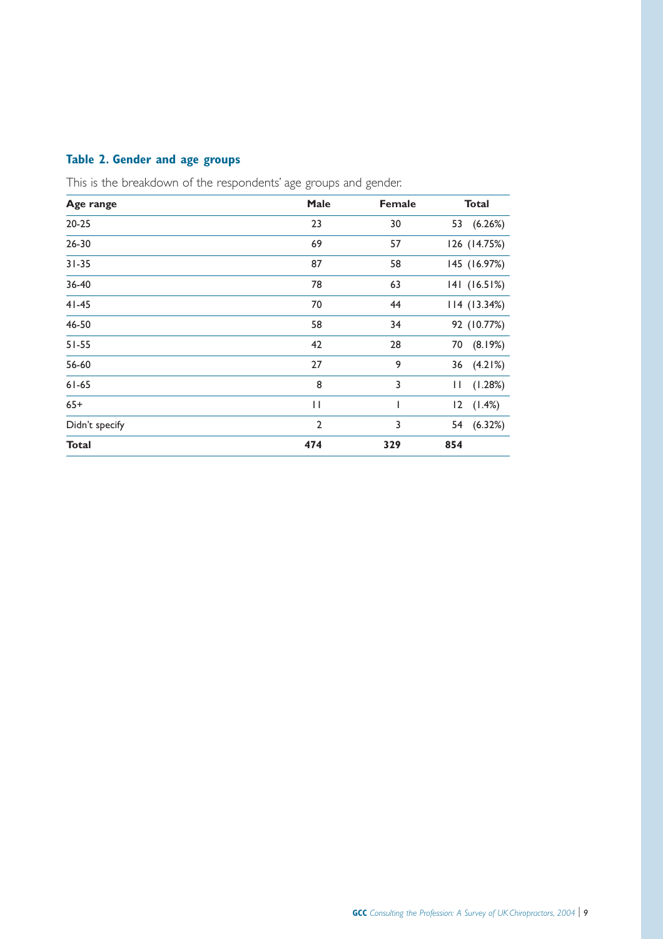# **Table 2. Gender and age groups**

| Age range      | Male           | <b>Female</b> | <b>Total</b>  |
|----------------|----------------|---------------|---------------|
| $20 - 25$      | 23             | 30            | 53 (6.26%)    |
| $26 - 30$      | 69             | 57            | 126 (14.75%)  |
| $31 - 35$      | 87             | 58            | 145 (16.97%)  |
| 36-40          | 78             | 63            | 141 (16.51%)  |
| $41 - 45$      | 70             | 44            | 114(13.34%)   |
| 46-50          | 58             | 34            | 92 (10.77%)   |
| $51 - 55$      | 42             | 28            | 70<br>(8.19%) |
| 56-60          | 27             | 9             | 36 (4.21%)    |
| $61 - 65$      | 8              | 3             | 11(1.28%)     |
| $65+$          | П              |               | 12(1.4%)      |
| Didn't specify | $\overline{2}$ | 3             | 54 (6.32%)    |
| <b>Total</b>   | 474            | 329           | 854           |

This is the breakdown of the respondents' age groups and gender.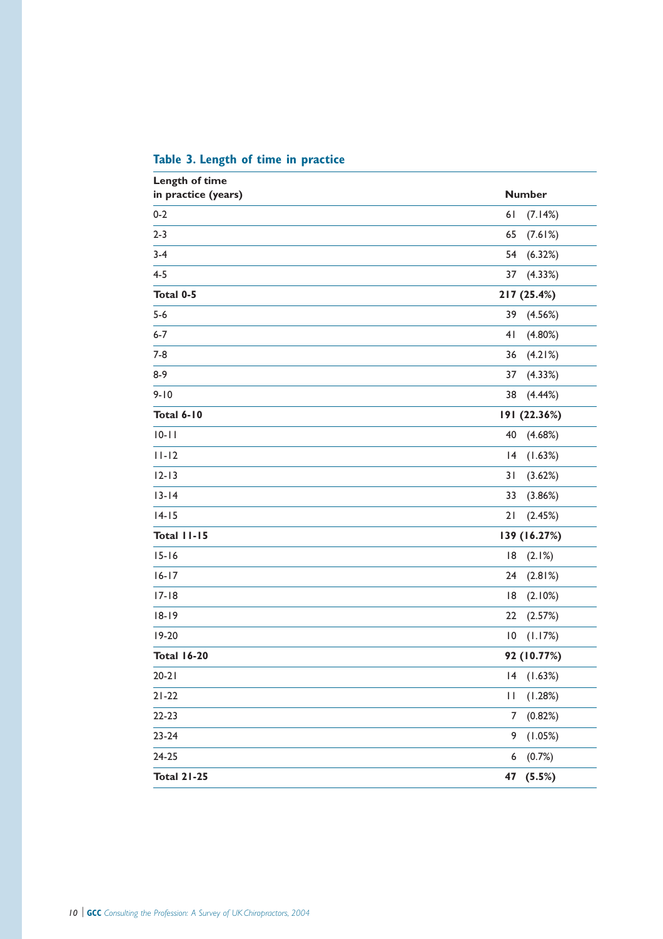| Length of time      |                                                                  |             |
|---------------------|------------------------------------------------------------------|-------------|
| in practice (years) | <b>Number</b>                                                    |             |
| $0 - 2$             | 61                                                               | (7.14%)     |
| $2 - 3$             | 65                                                               | (7.61%)     |
| $3 - 4$             | 54                                                               | (6.32%)     |
| $4 - 5$             | 37                                                               | (4.33%)     |
| Total 0-5           | 217 (25.4%)                                                      |             |
| $5-6$               | 39                                                               | (4.56%)     |
| $6 - 7$             | 41                                                               | (4.80%)     |
| $7 - 8$             | 36                                                               | $(4.21\%)$  |
| $8-9$               | 37                                                               | (4.33%)     |
| $9 - 10$            | 38                                                               | (4.44%)     |
| <b>Total 6-10</b>   | 191 (22.36%)                                                     |             |
| $10 - 11$           | 40                                                               | (4.68%)     |
| $11 - 12$           | 4                                                                | (1.63%)     |
| $12 - 13$           | 31                                                               | (3.62%)     |
| $13 - 14$           | 33                                                               | (3.86%)     |
| $14 - 15$           | 21                                                               | (2.45%)     |
| <b>Total 11-15</b>  | 139 (16.27%)                                                     |             |
| $15 - 16$           | 8                                                                | (2.1%)      |
| $16 - 17$           | 24                                                               | (2.81%)     |
| $17 - 18$           | 8                                                                | (2.10%)     |
| $18 - 19$           | 22                                                               | (2.57%)     |
| $19 - 20$           | $\overline{10}$                                                  | (1.17%)     |
| <b>Total 16-20</b>  |                                                                  | 92 (10.77%) |
| $20 - 21$           | 4                                                                | (1.63%)     |
| $21 - 22$           | $\mathsf{H}% _{T}=\mathsf{H}_{T}\left( \mathcal{A}_{T}\right) ,$ | (1.28%)     |
| $22 - 23$           | $\overline{7}$                                                   | (0.82%)     |
| $23 - 24$           | 9                                                                | (1.05%)     |
| $24 - 25$           | 6                                                                | (0.7%)      |
| <b>Total 21-25</b>  | 47                                                               | (5.5%)      |

# **Table 3. Length of time in practice**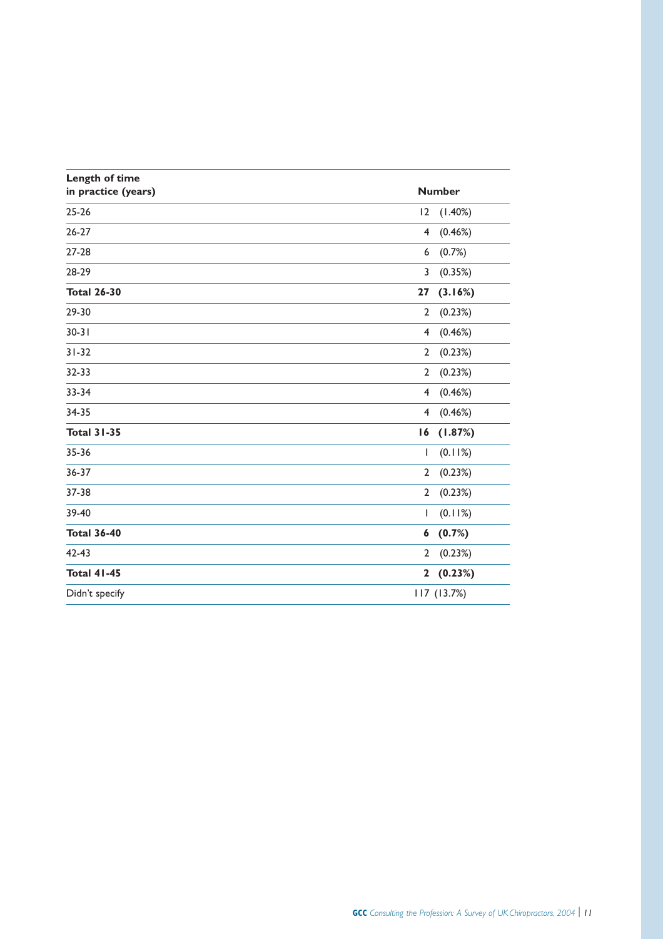| Length of time<br>in practice (years) |                         | <b>Number</b> |
|---------------------------------------|-------------------------|---------------|
| $25 - 26$                             | 12                      | (1.40%)       |
| $26 - 27$                             | 4                       | (0.46%)       |
| 27-28                                 | 6                       | (0.7%)        |
| 28-29                                 | 3                       | (0.35%)       |
| <b>Total 26-30</b>                    | 27                      | (3.16%)       |
| 29-30                                 | 2                       | (0.23%)       |
| $30-31$                               | 4                       | (0.46%)       |
| $31 - 32$                             | $\overline{2}$          | (0.23%)       |
| 32-33                                 | $\overline{2}$          | (0.23%)       |
| 33-34                                 | $\overline{4}$          | (0.46%)       |
| 34-35                                 | $\overline{\mathbf{4}}$ | (0.46%)       |
| <b>Total 31-35</b>                    | 16                      | (1.87%)       |
| 35-36                                 | L                       | $(0.11\%)$    |
| 36-37                                 | $\overline{2}$          | (0.23%)       |
| 37-38                                 | $\overline{2}$          | (0.23%)       |
| 39-40                                 | L                       | (0.11%)       |
| <b>Total 36-40</b>                    | 6                       | (0.7%)        |
| $42 - 43$                             | $\overline{2}$          | (0.23%)       |
| <b>Total 41-45</b>                    | $\mathbf{2}$            | (0.23%)       |
| Didn't specify                        |                         | 117(13.7%)    |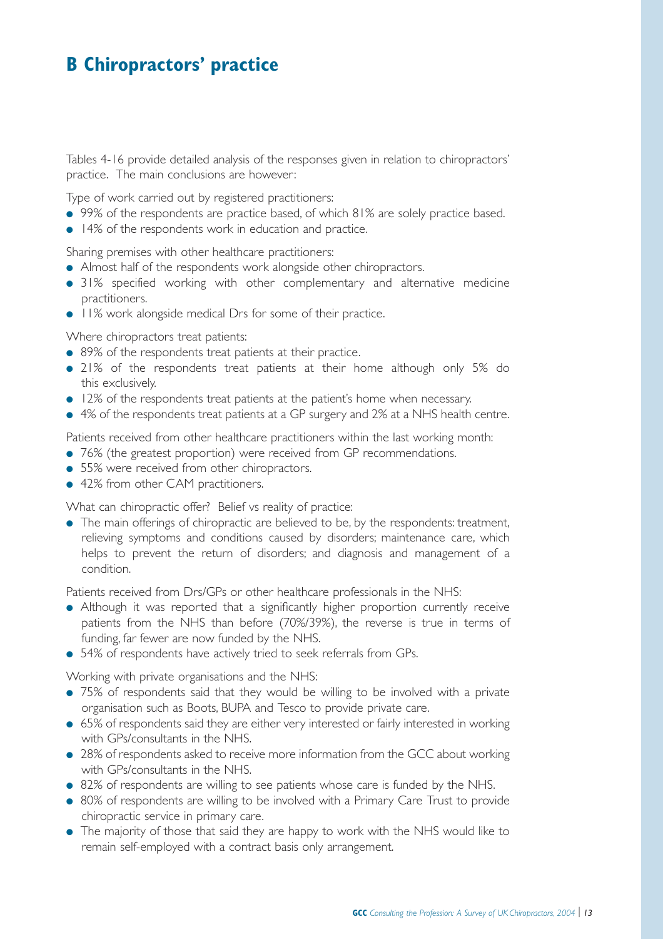# **B Chiropractors' practice**

Tables 4-16 provide detailed analysis of the responses given in relation to chiropractors' practice. The main conclusions are however:

Type of work carried out by registered practitioners:

- 99% of the respondents are practice based, of which 81% are solely practice based.
- 14% of the respondents work in education and practice.

Sharing premises with other healthcare practitioners:

- Almost half of the respondents work alongside other chiropractors.
- 31% specified working with other complementary and alternative medicine practitioners.
- 11% work alongside medical Drs for some of their practice.

Where chiropractors treat patients:

- 89% of the respondents treat patients at their practice.
- 21% of the respondents treat patients at their home although only 5% do this exclusively.
- 12% of the respondents treat patients at the patient's home when necessary.
- 4% of the respondents treat patients at a GP surgery and 2% at a NHS health centre.

Patients received from other healthcare practitioners within the last working month:

- 76% (the greatest proportion) were received from GP recommendations.
- 55% were received from other chiropractors.
- 42% from other CAM practitioners.

What can chiropractic offer? Belief vs reality of practice:

● The main offerings of chiropractic are believed to be, by the respondents: treatment, relieving symptoms and conditions caused by disorders; maintenance care, which helps to prevent the return of disorders; and diagnosis and management of a condition.

Patients received from Drs/GPs or other healthcare professionals in the NHS:

- Although it was reported that a significantly higher proportion currently receive patients from the NHS than before (70%/39%), the reverse is true in terms of funding, far fewer are now funded by the NHS.
- 54% of respondents have actively tried to seek referrals from GPs.

Working with private organisations and the NHS:

- 75% of respondents said that they would be willing to be involved with a private organisation such as Boots, BUPA and Tesco to provide private care.
- 65% of respondents said they are either very interested or fairly interested in working with GPs/consultants in the NHS.
- 28% of respondents asked to receive more information from the GCC about working with GPs/consultants in the NHS.
- 82% of respondents are willing to see patients whose care is funded by the NHS.
- 80% of respondents are willing to be involved with a Primary Care Trust to provide chiropractic service in primary care.
- The majority of those that said they are happy to work with the NHS would like to remain self-employed with a contract basis only arrangement.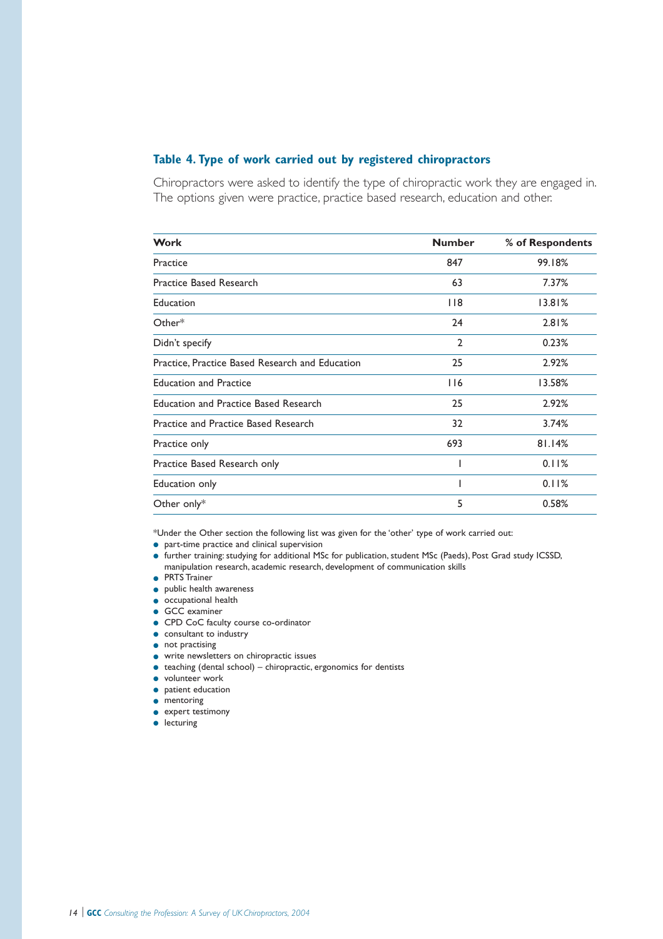#### **Table 4. Type of work carried out by registered chiropractors**

Chiropractors were asked to identify the type of chiropractic work they are engaged in. The options given were practice, practice based research, education and other.

| <b>Work</b>                                     | <b>Number</b>  | % of Respondents |
|-------------------------------------------------|----------------|------------------|
| Practice                                        | 847            | 99.18%           |
| <b>Practice Based Research</b>                  | 63             | 7.37%            |
| Education                                       | 118            | 13.81%           |
| $Other*$                                        | 24             | 2.81%            |
| Didn't specify                                  | $\overline{2}$ | 0.23%            |
| Practice, Practice Based Research and Education | 25             | 2.92%            |
| <b>Education and Practice</b>                   | 116            | 13.58%           |
| <b>Education and Practice Based Research</b>    | 25             | 2.92%            |
| Practice and Practice Based Research            | 32             | 3.74%            |
| Practice only                                   | 693            | 81.14%           |
| Practice Based Research only                    |                | 0.11%            |
| Education only                                  |                | 0.11%            |
| Other only*                                     | 5              | 0.58%            |

\*Under the Other section the following list was given for the 'other' type of work carried out:

● part-time practice and clinical supervision

- further training: studying for additional MSc for publication, student MSc (Paeds), Post Grad study ICSSD, manipulation research, academic research, development of communication skills
- PRTS Trainer
- public health awareness
- occupational health
- GCC examiner
- CPD CoC faculty course co-ordinator
- consultant to industry
- not practising
- write newsletters on chiropractic issues
- $\bullet$  teaching (dental school) chiropractic, ergonomics for dentists
- volunteer work
- patient education
- mentoring
- expert testimony
- lecturing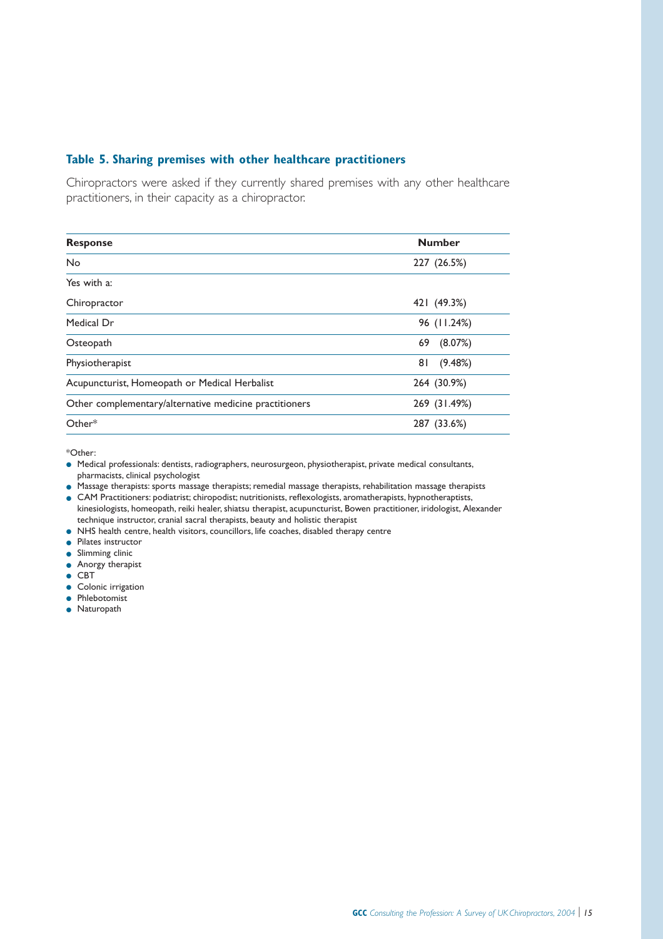#### **Table 5. Sharing premises with other healthcare practitioners**

Chiropractors were asked if they currently shared premises with any other healthcare practitioners, in their capacity as a chiropractor.

| <b>Response</b>                                        | <b>Number</b> |
|--------------------------------------------------------|---------------|
| <b>No</b>                                              | 227 (26.5%)   |
| Yes with a:                                            |               |
| Chiropractor                                           | 421 (49.3%)   |
| Medical Dr                                             | 96 (11.24%)   |
| Osteopath                                              | 69<br>(8.07%) |
| Physiotherapist                                        | 81<br>(9.48%) |
| Acupuncturist, Homeopath or Medical Herbalist          | 264 (30.9%)   |
| Other complementary/alternative medicine practitioners | 269 (31.49%)  |
| $Other*$                                               | 287 (33.6%)   |

\*Other:

- Medical professionals: dentists, radiographers, neurosurgeon, physiotherapist, private medical consultants, pharmacists, clinical psychologist
- Massage therapists: sports massage therapists; remedial massage therapists, rehabilitation massage therapists
- CAM Practitioners: podiatrist; chiropodist; nutritionists, reflexologists, aromatherapists, hypnotheraptists,
- kinesiologists, homeopath, reiki healer, shiatsu therapist, acupuncturist, Bowen practitioner, iridologist, Alexander technique instructor, cranial sacral therapists, beauty and holistic therapist
- NHS health centre, health visitors, councillors, life coaches, disabled therapy centre
- Pilates instructor
- Slimming clinic
- Anorgy therapist
- CBT
- Colonic irrigation
- Phlebotomist
- Naturopath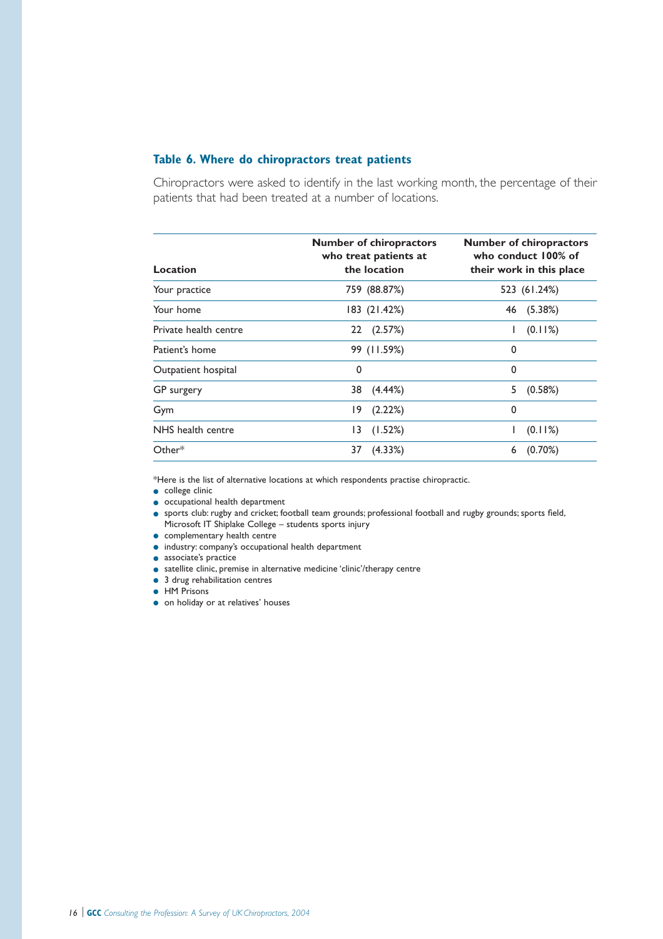#### **Table 6. Where do chiropractors treat patients**

Chiropractors were asked to identify in the last working month, the percentage of their patients that had been treated at a number of locations.

| Location              | <b>Number of chiropractors</b><br>who treat patients at<br>the location | <b>Number of chiropractors</b><br>who conduct 100% of<br>their work in this place |
|-----------------------|-------------------------------------------------------------------------|-----------------------------------------------------------------------------------|
| Your practice         | 759 (88.87%)                                                            | 523 (61.24%)                                                                      |
| Your home             | 183 (21.42%)                                                            | (5.38%)<br>46                                                                     |
| Private health centre | 22 (2.57%)                                                              | $(0.11\%)$                                                                        |
| Patient's home        | 99 (11.59%)                                                             | 0                                                                                 |
| Outpatient hospital   | 0                                                                       | 0                                                                                 |
| GP surgery            | 38<br>$(4.44\%)$                                                        | 5<br>(0.58%)                                                                      |
| Gym                   | 19<br>(2.22%)                                                           | 0                                                                                 |
| NHS health centre     | (1.52%)<br>13                                                           | $(0.11\%)$                                                                        |
| $Other*$              | (4.33%)<br>37                                                           | $(0.70\%)$<br>6                                                                   |

\*Here is the list of alternative locations at which respondents practise chiropractic.

● college clinic

- occupational health department
- sports club: rugby and cricket; football team grounds; professional football and rugby grounds; sports field, Microsoft IT Shiplake College – students sports injury
- complementary health centre
- industry: company's occupational health department
- associate's practice
- satellite clinic, premise in alternative medicine 'clinic'/therapy centre
- 3 drug rehabilitation centres
- HM Prisons
- on holiday or at relatives' houses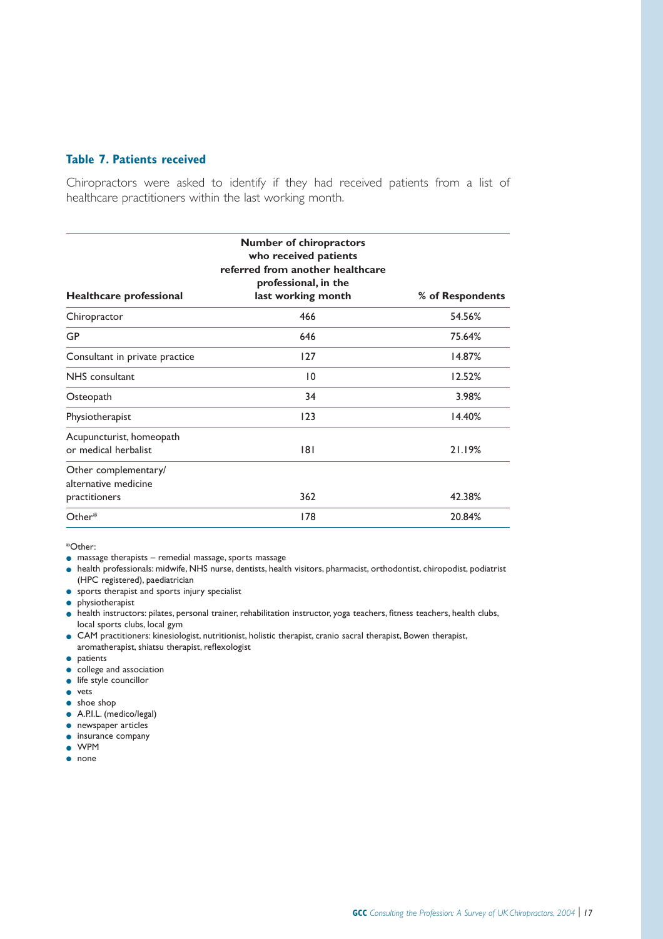#### **Table 7. Patients received**

Chiropractors were asked to identify if they had received patients from a list of healthcare practitioners within the last working month.

| <b>Healthcare professional</b>                                | <b>Number of chiropractors</b><br>who received patients<br>referred from another healthcare<br>professional, in the<br>last working month | % of Respondents |
|---------------------------------------------------------------|-------------------------------------------------------------------------------------------------------------------------------------------|------------------|
| Chiropractor                                                  | 466                                                                                                                                       | 54.56%           |
| GP                                                            | 646                                                                                                                                       | 75.64%           |
| Consultant in private practice                                | 127                                                                                                                                       | 14.87%           |
| NHS consultant                                                | 10                                                                                                                                        | 12.52%           |
| Osteopath                                                     | 34                                                                                                                                        | 3.98%            |
| Physiotherapist                                               | 123                                                                                                                                       | 14.40%           |
| Acupuncturist, homeopath<br>or medical herbalist              | 181                                                                                                                                       | 21.19%           |
| Other complementary/<br>alternative medicine<br>practitioners | 362                                                                                                                                       | 42.38%           |
| $Other*$                                                      | 178                                                                                                                                       | 20.84%           |

\*Other:

- massage therapists remedial massage, sports massage
- health professionals: midwife, NHS nurse, dentists, health visitors, pharmacist, orthodontist, chiropodist, podiatrist (HPC registered), paediatrician
- sports therapist and sports injury specialist
- physiotherapist
- health instructors: pilates, personal trainer, rehabilitation instructor, yoga teachers, fitness teachers, health clubs, local sports clubs, local gym
- CAM practitioners: kinesiologist, nutritionist, holistic therapist, cranio sacral therapist, Bowen therapist,
- aromatherapist, shiatsu therapist, reflexologist
- patients
- college and association
- $\bullet$  life style councillor
- vets
- shoe shop
- A.P.I.L. (medico/legal)
- newspaper articles
- insurance company ● WPM
- 
- none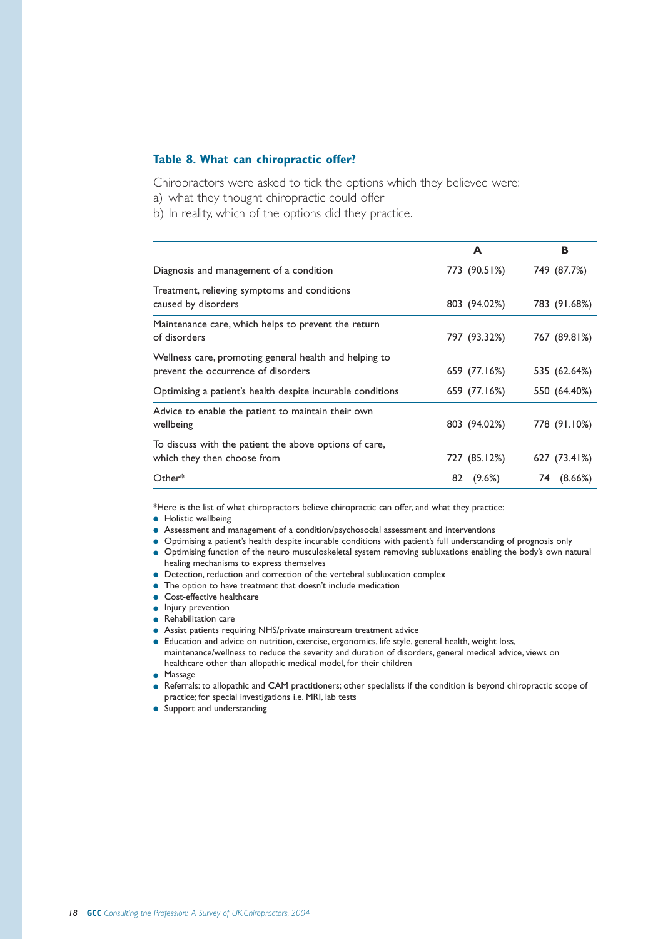#### **Table 8. What can chiropractic offer?**

Chiropractors were asked to tick the options which they believed were:

- a) what they thought chiropractic could offer
- b) In reality, which of the options did they practice.

|                                                                                               | A            | в             |
|-----------------------------------------------------------------------------------------------|--------------|---------------|
| Diagnosis and management of a condition                                                       | 773 (90.51%) | 749 (87.7%)   |
| Treatment, relieving symptoms and conditions<br>caused by disorders                           | 803 (94.02%) | 783 (91.68%)  |
| Maintenance care, which helps to prevent the return<br>of disorders                           | 797 (93.32%) | 767 (89.81%)  |
| Wellness care, promoting general health and helping to<br>prevent the occurrence of disorders | 659 (77.16%) | 535 (62.64%)  |
| Optimising a patient's health despite incurable conditions                                    | 659 (77.16%) | 550 (64.40%)  |
| Advice to enable the patient to maintain their own<br>wellbeing                               | 803 (94.02%) | 778 (91.10%)  |
| To discuss with the patient the above options of care,<br>which they then choose from         | 727 (85.12%) | 627 (73.41%)  |
| $Other*$                                                                                      | 82<br>(9.6%) | (8.66%)<br>74 |

\*Here is the list of what chiropractors believe chiropractic can offer, and what they practice:

- Holistic wellbeing
- Assessment and management of a condition/psychosocial assessment and interventions
- Optimising a patient's health despite incurable conditions with patient's full understanding of prognosis only
- Optimising function of the neuro musculoskeletal system removing subluxations enabling the body's own natural healing mechanisms to express themselves
- Detection, reduction and correction of the vertebral subluxation complex
- The option to have treatment that doesn't include medication
- Cost-effective healthcare
- **•** Injury prevention
- Rehabilitation care
- Assist patients requiring NHS/private mainstream treatment advice
- Education and advice on nutrition, exercise, ergonomics, life style, general health, weight loss, maintenance/wellness to reduce the severity and duration of disorders, general medical advice, views on healthcare other than allopathic medical model, for their children
- Massage
- Referrals: to allopathic and CAM practitioners; other specialists if the condition is beyond chiropractic scope of practice; for special investigations i.e. MRI, lab tests
- Support and understanding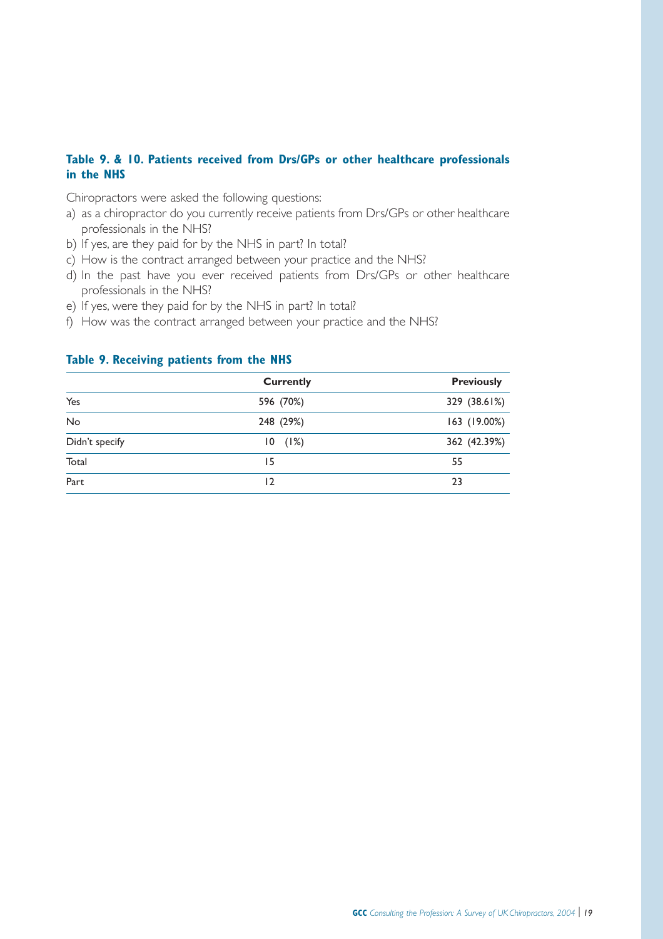#### **Table 9. & 10. Patients received from Drs/GPs or other healthcare professionals in the NHS**

Chiropractors were asked the following questions:

- a) as a chiropractor do you currently receive patients from Drs/GPs or other healthcare professionals in the NHS?
- b) If yes, are they paid for by the NHS in part? In total?
- c) How is the contract arranged between your practice and the NHS?
- d) In the past have you ever received patients from Drs/GPs or other healthcare professionals in the NHS?
- e) If yes, were they paid for by the NHS in part? In total?
- f) How was the contract arranged between your practice and the NHS?

#### **Table 9. Receiving patients from the NHS**

|                | <b>Currently</b> | <b>Previously</b> |
|----------------|------------------|-------------------|
| Yes            | 596 (70%)        | 329 (38.61%)      |
| <b>No</b>      | 248 (29%)        | 163 (19.00%)      |
| Didn't specify | (1%)<br>10       | 362 (42.39%)      |
| Total          | 15               | 55                |
| Part           | 12               | 23                |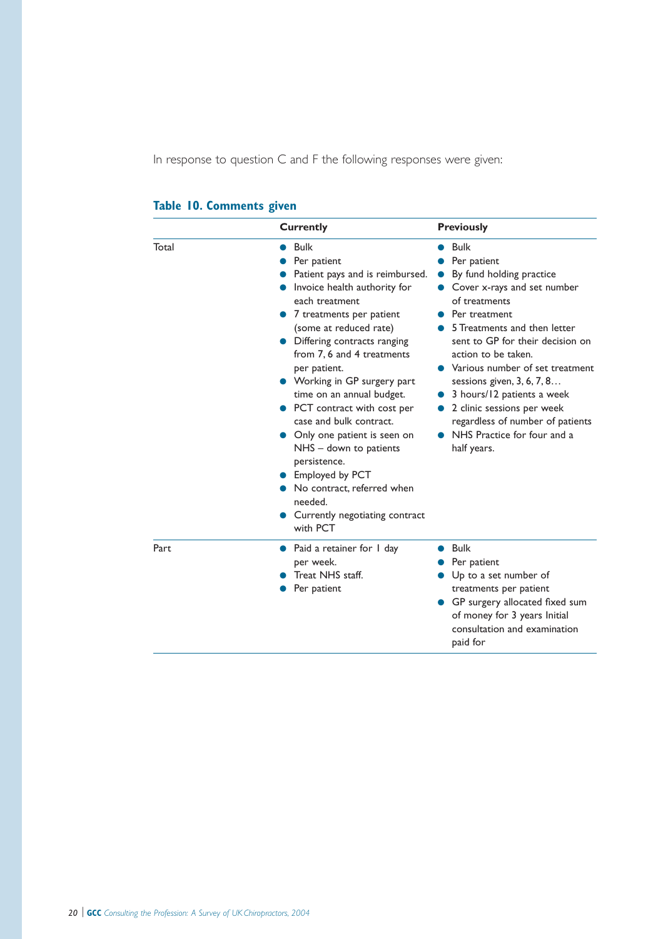In response to question C and F the following responses were given:

|       | <b>Currently</b>                                                                                                                                                                                                                                                                                                                                                                                                                                                                                                                                                   | <b>Previously</b>                                                                                                                                                                                                                                                                                                                                                                                                                         |
|-------|--------------------------------------------------------------------------------------------------------------------------------------------------------------------------------------------------------------------------------------------------------------------------------------------------------------------------------------------------------------------------------------------------------------------------------------------------------------------------------------------------------------------------------------------------------------------|-------------------------------------------------------------------------------------------------------------------------------------------------------------------------------------------------------------------------------------------------------------------------------------------------------------------------------------------------------------------------------------------------------------------------------------------|
| Total | Bulk<br>Per patient<br>Patient pays and is reimbursed.<br>Invoice health authority for<br>each treatment<br>• 7 treatments per patient<br>(some at reduced rate)<br>Differing contracts ranging<br>from 7, 6 and 4 treatments<br>per patient.<br>• Working in GP surgery part<br>time on an annual budget.<br>• PCT contract with cost per<br>case and bulk contract.<br>• Only one patient is seen on<br>$NHS -$ down to patients<br>persistence.<br>• Employed by PCT<br>• No contract, referred when<br>needed.<br>• Currently negotiating contract<br>with PCT | <b>Bulk</b><br>Per patient<br>By fund holding practice<br>Cover x-rays and set number<br>of treatments<br>• Per treatment<br>5 Treatments and then letter<br>sent to GP for their decision on<br>action to be taken.<br>• Various number of set treatment<br>sessions given, $3, 6, 7, 8$<br>3 hours/12 patients a week<br>2 clinic sessions per week<br>regardless of number of patients<br>• NHS Practice for four and a<br>half years. |
| Part  | Paid a retainer for I day<br>per week.<br>Treat NHS staff.<br>Per patient                                                                                                                                                                                                                                                                                                                                                                                                                                                                                          | <b>Bulk</b><br>Per patient<br>Up to a set number of<br>treatments per patient<br>GP surgery allocated fixed sum<br>of money for 3 years Initial                                                                                                                                                                                                                                                                                           |

consultation and examination

paid for

## **Table 10. Comments given**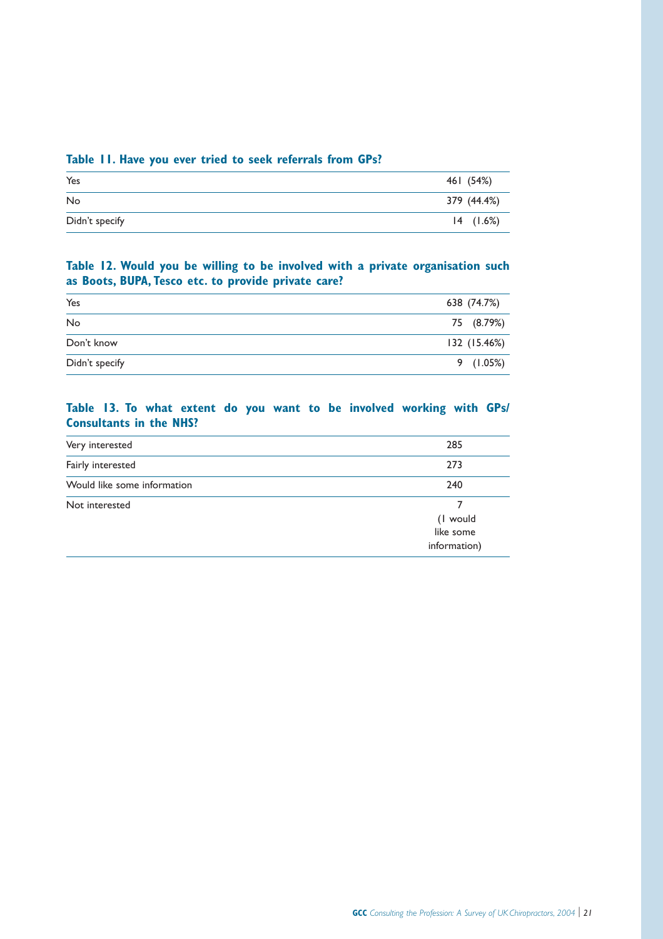### **Table 11. Have you ever tried to seek referrals from GPs?**

| Yes            | 461 (54%)   |
|----------------|-------------|
| No             | 379 (44.4%) |
| Didn't specify | 14(1.6%)    |

#### **Table 12. Would you be willing to be involved with a private organisation such as Boots, BUPA, Tesco etc. to provide private care?**

| Yes            | 638 (74.7%)  |
|----------------|--------------|
| No             | 75 (8.79%)   |
| Don't know     | 132 (15.46%) |
| Didn't specify | 9(1.05%)     |

#### **Table 13. To what extent do you want to be involved working with GPs/ Consultants in the NHS?**

| Very interested             | 285          |
|-----------------------------|--------------|
| Fairly interested           | 273          |
| Would like some information | 240          |
| Not interested              |              |
|                             | (I would     |
|                             | like some    |
|                             | information) |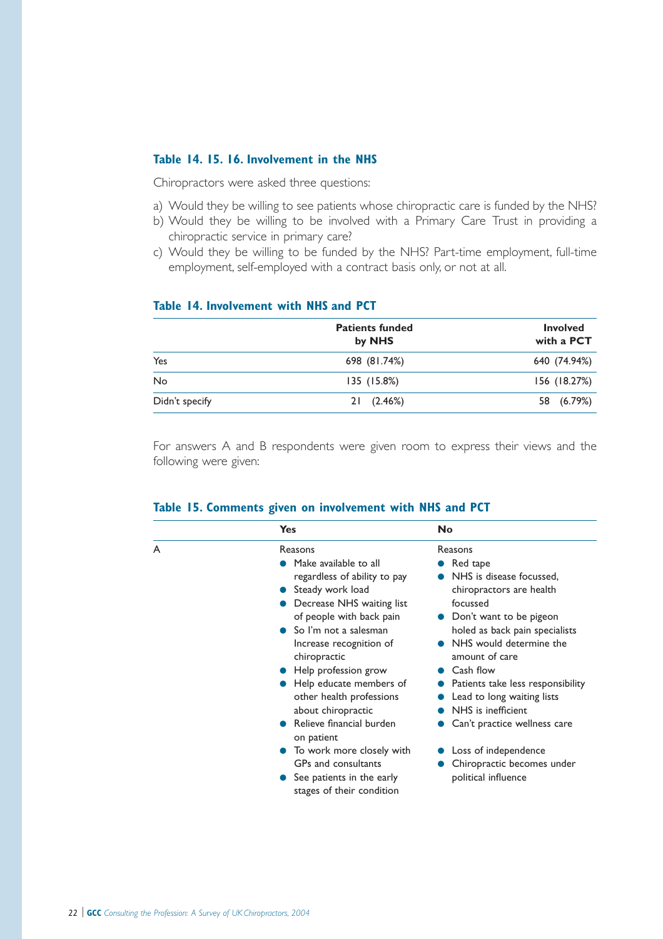#### **Table 14. 15. 16. Involvement in the NHS**

Chiropractors were asked three questions:

- a) Would they be willing to see patients whose chiropractic care is funded by the NHS?
- b) Would they be willing to be involved with a Primary Care Trust in providing a chiropractic service in primary care?
- c) Would they be willing to be funded by the NHS? Part-time employment, full-time employment, self-employed with a contract basis only, or not at all.

# **Table 14. Involvement with NHS and PCT**

|                | <b>Patients funded</b><br>by NHS | <b>Involved</b><br>with a PCT |
|----------------|----------------------------------|-------------------------------|
| Yes            | 698 (81.74%)                     | 640 (74.94%)                  |
| No             | 135 (15.8%)                      | 156 (18.27%)                  |
| Didn't specify | 21(2.46%)                        | 58 (6.79%)                    |

For answers A and B respondents were given room to express their views and the following were given:

|   | <b>Yes</b>                                                                                                                                                                                                                                                                                                                                                       | <b>No</b>                                                                                                                                                                                                                                                                                                                                |
|---|------------------------------------------------------------------------------------------------------------------------------------------------------------------------------------------------------------------------------------------------------------------------------------------------------------------------------------------------------------------|------------------------------------------------------------------------------------------------------------------------------------------------------------------------------------------------------------------------------------------------------------------------------------------------------------------------------------------|
| A | Reasons<br>Make available to all<br>regardless of ability to pay<br>Steady work load<br>Decrease NHS waiting list<br>of people with back pain<br>So I'm not a salesman<br>Increase recognition of<br>chiropractic<br>Help profession grow<br>Help educate members of<br>other health professions<br>about chiropractic<br>Relieve financial burden<br>on patient | Reasons<br>Red tape<br>NHS is disease focussed,<br>chiropractors are health<br>focussed<br>Don't want to be pigeon<br>holed as back pain specialists<br>NHS would determine the<br>amount of care<br>Cash flow<br>Patients take less responsibility<br>Lead to long waiting lists<br>NHS is inefficient.<br>Can't practice wellness care |
|   | • To work more closely with<br>GPs and consultants<br>See patients in the early<br>stages of their condition                                                                                                                                                                                                                                                     | Loss of independence<br>Chiropractic becomes under<br>political influence                                                                                                                                                                                                                                                                |

#### **Table 15. Comments given on involvement with NHS and PCT**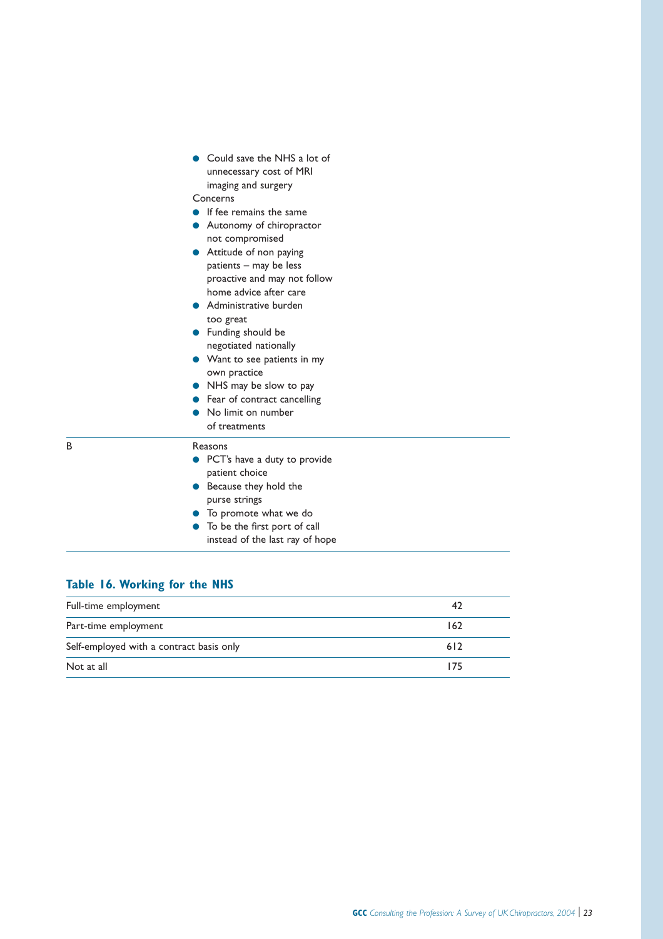# **Table 16. Working for the NHS**

| Full-time employment                     | 47  |  |
|------------------------------------------|-----|--|
| Part-time employment                     | 162 |  |
| Self-employed with a contract basis only | 612 |  |
| Not at all                               | 175 |  |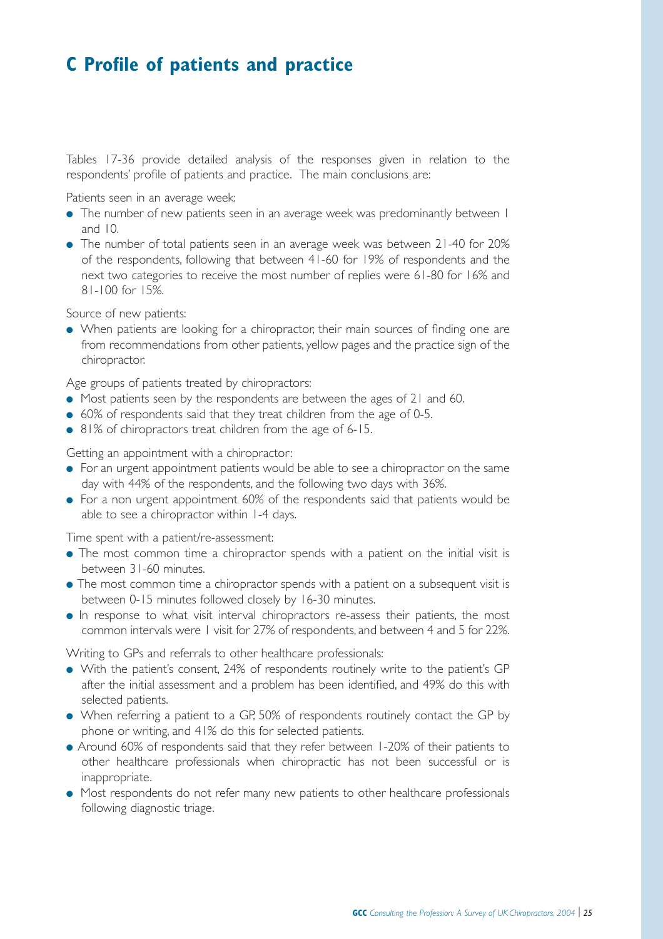# **C Profile of patients and practice**

Tables 17-36 provide detailed analysis of the responses given in relation to the respondents' profile of patients and practice. The main conclusions are:

Patients seen in an average week:

- The number of new patients seen in an average week was predominantly between 1 and 10.
- The number of total patients seen in an average week was between 21-40 for 20% of the respondents, following that between 41-60 for 19% of respondents and the next two categories to receive the most number of replies were 61-80 for 16% and 81-100 for 15%.

Source of new patients:

● When patients are looking for a chiropractor, their main sources of finding one are from recommendations from other patients, yellow pages and the practice sign of the chiropractor.

Age groups of patients treated by chiropractors:

- Most patients seen by the respondents are between the ages of 21 and 60.
- 60% of respondents said that they treat children from the age of 0-5.
- 81% of chiropractors treat children from the age of 6-15.

Getting an appointment with a chiropractor:

- For an urgent appointment patients would be able to see a chiropractor on the same day with 44% of the respondents, and the following two days with 36%.
- For a non urgent appointment 60% of the respondents said that patients would be able to see a chiropractor within 1-4 days.

Time spent with a patient/re-assessment:

- The most common time a chiropractor spends with a patient on the initial visit is between 31-60 minutes.
- The most common time a chiropractor spends with a patient on a subsequent visit is between 0-15 minutes followed closely by 16-30 minutes.
- In response to what visit interval chiropractors re-assess their patients, the most common intervals were 1 visit for 27% of respondents, and between 4 and 5 for 22%.

Writing to GPs and referrals to other healthcare professionals:

- With the patient's consent, 24% of respondents routinely write to the patient's GP after the initial assessment and a problem has been identified, and 49% do this with selected patients.
- When referring a patient to a GP, 50% of respondents routinely contact the GP by phone or writing, and 41% do this for selected patients.
- Around 60% of respondents said that they refer between 1-20% of their patients to other healthcare professionals when chiropractic has not been successful or is inappropriate.
- Most respondents do not refer many new patients to other healthcare professionals following diagnostic triage.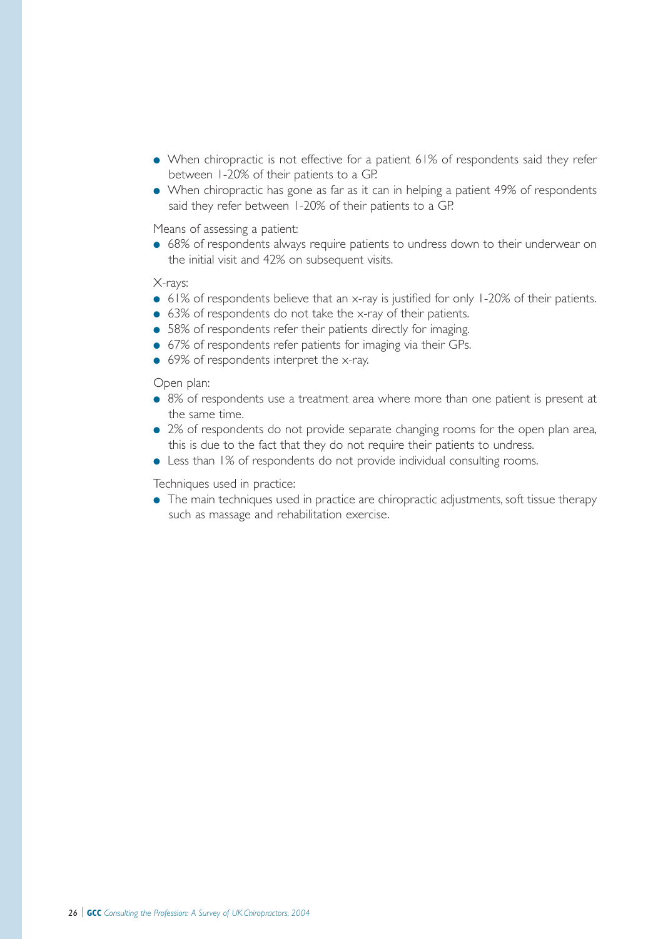- When chiropractic is not effective for a patient 61% of respondents said they refer between 1-20% of their patients to a GP.
- When chiropractic has gone as far as it can in helping a patient 49% of respondents said they refer between 1-20% of their patients to a GP.

Means of assessing a patient:

● 68% of respondents always require patients to undress down to their underwear on the initial visit and 42% on subsequent visits.

X-rays:

- 61% of respondents believe that an x-ray is justified for only 1-20% of their patients.
- 63% of respondents do not take the x-ray of their patients.
- 58% of respondents refer their patients directly for imaging.
- 67% of respondents refer patients for imaging via their GPs.
- 69% of respondents interpret the x-ray.

Open plan:

- 8% of respondents use a treatment area where more than one patient is present at the same time.
- 2% of respondents do not provide separate changing rooms for the open plan area, this is due to the fact that they do not require their patients to undress.
- Less than 1% of respondents do not provide individual consulting rooms.

Techniques used in practice:

● The main techniques used in practice are chiropractic adjustments, soft tissue therapy such as massage and rehabilitation exercise.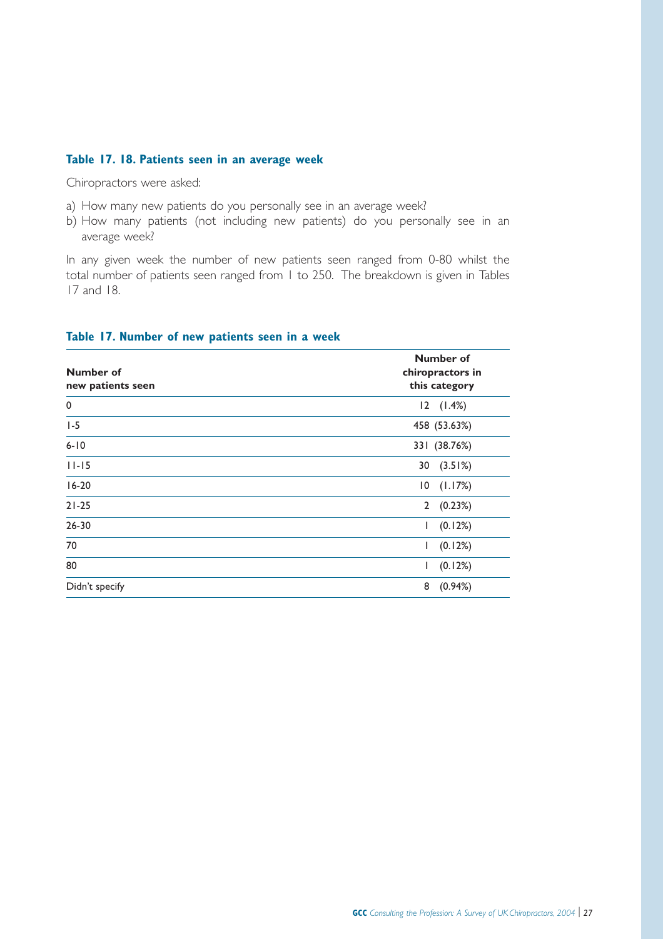### **Table 17. 18. Patients seen in an average week**

Chiropractors were asked:

- a) How many new patients do you personally see in an average week?
- b) How many patients (not including new patients) do you personally see in an average week?

In any given week the number of new patients seen ranged from 0-80 whilst the total number of patients seen ranged from 1 to 250. The breakdown is given in Tables 17 and 18.

| Number of<br>new patients seen | Number of<br>chiropractors in<br>this category |  |  |  |
|--------------------------------|------------------------------------------------|--|--|--|
| $\mathbf 0$                    | 12(1.4%)                                       |  |  |  |
| $I - 5$                        | 458 (53.63%)                                   |  |  |  |
| $6 - 10$                       | 331 (38.76%)                                   |  |  |  |
| $11 - 15$                      | (3.51%)<br>30                                  |  |  |  |
| $16-20$                        | (1.17%)<br>10                                  |  |  |  |
| $21 - 25$                      | (0.23%)<br>$\overline{2}$                      |  |  |  |
| $26 - 30$                      | (0.12%)                                        |  |  |  |
| 70                             | (0.12%)                                        |  |  |  |
| 80                             | (0.12%)                                        |  |  |  |
| Didn't specify                 | 8<br>(0.94%)                                   |  |  |  |

#### **Table 17. Number of new patients seen in a week**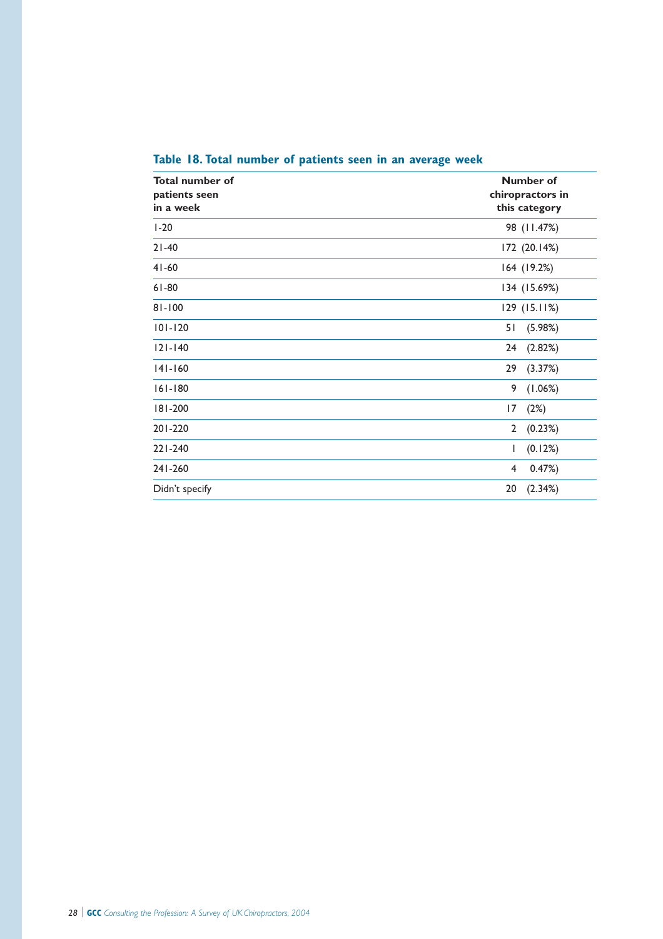| <b>Total number of</b><br>patients seen<br>in a week | Number of<br>chiropractors in<br>this category |
|------------------------------------------------------|------------------------------------------------|
| $I-20$                                               | 98 (11.47%)                                    |
| $21 - 40$                                            | 172 (20.14%)                                   |
| $41 - 60$                                            | 164 (19.2%)                                    |
| $61 - 80$                                            | 134 (15.69%)                                   |
| $81 - 100$                                           | 129 (15.11%)                                   |
| $101 - 120$                                          | 51<br>(5.98%)                                  |
| $121 - 140$                                          | (2.82%)<br>24                                  |
| $141 - 160$                                          | 29<br>(3.37%)                                  |
| $161 - 180$                                          | 9<br>(1.06%)                                   |
| 181-200                                              | 17<br>(2%)                                     |
| 201-220                                              | (0.23%)<br>2                                   |
| $221 - 240$                                          | (0.12%)<br>I                                   |
| 241-260                                              | 0.47%<br>4                                     |
| Didn't specify                                       | 20<br>(2.34%)                                  |

**Table 18. Total number of patients seen in an average week**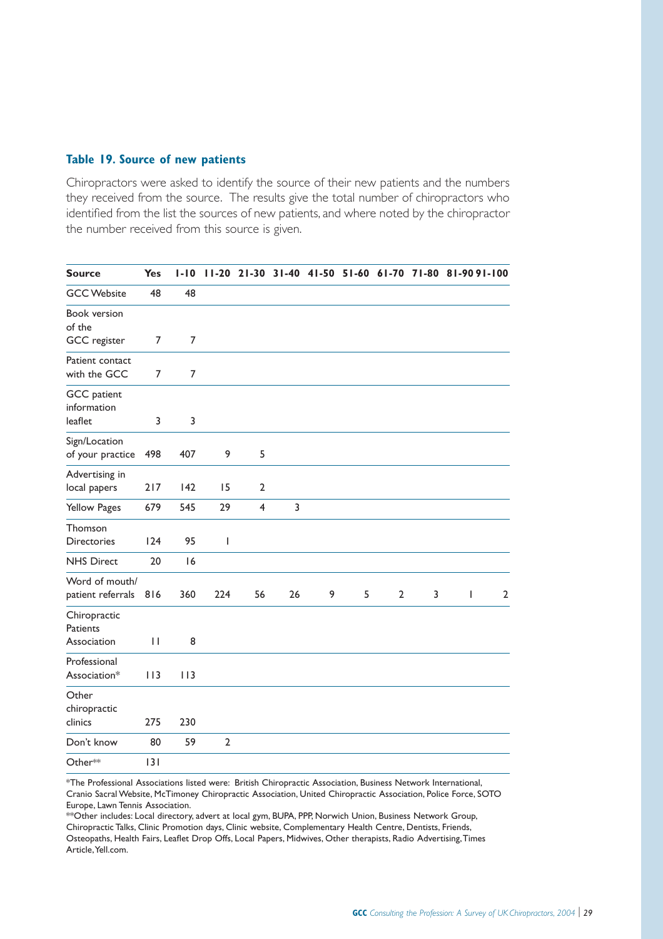#### **Table 19. Source of new patients**

Chiropractors were asked to identify the source of their new patients and the numbers they received from the source. The results give the total number of chiropractors who identified from the list the sources of new patients, and where noted by the chiropractor the number received from this source is given.

| <b>Source</b>                                  | <b>Yes</b>   | $1 - 10$ |                |                |    |   |   |                |   | 11-20 21-30 31-40 41-50 51-60 61-70 71-80 81-9091-100 |
|------------------------------------------------|--------------|----------|----------------|----------------|----|---|---|----------------|---|-------------------------------------------------------|
| <b>GCC Website</b>                             | 48           | 48       |                |                |    |   |   |                |   |                                                       |
| <b>Book version</b><br>of the<br>GCC register  | 7            | 7        |                |                |    |   |   |                |   |                                                       |
| Patient contact<br>with the GCC                | 7            | 7        |                |                |    |   |   |                |   |                                                       |
| GCC patient<br>information<br>leaflet          | 3            | 3        |                |                |    |   |   |                |   |                                                       |
| Sign/Location<br>of your practice              | 498          | 407      | 9              | 5              |    |   |   |                |   |                                                       |
| Advertising in<br>local papers                 | 217          | 142      | 15             | $\overline{2}$ |    |   |   |                |   |                                                       |
| <b>Yellow Pages</b>                            | 679          | 545      | 29             | $\overline{4}$ | 3  |   |   |                |   |                                                       |
| Thomson<br>Directories                         | 124          | 95       | I              |                |    |   |   |                |   |                                                       |
| <b>NHS Direct</b>                              | 20           | 16       |                |                |    |   |   |                |   |                                                       |
| Word of mouth/<br>patient referrals            | 816          | 360      | 224            | 56             | 26 | 9 | 5 | $\overline{2}$ | 3 | T<br>$\overline{2}$                                   |
| Chiropractic<br><b>Patients</b><br>Association | $\mathbf{H}$ | 8        |                |                |    |   |   |                |   |                                                       |
| Professional<br>Association*                   | 113          | 113      |                |                |    |   |   |                |   |                                                       |
| Other<br>chiropractic<br>clinics               | 275          | 230      |                |                |    |   |   |                |   |                                                       |
| Don't know                                     | 80           | 59       | $\overline{2}$ |                |    |   |   |                |   |                                                       |
| Other**                                        | 3            |          |                |                |    |   |   |                |   |                                                       |

\*The Professional Associations listed were: British Chiropractic Association, Business Network International, Cranio Sacral Website, McTimoney Chiropractic Association, United Chiropractic Association, Police Force, SOTO Europe, Lawn Tennis Association.

\*\*Other includes: Local directory, advert at local gym, BUPA, PPP, Norwich Union, Business Network Group, Chiropractic Talks, Clinic Promotion days, Clinic website, Complementary Health Centre, Dentists, Friends, Osteopaths, Health Fairs, Leaflet Drop Offs, Local Papers, Midwives, Other therapists, Radio Advertising,Times Article, Yell.com.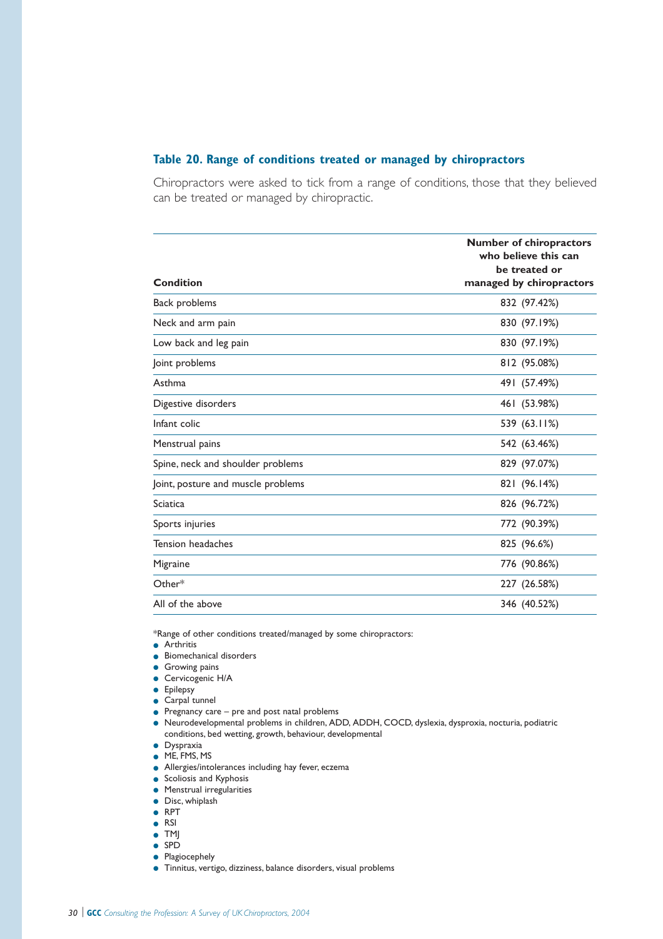#### **Table 20. Range of conditions treated or managed by chiropractors**

Chiropractors were asked to tick from a range of conditions, those that they believed can be treated or managed by chiropractic.

|                                    | <b>Number of chiropractors</b><br>who believe this can<br>be treated or |
|------------------------------------|-------------------------------------------------------------------------|
| <b>Condition</b>                   | managed by chiropractors                                                |
| Back problems                      | 832 (97.42%)                                                            |
| Neck and arm pain                  | 830 (97.19%)                                                            |
| Low back and leg pain              | 830 (97.19%)                                                            |
| Joint problems                     | 812 (95.08%)                                                            |
| Asthma                             | 491 (57.49%)                                                            |
| Digestive disorders                | 461 (53.98%)                                                            |
| Infant colic                       | 539 (63.11%)                                                            |
| Menstrual pains                    | 542 (63.46%)                                                            |
| Spine, neck and shoulder problems  | 829 (97.07%)                                                            |
| Joint, posture and muscle problems | 821 (96.14%)                                                            |
| <b>Sciatica</b>                    | 826 (96.72%)                                                            |
| Sports injuries                    | 772 (90.39%)                                                            |
| Tension headaches                  | 825 (96.6%)                                                             |
| Migraine                           | 776 (90.86%)                                                            |
| Other*                             | 227 (26.58%)                                                            |
| All of the above                   | 346 (40.52%)                                                            |

\*Range of other conditions treated/managed by some chiropractors:

- Arthritis
- Biomechanical disorders
- Growing pains
- Cervicogenic H/A
- Epilepsy
- Carpal tunnel
- $\bullet$  Pregnancy care pre and post natal problems
- Neurodevelopmental problems in children, ADD, ADDH, COCD, dyslexia, dysproxia, nocturia, podiatric conditions, bed wetting, growth, behaviour, developmental
- Dyspraxia
- ME, FMS, MS
- Allergies/intolerances including hay fever, eczema
- Scoliosis and Kyphosis
- Menstrual irregularities
- Disc, whiplash
- RPT
- RSI
- TMJ
- SPD
- Plagiocephely
- Tinnitus, vertigo, dizziness, balance disorders, visual problems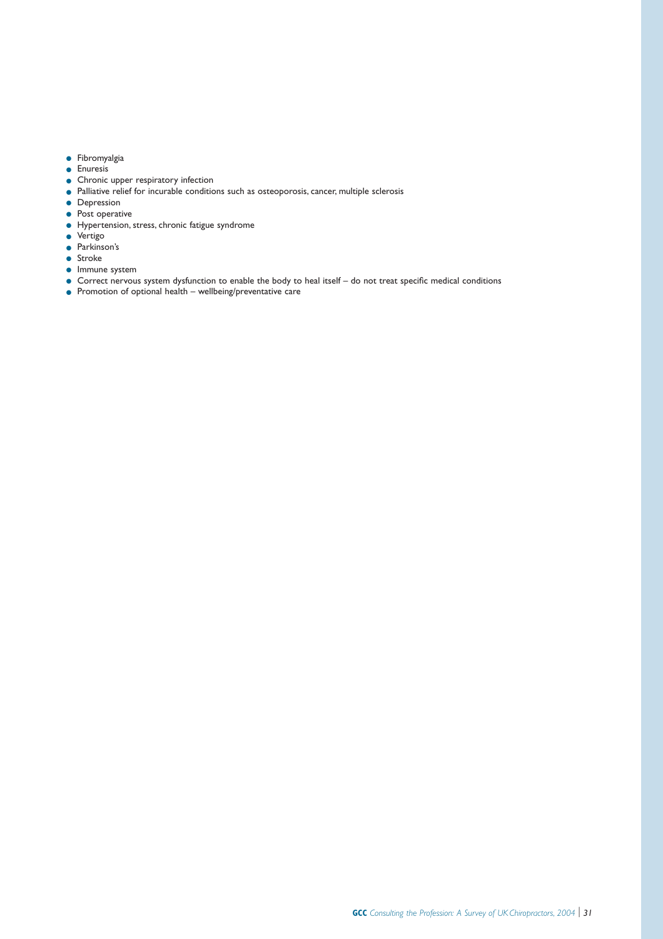- Fibromyalgia
- Enuresis
- Chronic upper respiratory infection
- Palliative relief for incurable conditions such as osteoporosis, cancer, multiple sclerosis
- Depression
- Post operative
- Hypertension, stress, chronic fatigue syndrome
- Vertigo
- Parkinson's
- Stroke
- Immune system
- Correct nervous system dysfunction to enable the body to heal itself do not treat specific medical conditions
- Promotion of optional health wellbeing/preventative care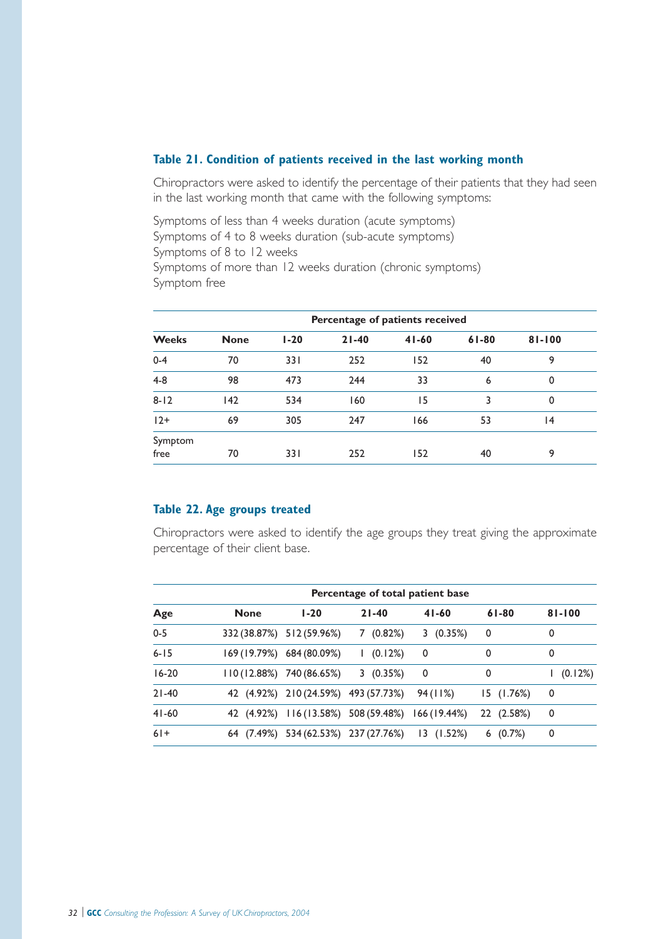#### **Table 21. Condition of patients received in the last working month**

Chiropractors were asked to identify the percentage of their patients that they had seen in the last working month that came with the following symptoms:

Symptoms of less than 4 weeks duration (acute symptoms) Symptoms of 4 to 8 weeks duration (sub-acute symptoms) Symptoms of 8 to 12 weeks Symptoms of more than 12 weeks duration (chronic symptoms) Symptom free

| Percentage of patients received |             |          |           |           |           |        |  |  |
|---------------------------------|-------------|----------|-----------|-----------|-----------|--------|--|--|
| <b>Weeks</b>                    | <b>None</b> | $1 - 20$ | $21 - 40$ | $41 - 60$ | $61 - 80$ | 81-100 |  |  |
| $0 - 4$                         | 70          | 331      | 252       | 152       | 40        | 9      |  |  |
| $4 - 8$                         | 98          | 473      | 244       | 33        | 6         | 0      |  |  |
| $8 - 12$                        | 142         | 534      | 160       | 15        | 3         | 0      |  |  |
| $12+$                           | 69          | 305      | 247       | 166       | 53        | 4      |  |  |
| Symptom                         |             |          |           |           |           |        |  |  |
| free                            | 70          | 331      | 252       | 152       | 40        | 9      |  |  |

#### **Table 22. Age groups treated**

Chiropractors were asked to identify the age groups they treat giving the approximate percentage of their client base.

| Percentage of total patient base |             |                                      |                                                   |              |              |            |  |  |
|----------------------------------|-------------|--------------------------------------|---------------------------------------------------|--------------|--------------|------------|--|--|
| Age                              | <b>None</b> | $1 - 20$                             | $21 - 40$                                         | $41 - 60$    | $61 - 80$    | $81 - 100$ |  |  |
| $0-5$                            |             | 332 (38.87%) 512 (59.96%)            | 7(0.82%)                                          | 3(0.35%)     | 0            | 0          |  |  |
| $6 - 15$                         |             | 169 (19.79%) 684 (80.09%)            | (0.12%)<br>$\mathbf{L}$                           | $\mathbf{0}$ | 0            | 0          |  |  |
| $16 - 20$                        |             | $110(12.88%)$ 740 (86.65%)           | 3(0.35%)                                          | $\mathbf 0$  | 0            | (0.12%)    |  |  |
| $21 - 40$                        |             | 42 (4.92%) 210 (24.59%) 493 (57.73%) |                                                   | 94 (11%)     | $15$ (1.76%) | 0          |  |  |
| $41 - 60$                        |             |                                      | 42 (4.92%) 116 (13.58%) 508 (59.48%) 166 (19.44%) |              | 22 (2.58%)   | 0          |  |  |
| $61+$                            |             |                                      | 64 (7.49%) 534 (62.53%) 237 (27.76%) 13 (1.52%)   |              | 6(0.7%)      | 0          |  |  |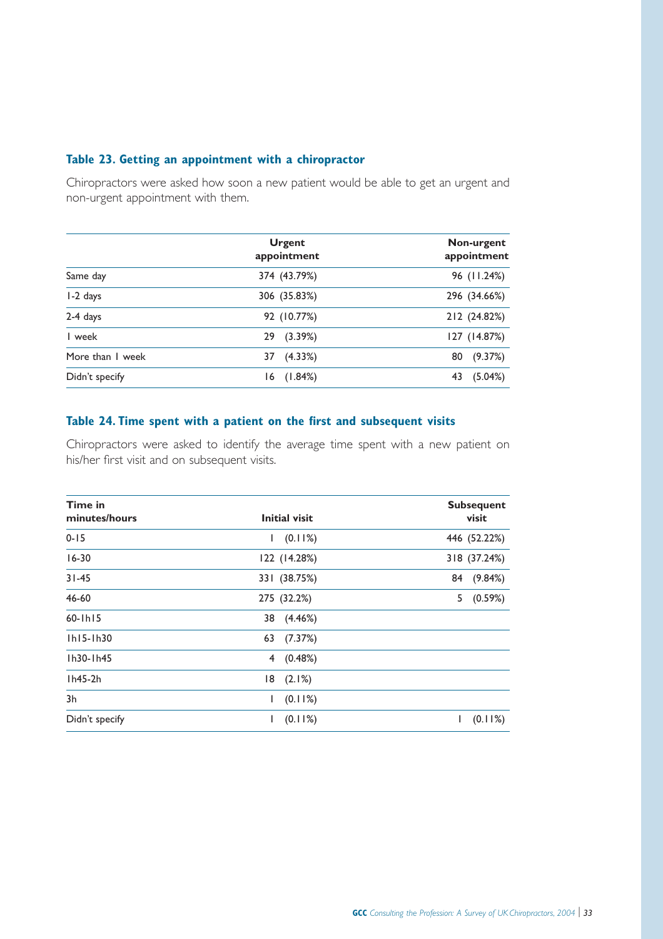### **Table 23. Getting an appointment with a chiropractor**

Chiropractors were asked how soon a new patient would be able to get an urgent and non-urgent appointment with them.

|                  | <b>Urgent</b><br>appointment | Non-urgent<br>appointment |
|------------------|------------------------------|---------------------------|
| Same day         | 374 (43.79%)                 | 96 (11.24%)               |
| I-2 days         | 306 (35.83%)                 | 296 (34.66%)              |
| 2-4 days         | 92 (10.77%)                  | 212 (24.82%)              |
| I week           | 29 (3.39%)                   | 127 (14.87%)              |
| More than I week | (4.33%)<br>37                | (9.37%)<br>80             |
| Didn't specify   | (1.84%)<br>16                | (5.04%)<br>43             |

#### **Table 24. Time spent with a patient on the first and subsequent visits**

Chiropractors were asked to identify the average time spent with a new patient on his/her first visit and on subsequent visits.

| Time in<br>minutes/hours |              | <b>Initial visit</b> | <b>Subsequent</b><br>visit |
|--------------------------|--------------|----------------------|----------------------------|
| $0 - 15$                 | $\mathbf{1}$ | $(0.11\%)$           | 446 (52.22%)               |
| $16 - 30$                |              | 122 (14.28%)         | 318 (37.24%)               |
| $31 - 45$                |              | 331 (38.75%)         | 84 (9.84%)                 |
| 46-60                    | 275 (32.2%)  |                      | 5(0.59%)                   |
| 60-1h15                  |              | 38 (4.46%)           |                            |
| $IhI5-Ih30$              | 63           | (7.37%)              |                            |
| Ih30-1h45                | 4            | (0.48%)              |                            |
| $Ih45-2h$                | 18           | $(2.1\%)$            |                            |
| 3h                       | $\mathbf{I}$ | $(0.11\%)$           |                            |
| Didn't specify           |              | $(0.11\%)$           | $(0.11\%)$                 |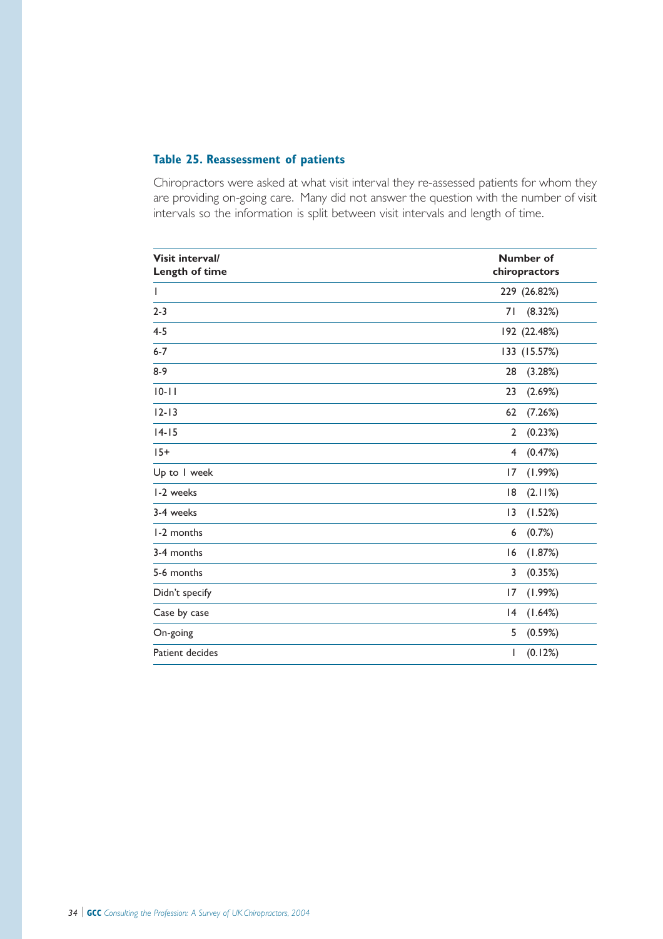## **Table 25. Reassessment of patients**

Chiropractors were asked at what visit interval they re-assessed patients for whom they are providing on-going care. Many did not answer the question with the number of visit intervals so the information is split between visit intervals and length of time.

| <b>Visit interval/</b><br>Length of time | <b>Number of</b><br>chiropractors |
|------------------------------------------|-----------------------------------|
| $\mathbf{I}$                             | 229 (26.82%)                      |
| $2 - 3$                                  | (8.32%)<br>71                     |
| $4-5$                                    | 192 (22.48%)                      |
| $6 - 7$                                  | 133 (15.57%)                      |
| $8-9$                                    | (3.28%)<br>28                     |
| $10 - 11$                                | 23<br>(2.69%)                     |
| $12 - 13$                                | (7.26%)<br>62                     |
| $14 - 15$                                | $\overline{2}$<br>(0.23%)         |
| $15+$                                    | (0.47%)<br>$\overline{4}$         |
| Up to I week                             | (1.99%)<br>17                     |
| 1-2 weeks                                | (2.11%)<br>18                     |
| 3-4 weeks                                | (1.52%)<br> 3                     |
| 1-2 months                               | (0.7%)<br>6                       |
| 3-4 months                               | 16<br>(1.87%)                     |
| 5-6 months                               | (0.35%)<br>3                      |
| Didn't specify                           | (1.99%)<br>17                     |
| Case by case                             | (1.64%)<br> 4                     |
| On-going                                 | (0.59%)<br>5                      |
| Patient decides                          | I<br>(0.12%)                      |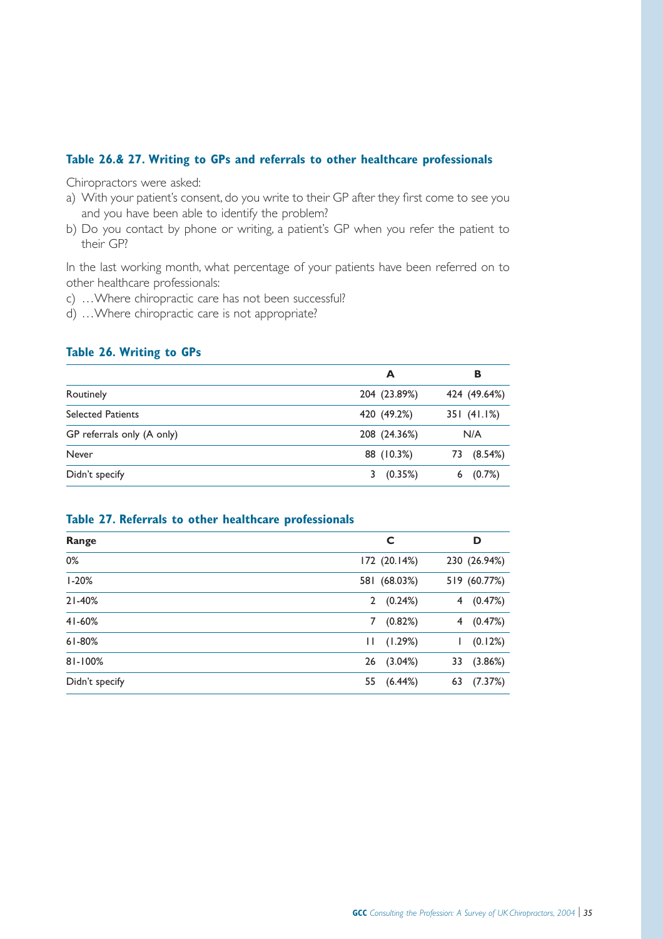#### **Table 26.& 27. Writing to GPs and referrals to other healthcare professionals**

Chiropractors were asked:

- a) With your patient's consent, do you write to their GP after they first come to see you and you have been able to identify the problem?
- b) Do you contact by phone or writing, a patient's GP when you refer the patient to their GP?

In the last working month, what percentage of your patients have been referred on to other healthcare professionals:

- c) …Where chiropractic care has not been successful?
- d) …Where chiropractic care is not appropriate?

#### **Table 26. Writing to GPs**

|                            | А            | в             |
|----------------------------|--------------|---------------|
| Routinely                  | 204 (23.89%) | 424 (49.64%)  |
| <b>Selected Patients</b>   | 420 (49.2%)  | 351 (41.1%)   |
| GP referrals only (A only) | 208 (24.36%) | N/A           |
| Never                      | 88 (10.3%)   | (8.54%)<br>73 |
| Didn't specify             | (0.35%)      | (0.7%)<br>6   |

#### **Table 27. Referrals to other healthcare professionals**

| Range          | C            |    | D            |
|----------------|--------------|----|--------------|
| 0%             | 172 (20.14%) |    | 230 (26.94%) |
| $1 - 20%$      | 581 (68.03%) |    | 519 (60.77%) |
| $21 - 40%$     | 2(0.24%)     |    | 4 (0.47%)    |
| 41-60%         | (0.82%)<br>7 |    | 4 (0.47%)    |
| 61-80%         | 11(1.29%)    | L  | (0.12%)      |
| $81 - 100%$    | 26 (3.04%)   | 33 | (3.86%)      |
| Didn't specify | 55 (6.44%)   | 63 | (7.37%)      |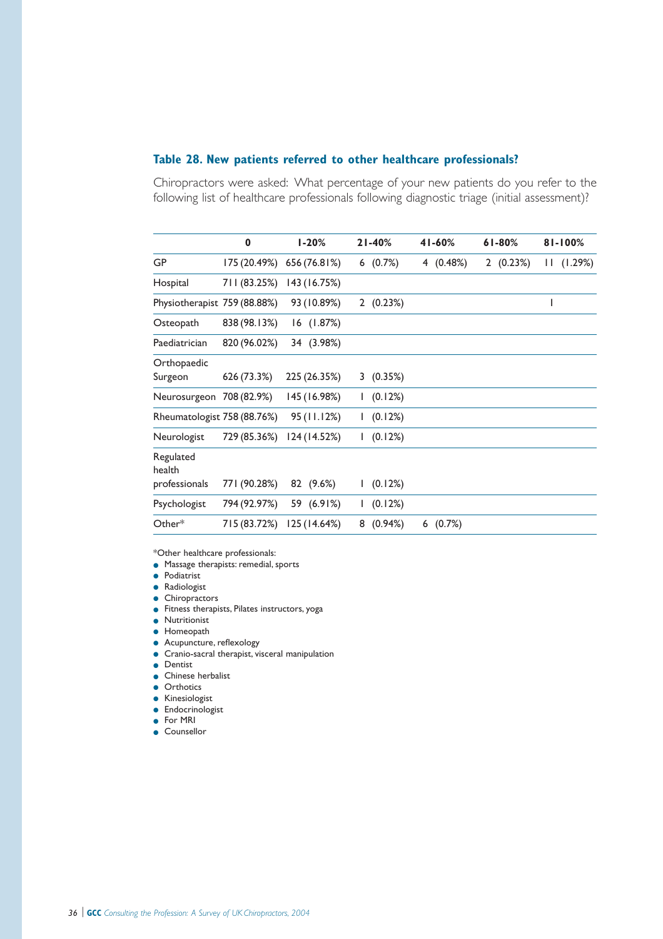### **Table 28. New patients referred to other healthcare professionals?**

Chiropractors were asked: What percentage of your new patients do you refer to the following list of healthcare professionals following diagnostic triage (initial assessment)?

|                              | 0             | $1 - 20%$     | $21 - 40%$   | $41 - 60%$  | $61 - 80%$ | 81-100%      |
|------------------------------|---------------|---------------|--------------|-------------|------------|--------------|
| GP                           | I 75 (20.49%) | 656 (76.81%)  | 6(0.7%)      | 4 (0.48%)   | 2(0.23%)   | (1.29%)<br>H |
| Hospital                     | 711 (83.25%)  | 143 (16.75%)  |              |             |            |              |
| Physiotherapist 759 (88.88%) |               | 93 (10.89%)   | 2(0.23%)     |             |            |              |
| Osteopath                    | 838 (98.13%)  | (1.87%)<br>16 |              |             |            |              |
| Paediatrician                | 820 (96.02%)  | 34 (3.98%)    |              |             |            |              |
| Orthopaedic<br>Surgeon       | 626 (73.3%)   | 225 (26.35%)  | 3(0.35%)     |             |            |              |
| Neurosurgeon                 | 708 (82.9%)   | 145 (16.98%)  | (0.12%)      |             |            |              |
| Rheumatologist 758 (88.76%)  |               | 95 (11.12%)   | (0.12%)      |             |            |              |
| Neurologist                  | 729 (85.36%)  | 124 (14.52%)  | (0.12%)      |             |            |              |
| Regulated<br>health          |               |               |              |             |            |              |
| professionals                | 771 (90.28%)  | 82 (9.6%)     | (0.12%)      |             |            |              |
| Psychologist                 | 794 (92.97%)  | (6.91%)<br>59 | (0.12%)      |             |            |              |
| Other*                       | 715 (83.72%)  | 125 (14.64%)  | 8<br>(0.94%) | (0.7%)<br>6 |            |              |

\*Other healthcare professionals:

- Massage therapists: remedial, sports
- Podiatrist
- Radiologist
- Chiropractors
- Fitness therapists, Pilates instructors, yoga
- Nutritionist
- Homeopath
- Acupuncture, reflexology
- Cranio-sacral therapist, visceral manipulation
- Dentist
- Chinese herbalist
- Orthotics
- Kinesiologist
- **•** Endocrinologist
- For MRI
- Counsellor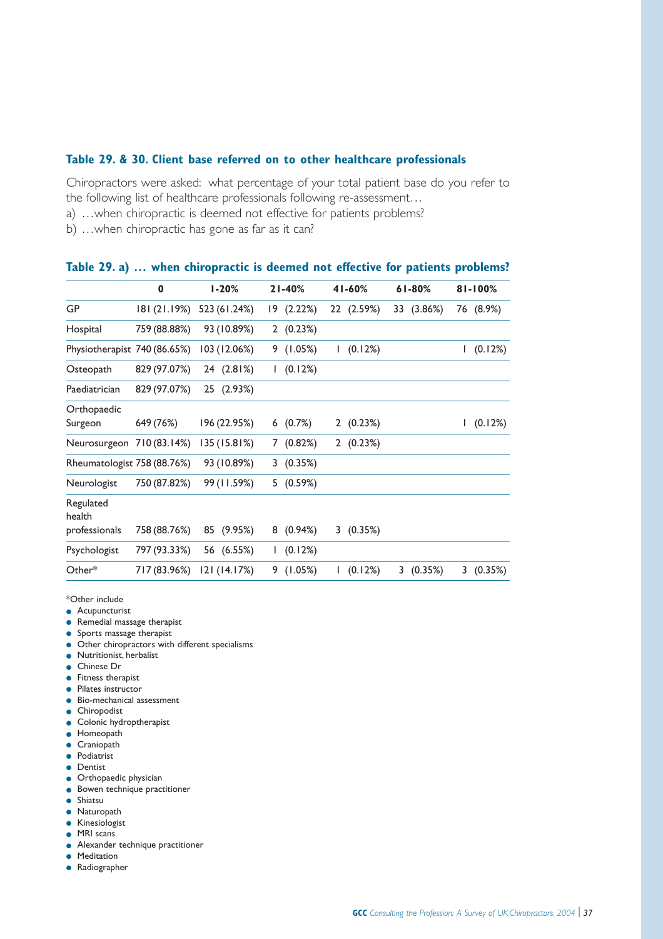#### **Table 29. & 30. Client base referred on to other healthcare professionals**

Chiropractors were asked: what percentage of your total patient base do you refer to the following list of healthcare professionals following re-assessment…

a) …when chiropractic is deemed not effective for patients problems?

b) …when chiropractic has gone as far as it can?

|                              | 0            | $1 - 20%$    | $21 - 40%$    | 41-60%       | $61 - 80%$ | 81-100%      |
|------------------------------|--------------|--------------|---------------|--------------|------------|--------------|
| GP                           | 181 (21.19%) | 523 (61.24%) | 19 (2.22%)    | 22 (2.59%)   | 33 (3.86%) | 76 (8.9%)    |
| Hospital                     | 759 (88.88%) | 93 (10.89%)  | 2(0.23%)      |              |            |              |
| Physiotherapist 740 (86.65%) |              | 103 (12.06%) | (1.05%)<br>9. | (0.12%)<br>L |            | (0.12%)      |
| Osteopath                    | 829 (97.07%) | 24 (2.81%)   | 1(0.12%)      |              |            |              |
| Paediatrician                | 829 (97.07%) | 25 (2.93%)   |               |              |            |              |
| Orthopaedic<br>Surgeon       | 649 (76%)    | 196 (22.95%) | 6(0.7%)       | 2(0.23%)     |            | (0.12%)      |
| Neurosurgeon 710 (83.14%)    |              | 135 (15.81%) | 7(0.82%)      | 2(0.23%)     |            |              |
| Rheumatologist 758 (88.76%)  |              | 93 (10.89%)  | 3(0.35%)      |              |            |              |
| Neurologist                  | 750 (87.82%) | 99 (11.59%)  | 5(0.59%)      |              |            |              |
| Regulated<br>health          |              |              |               |              |            |              |
| professionals                | 758 (88.76%) | 85 (9.95%)   | (0.94%)<br>8  | 3(0.35%)     |            |              |
| Psychologist                 | 797 (93.33%) | 56 (6.55%)   | (0.12%)       |              |            |              |
| Other*                       | 717 (83.96%) | 121 (14.17%) | (1.05%)<br>9  | (0.12%)      | 3(0.35%)   | (0.35%)<br>3 |
|                              |              |              |               |              |            |              |

#### **Table 29. a) … when chiropractic is deemed not effective for patients problems?**

\*Other include

- Acupuncturist
- Remedial massage therapist
- Sports massage therapist
- Other chiropractors with different specialisms
- Nutritionist, herbalist
- Chinese Dr
- Fitness therapist
- Pilates instructor
- Bio-mechanical assessment
- Chiropodist
- Colonic hydroptherapist
- Homeopath
- Craniopath ● Podiatrist
- Dentist
- Orthopaedic physician
- Bowen technique practitioner
- Shiatsu
- Naturopath
- Kinesiologist
- MRI scans
- Alexander technique practitioner
- Meditation
- Radiographer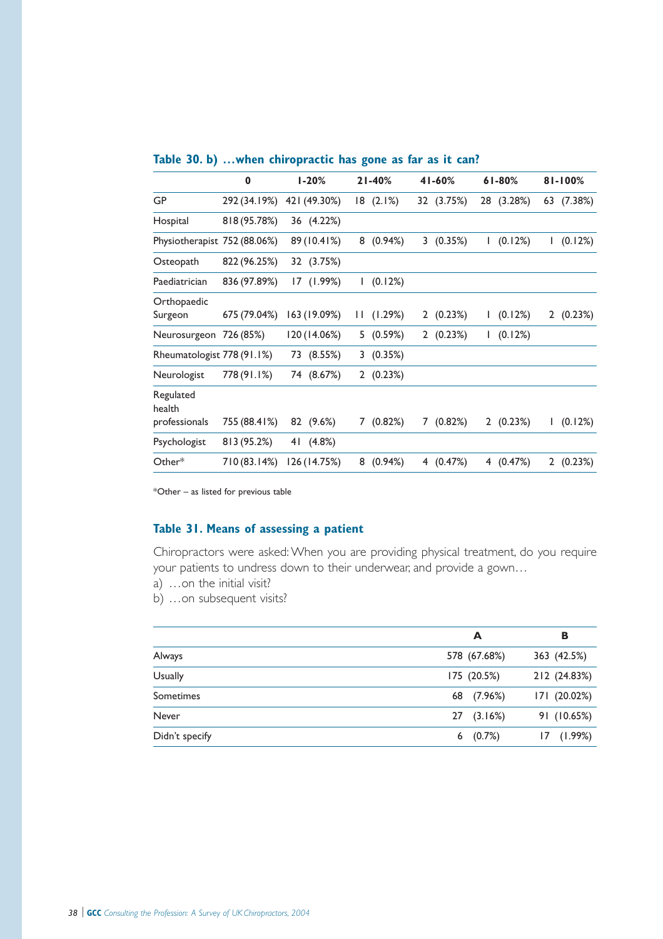|                              | 0            | $1 - 20%$     | $21 - 40%$   | $41 - 60%$   | $61 - 80%$   | 81-100%                 |
|------------------------------|--------------|---------------|--------------|--------------|--------------|-------------------------|
| <b>GP</b>                    | 292 (34.19%) | 421 (49.30%)  | 18(2.1%)     | 32 (3.75%)   | 28 (3.28%)   | (7.38%)<br>63           |
| Hospital                     | 818 (95.78%) | 36 (4.22%)    |              |              |              |                         |
| Physiotherapist 752 (88.06%) |              | 89 (10.41%)   | (0.94%)<br>8 | (0.35%)<br>3 | (0.12%)<br>L | (0.12%)<br>L            |
| Osteopath                    | 822 (96.25%) | 32 (3.75%)    |              |              |              |                         |
| Paediatrician                | 836 (97.89%) | 17 (1.99%)    | (0.12%)<br>L |              |              |                         |
| Orthopaedic<br>Surgeon       | 675 (79.04%) | 163 (19.09%)  | (1.29%)<br>H | 2(0.23%)     | (0.12%)<br>L | (0.23%)<br>$\mathbf{2}$ |
| Neurosurgeon                 | 726 (85%)    | 120 (14.06%)  | 5 (0.59%)    | 2(0.23%)     | (0.12%)      |                         |
| Rheumatologist 778 (91.1%)   |              | (8.55%)<br>73 | (0.35%)<br>3 |              |              |                         |
| Neurologist                  | 778 (91.1%)  | 74 (8.67%)    | 2(0.23%)     |              |              |                         |
| Regulated<br>health          |              |               |              |              |              |                         |
| professionals                | 755 (88.41%) | 82 (9.6%)     | (0.82%)<br>7 | (0.82%)<br>7 | 2(0.23%)     | (0.12%)<br>L            |
| Psychologist                 | 813 (95.2%)  | (4.8%)<br>41  |              |              |              |                         |
| Other $*$                    | 710 (83.14%) | 126 (14.75%)  | 8<br>(0.94%) | (0.47%)<br>4 | (0.47%)<br>4 | 2<br>(0.23%)            |

**Table 30. b) …when chiropractic has gone as far as it can?**

\*Other – as listed for previous table

#### **Table 31. Means of assessing a patient**

Chiropractors were asked: When you are providing physical treatment, do you require your patients to undress down to their underwear, and provide a gown…

a) …on the initial visit?

b) …on subsequent visits?

|                  | А             | в            |
|------------------|---------------|--------------|
| Always           | 578 (67.68%)  | 363 (42.5%)  |
| Usually          | 175 (20.5%)   | 212 (24.83%) |
| <b>Sometimes</b> | (7.96%)<br>68 | 171 (20.02%) |
| Never            | (3.16%)<br>27 | 91 (10.65%)  |
| Didn't specify   | (0.7%)<br>6   | 17(1.99%)    |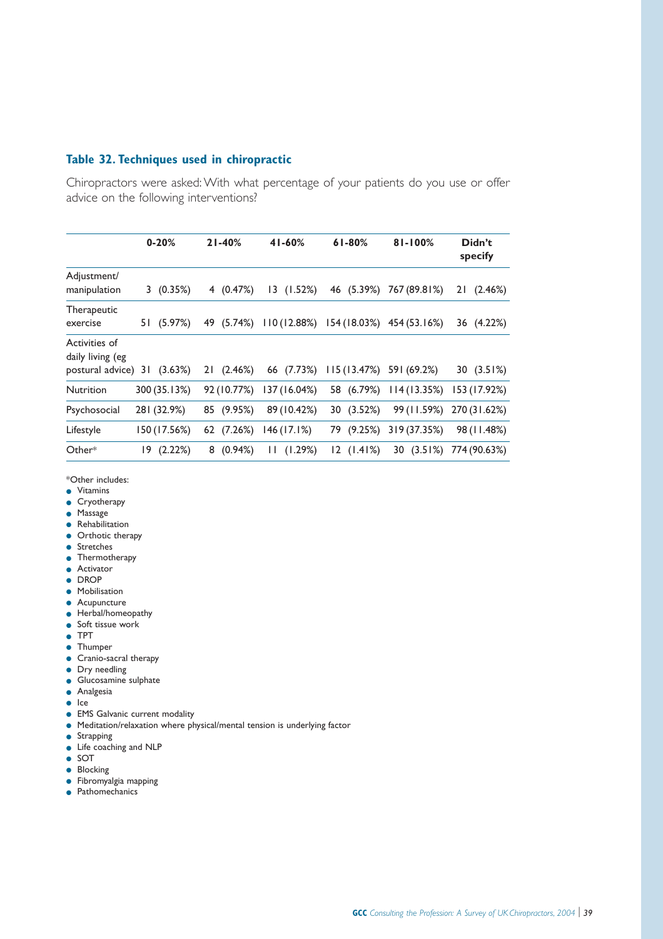#### **Table 32. Techniques used in chiropractic**

Chiropractors were asked: With what percentage of your patients do you use or offer advice on the following interventions?

|                                                       | $0 - 20%$     | $21 - 40%$       | $41 - 60%$     | $61 - 80%$                              | $81 - 100%$   | Didn't<br>specify |
|-------------------------------------------------------|---------------|------------------|----------------|-----------------------------------------|---------------|-------------------|
| Adjustment/<br>manipulation                           | 3(0.35%)      | 4(0.47%)         | $13$ $(1.52%)$ | 46 (5.39%)                              | 767 (89.81%)  | (2.46%)<br>21     |
| Therapeutic<br>exercise                               | 51 (5.97%)    | 49 (5.74%)       |                | $110(12.88%)$ 154 (18.03%) 454 (53.16%) |               | 36 (4.22%)        |
| Activities of<br>daily living (eg<br>postural advice) | 31(3.63%)     | $(2.46\%)$<br>21 | 66 (7.73%)     | 115(13.47%)                             | 591 (69.2%)   | 30 (3.51%)        |
| Nutrition                                             | 300 (35.13%)  | 92 (10.77%)      | 137 (16.04%)   | 58 (6.79%)                              | 114(13.35%)   | 153 (17.92%)      |
| Psychosocial                                          | 281 (32.9%)   | (9.95%)<br>85    | 89 (10.42%)    | 30 (3.52%)                              | 99 (11.59%)   | 270 (31.62%)      |
| Lifestyle                                             | 150 (17.56%)  | (7.26%)<br>62    | 146(17.1%)     | 79 (9.25%)                              | 319 (37.35%)  | 98 (11.48%)       |
| Other*                                                | (2.22%)<br>19 | (0.94%)<br>8     | (1.29%)<br>П   | 12(1.41%)                               | (3.51%)<br>30 | 774 (90.63%)      |

\*Other includes:

- Vitamins
- Cryotherapy
- Massage
- Rehabilitation
- Orthotic therapy
- Stretches
- Thermotherapy
- Activator
- DROP
- Mobilisation
- Acupuncture
- Herbal/homeopathy
- Soft tissue work
- TPT
- Thumper
- Cranio-sacral therapy
- Dry needling
- $\bullet$  Glucosamine sulphate
- Analgesia
- Ice
- EMS Galvanic current modality
- Meditation/relaxation where physical/mental tension is underlying factor
- Strapping
- Life coaching and NLP
- SOT
- Blocking
- Fibromyalgia mapping
- Pathomechanics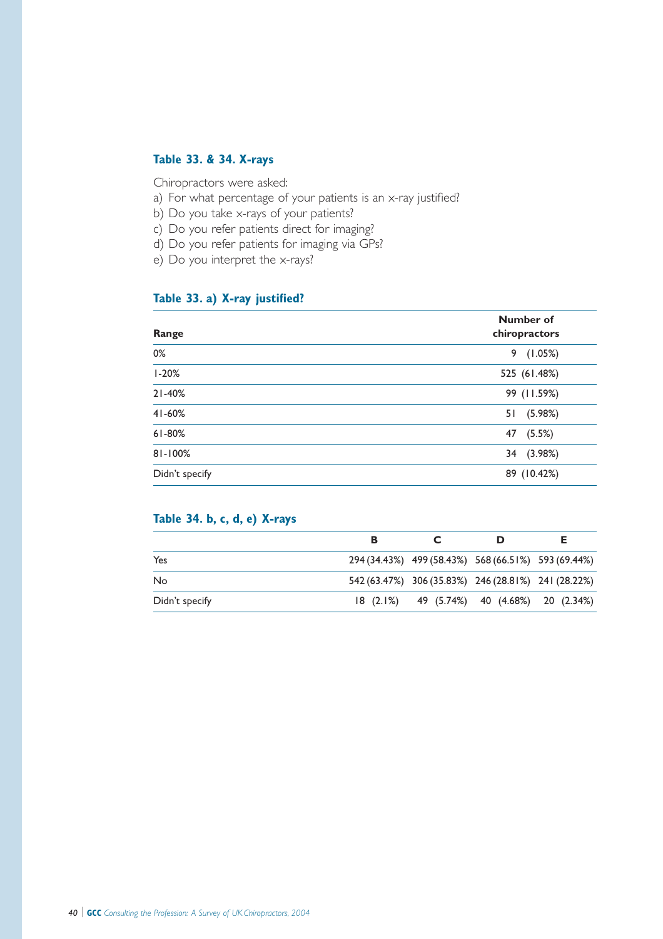#### **Table 33. & 34. X-rays**

Chiropractors were asked:

- a) For what percentage of your patients is an x-ray justified?
- b) Do you take x-rays of your patients?
- c) Do you refer patients direct for imaging?
- d) Do you refer patients for imaging via GPs?
- e) Do you interpret the x-rays?

#### **Table 33. a) X-ray justified?**

| Range          | Number of<br>chiropractors |
|----------------|----------------------------|
| $0\%$          | (1.05%)<br>9               |
| $1 - 20%$      | 525 (61.48%)               |
| $21 - 40%$     | 99 (11.59%)                |
| 41-60%         | (5.98%)<br>51              |
| 61-80%         | (5.5%)<br>47               |
| 81-100%        | (3.98%)<br>34              |
| Didn't specify | 89 (10.42%)                |

#### **Table 34. b, c, d, e) X-rays**

| Yes            |  | 294 (34.43%) 499 (58.43%) 568 (66.51%) 593 (69.44%)            |                                                     |
|----------------|--|----------------------------------------------------------------|-----------------------------------------------------|
| <b>No</b>      |  |                                                                | 542 (63.47%) 306 (35.83%) 246 (28.81%) 241 (28.22%) |
| Didn't specify |  | $18$ $(2.1\%)$ $49$ $(5.74\%)$ $40$ $(4.68\%)$ $20$ $(2.34\%)$ |                                                     |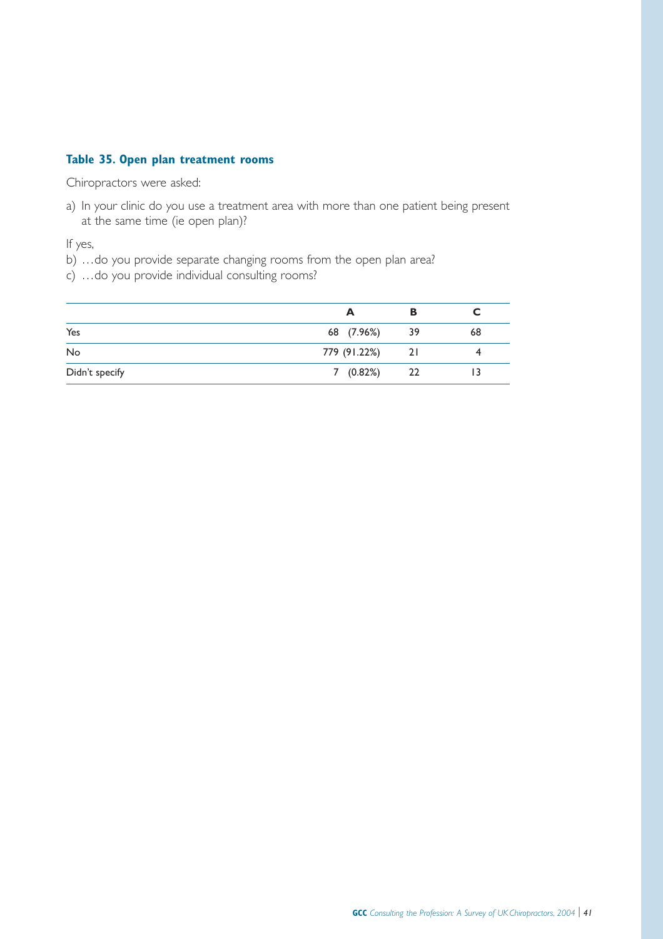### **Table 35. Open plan treatment rooms**

Chiropractors were asked:

a) In your clinic do you use a treatment area with more than one patient being present at the same time (ie open plan)?

If yes,

- b) ...do you provide separate changing rooms from the open plan area?
- c) …do you provide individual consulting rooms?

|                |              | в    |    |
|----------------|--------------|------|----|
| Yes            | 68 (7.96%)   | - 39 | 68 |
| No             | 779 (91.22%) | 21   |    |
| Didn't specify | 7(0.82%)     | 22   |    |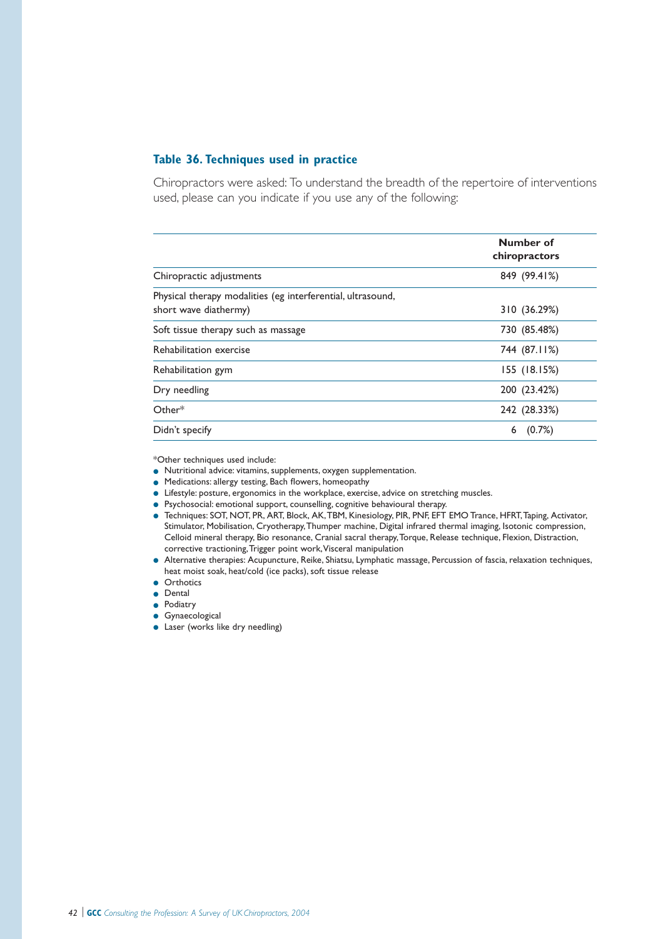#### **Table 36. Techniques used in practice**

Chiropractors were asked: To understand the breadth of the repertoire of interventions used, please can you indicate if you use any of the following:

|                                                                                      | Number of<br>chiropractors |
|--------------------------------------------------------------------------------------|----------------------------|
| Chiropractic adjustments                                                             | 849 (99.41%)               |
| Physical therapy modalities (eg interferential, ultrasound,<br>short wave diathermy) | 310 (36.29%)               |
| Soft tissue therapy such as massage                                                  | 730 (85.48%)               |
| Rehabilitation exercise                                                              | 744 (87.11%)               |
| Rehabilitation gym                                                                   | 155 (18.15%)               |
| Dry needling                                                                         | 200 (23.42%)               |
| $Other*$                                                                             | 242 (28.33%)               |
| Didn't specify                                                                       | (0.7%)<br>6                |

\*Other techniques used include:

- Nutritional advice: vitamins, supplements, oxygen supplementation.
- Medications: allergy testing, Bach flowers, homeopathy
- Lifestyle: posture, ergonomics in the workplace, exercise, advice on stretching muscles.
- Psychosocial: emotional support, counselling, cognitive behavioural therapy.
- Techniques: SOT, NOT, PR, ART, Block, AK,TBM, Kinesiology, PIR, PNF, EFT EMO Trance, HFRT,Taping, Activator, Stimulator, Mobilisation, Cryotherapy,Thumper machine, Digital infrared thermal imaging, Isotonic compression, Celloid mineral therapy, Bio resonance, Cranial sacral therapy,Torque, Release technique, Flexion, Distraction, corrective tractioning,Trigger point work,Visceral manipulation
- Alternative therapies: Acupuncture, Reike, Shiatsu, Lymphatic massage, Percussion of fascia, relaxation techniques, heat moist soak, heat/cold (ice packs), soft tissue release
- Orthotics
- Dental
- Podiatry
- Gynaecological
- Laser (works like dry needling)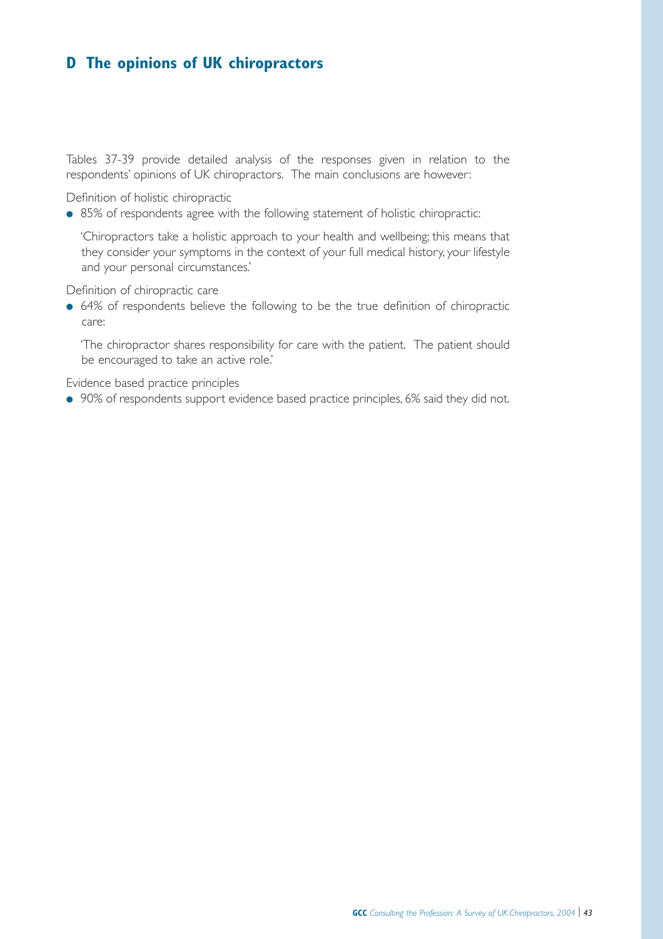# **D The opinions of UK chiropractors**

Tables 37-39 provide detailed analysis of the responses given in relation to the respondents' opinions of UK chiropractors. The main conclusions are however:

Definition of holistic chiropractic

● 85% of respondents agree with the following statement of holistic chiropractic:

'Chiropractors take a holistic approach to your health and wellbeing; this means that they consider your symptoms in the context of your full medical history, your lifestyle and your personal circumstances.'

Definition of chiropractic care

● 64% of respondents believe the following to be the true definition of chiropractic care:

'The chiropractor shares responsibility for care with the patient. The patient should be encouraged to take an active role.'

Evidence based practice principles

● 90% of respondents support evidence based practice principles, 6% said they did not.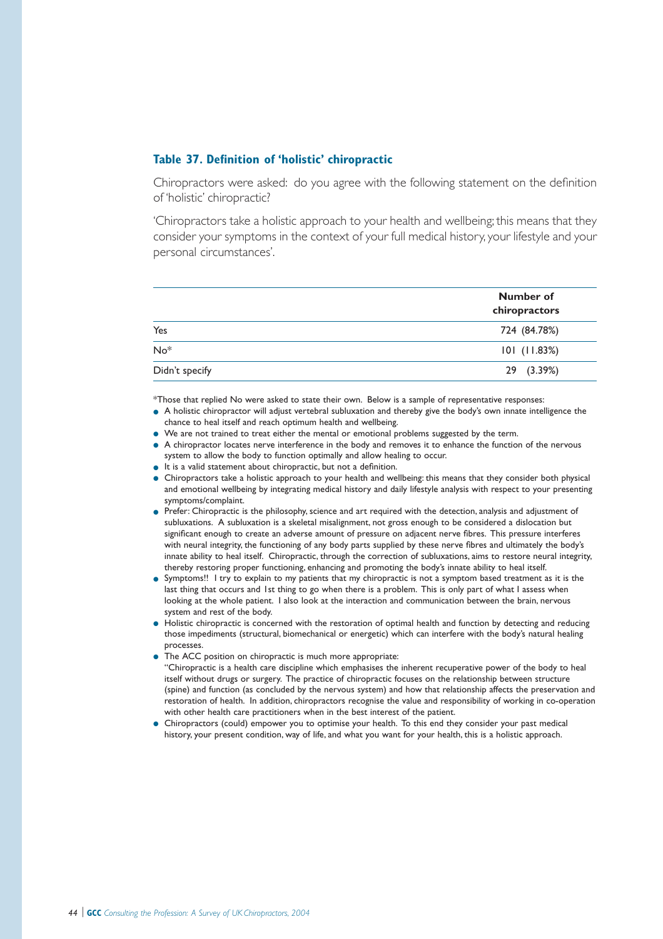#### **Table 37. Definition of 'holistic' chiropractic**

Chiropractors were asked: do you agree with the following statement on the definition of 'holistic' chiropractic?

'Chiropractors take a holistic approach to your health and wellbeing; this means that they consider your symptoms in the context of your full medical history, your lifestyle and your personal circumstances'.

|                | Number of<br>chiropractors |
|----------------|----------------------------|
| Yes            | 724 (84.78%)               |
| $No*$          | $101$ (11.83%)             |
| Didn't specify | 29 (3.39%)                 |

\*Those that replied No were asked to state their own. Below is a sample of representative responses:

- A holistic chiropractor will adjust vertebral subluxation and thereby give the body's own innate intelligence the chance to heal itself and reach optimum health and wellbeing.
- We are not trained to treat either the mental or emotional problems suggested by the term.
- A chiropractor locates nerve interference in the body and removes it to enhance the function of the nervous system to allow the body to function optimally and allow healing to occur.
- It is a valid statement about chiropractic, but not a definition.
- Chiropractors take a holistic approach to your health and wellbeing: this means that they consider both physical and emotional wellbeing by integrating medical history and daily lifestyle analysis with respect to your presenting symptoms/complaint.
- Prefer: Chiropractic is the philosophy, science and art required with the detection, analysis and adjustment of subluxations. A subluxation is a skeletal misalignment, not gross enough to be considered a dislocation but significant enough to create an adverse amount of pressure on adjacent nerve fibres. This pressure interferes with neural integrity, the functioning of any body parts supplied by these nerve fibres and ultimately the body's innate ability to heal itself. Chiropractic, through the correction of subluxations, aims to restore neural integrity, thereby restoring proper functioning, enhancing and promoting the body's innate ability to heal itself.
- Symptoms!! I try to explain to my patients that my chiropractic is not a symptom based treatment as it is the last thing that occurs and 1st thing to go when there is a problem. This is only part of what I assess when looking at the whole patient. I also look at the interaction and communication between the brain, nervous system and rest of the body.
- Holistic chiropractic is concerned with the restoration of optimal health and function by detecting and reducing those impediments (structural, biomechanical or energetic) which can interfere with the body's natural healing processes.
- The ACC position on chiropractic is much more appropriate:
- "Chiropractic is a health care discipline which emphasises the inherent recuperative power of the body to heal itself without drugs or surgery. The practice of chiropractic focuses on the relationship between structure (spine) and function (as concluded by the nervous system) and how that relationship affects the preservation and restoration of health. In addition, chiropractors recognise the value and responsibility of working in co-operation with other health care practitioners when in the best interest of the patient.
- Chiropractors (could) empower you to optimise your health. To this end they consider your past medical history, your present condition, way of life, and what you want for your health, this is a holistic approach.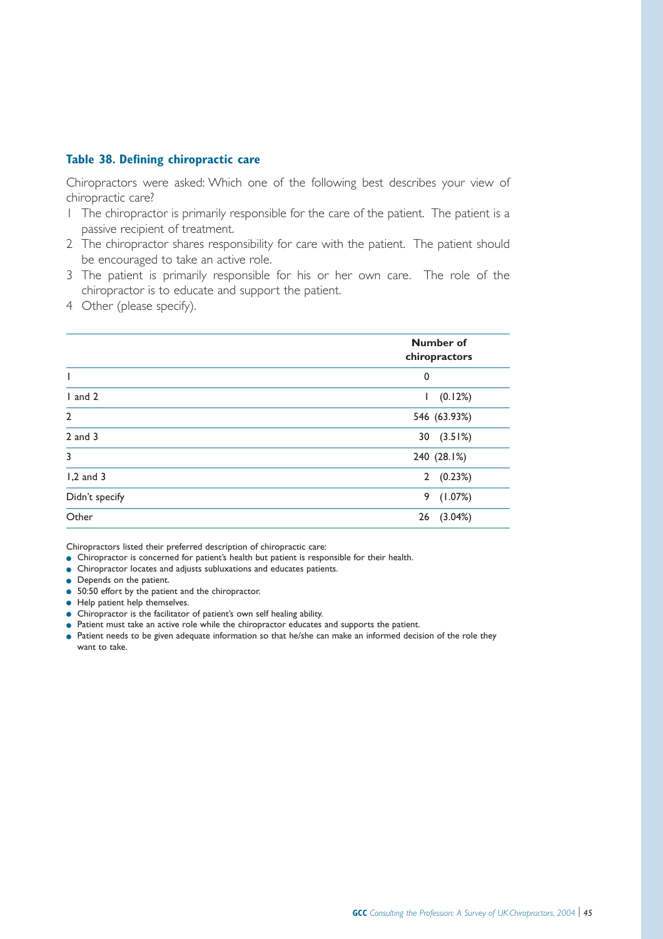#### **Table 38. Defining chiropractic care**

Chiropractors were asked: Which one of the following best describes your view of chiropractic care?

- 1 The chiropractor is primarily responsible for the care of the patient. The patient is a passive recipient of treatment.
- 2 The chiropractor shares responsibility for care with the patient. The patient should be encouraged to take an active role.
- 3 The patient is primarily responsible for his or her own care. The role of the chiropractor is to educate and support the patient.
- 4 Other (please specify).

|                | <b>Number of</b><br>chiropractors |  |  |  |  |
|----------------|-----------------------------------|--|--|--|--|
|                | 0                                 |  |  |  |  |
| I and 2        | (0.12%)<br>L                      |  |  |  |  |
| $\overline{2}$ | 546 (63.93%)                      |  |  |  |  |
| $2$ and $3$    | (3.51%)<br>30                     |  |  |  |  |
| 3              | 240 (28.1%)                       |  |  |  |  |
| $1,2$ and 3    | (0.23%)<br>$\overline{2}$         |  |  |  |  |
| Didn't specify | 9<br>(1.07%)                      |  |  |  |  |
| Other          | (3.04%)<br>26                     |  |  |  |  |

Chiropractors listed their preferred description of chiropractic care:

- Chiropractor is concerned for patient's health but patient is responsible for their health.
- Chiropractor locates and adjusts subluxations and educates patients.
- Depends on the patient.
- 50:50 effort by the patient and the chiropractor.
- Help patient help themselves.
- Chiropractor is the facilitator of patient's own self healing ability.
- Patient must take an active role while the chiropractor educates and supports the patient.
- Patient needs to be given adequate information so that he/she can make an informed decision of the role they want to take.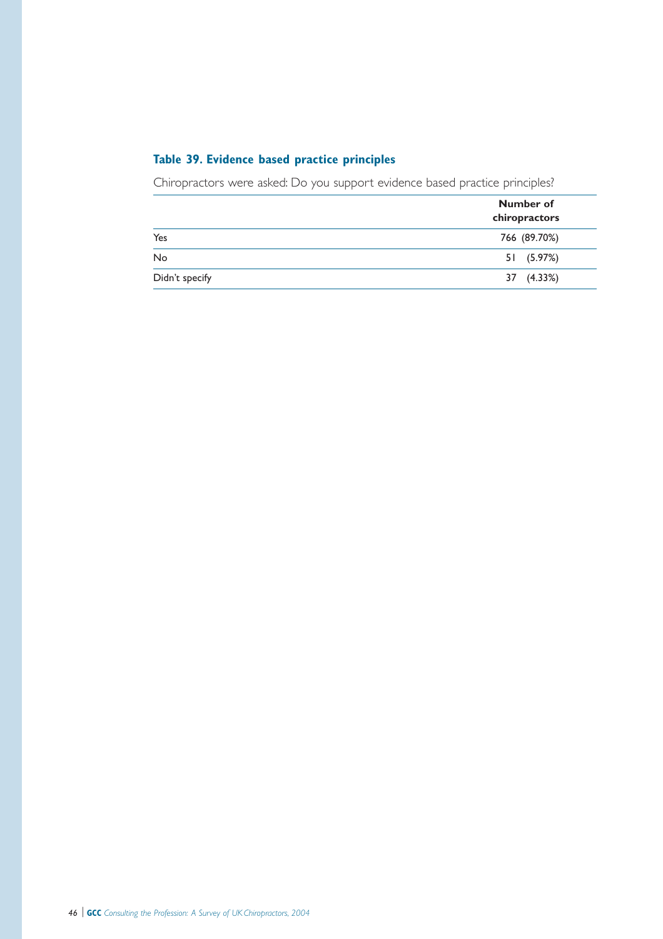# **Table 39. Evidence based practice principles**

Chiropractors were asked: Do you support evidence based practice principles?

|                | Number of<br>chiropractors |  |
|----------------|----------------------------|--|
| Yes            | 766 (89.70%)               |  |
| No             | 51 (5.97%)                 |  |
| Didn't specify | 37 (4.33%)                 |  |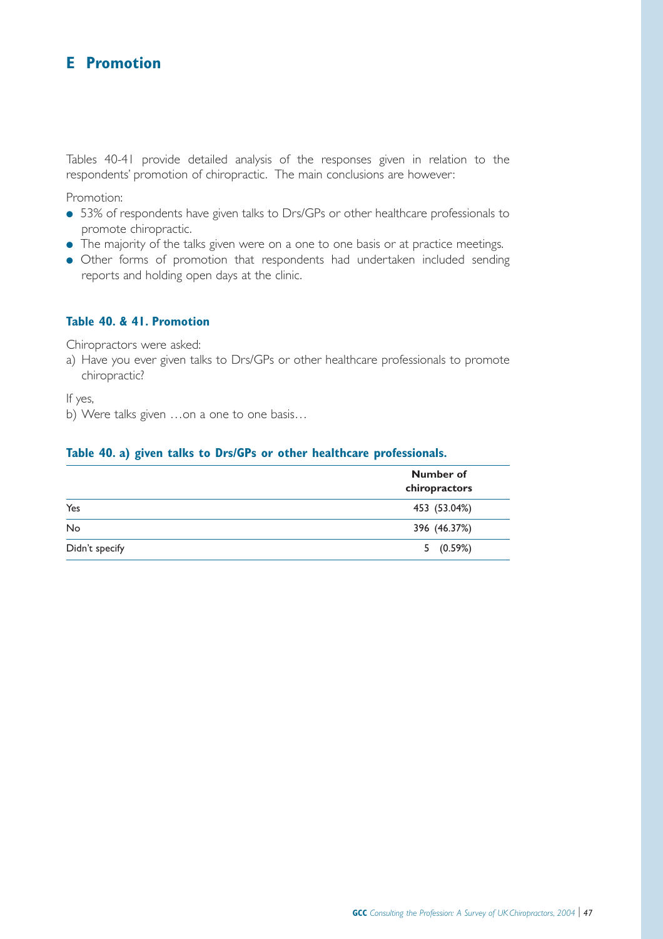# **E Promotion**

Tables 40-41 provide detailed analysis of the responses given in relation to the respondents' promotion of chiropractic. The main conclusions are however:

Promotion:

- 53% of respondents have given talks to Drs/GPs or other healthcare professionals to promote chiropractic.
- The majority of the talks given were on a one to one basis or at practice meetings.
- Other forms of promotion that respondents had undertaken included sending reports and holding open days at the clinic.

#### **Table 40. & 41. Promotion**

Chiropractors were asked:

a) Have you ever given talks to Drs/GPs or other healthcare professionals to promote chiropractic?

If yes,

b) Were talks given ...on a one to one basis...

#### **Table 40. a) given talks to Drs/GPs or other healthcare professionals.**

|                | Number of<br>chiropractors |
|----------------|----------------------------|
| Yes            | 453 (53.04%)               |
| <b>No</b>      | 396 (46.37%)               |
| Didn't specify | 5(0.59%)                   |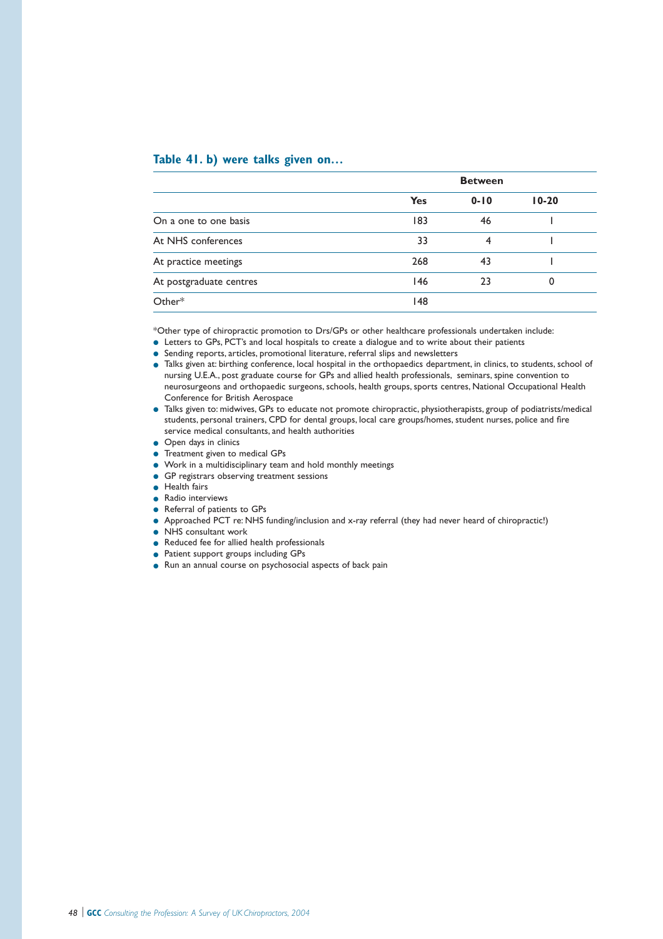#### **Table 41. b) were talks given on…**

|                         | <b>Between</b> |          |         |  |  |
|-------------------------|----------------|----------|---------|--|--|
|                         | <b>Yes</b>     | $0 - 10$ | $10-20$ |  |  |
| On a one to one basis   | 183            | 46       |         |  |  |
| At NHS conferences      | 33             | 4        |         |  |  |
| At practice meetings    | 268            | 43       |         |  |  |
| At postgraduate centres | 146            | 23       | 0       |  |  |
| Other*                  | 148            |          |         |  |  |

\*Other type of chiropractic promotion to Drs/GPs or other healthcare professionals undertaken include:

- Letters to GPs, PCT's and local hospitals to create a dialogue and to write about their patients
- Sending reports, articles, promotional literature, referral slips and newsletters
- Talks given at: birthing conference, local hospital in the orthopaedics department, in clinics, to students, school of nursing U.E.A., post graduate course for GPs and allied health professionals, seminars, spine convention to neurosurgeons and orthopaedic surgeons, schools, health groups, sports centres, National Occupational Health Conference for British Aerospace
- Talks given to: midwives, GPs to educate not promote chiropractic, physiotherapists, group of podiatrists/medical students, personal trainers, CPD for dental groups, local care groups/homes, student nurses, police and fire service medical consultants, and health authorities
- Open days in clinics
- **•** Treatment given to medical GPs
- Work in a multidisciplinary team and hold monthly meetings
- GP registrars observing treatment sessions
- Health fairs
- Radio interviews
- Referral of patients to GPs
- Approached PCT re: NHS funding/inclusion and x-ray referral (they had never heard of chiropractic!)
- NHS consultant work
- Reduced fee for allied health professionals
- Patient support groups including GPs
- Run an annual course on psychosocial aspects of back pain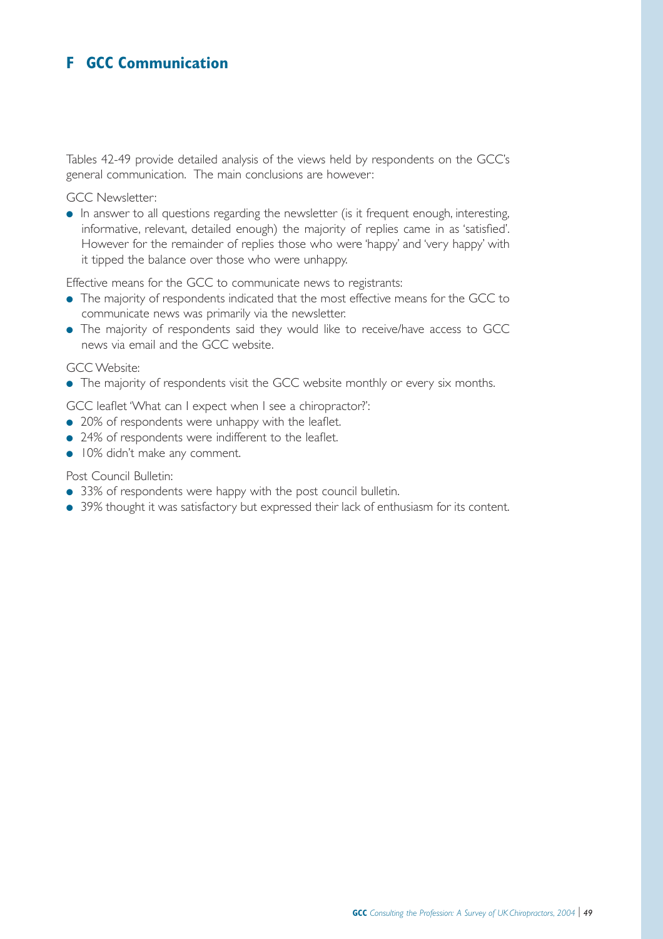# **F GCC Communication**

Tables 42-49 provide detailed analysis of the views held by respondents on the GCC's general communication. The main conclusions are however:

GCC Newsletter:

● In answer to all questions regarding the newsletter (is it frequent enough, interesting, informative, relevant, detailed enough) the majority of replies came in as 'satisfied'. However for the remainder of replies those who were 'happy' and 'very happy' with it tipped the balance over those who were unhappy.

Effective means for the GCC to communicate news to registrants:

- The majority of respondents indicated that the most effective means for the GCC to communicate news was primarily via the newsletter.
- The majority of respondents said they would like to receive/have access to GCC news via email and the GCC website.

#### GCC Website:

• The majority of respondents visit the GCC website monthly or every six months.

GCC leaflet 'What can I expect when I see a chiropractor?':

- 20% of respondents were unhappy with the leaflet.
- 24% of respondents were indifferent to the leaflet.
- 10% didn't make any comment.

Post Council Bulletin:

- 33% of respondents were happy with the post council bulletin.
- 39% thought it was satisfactory but expressed their lack of enthusiasm for its content.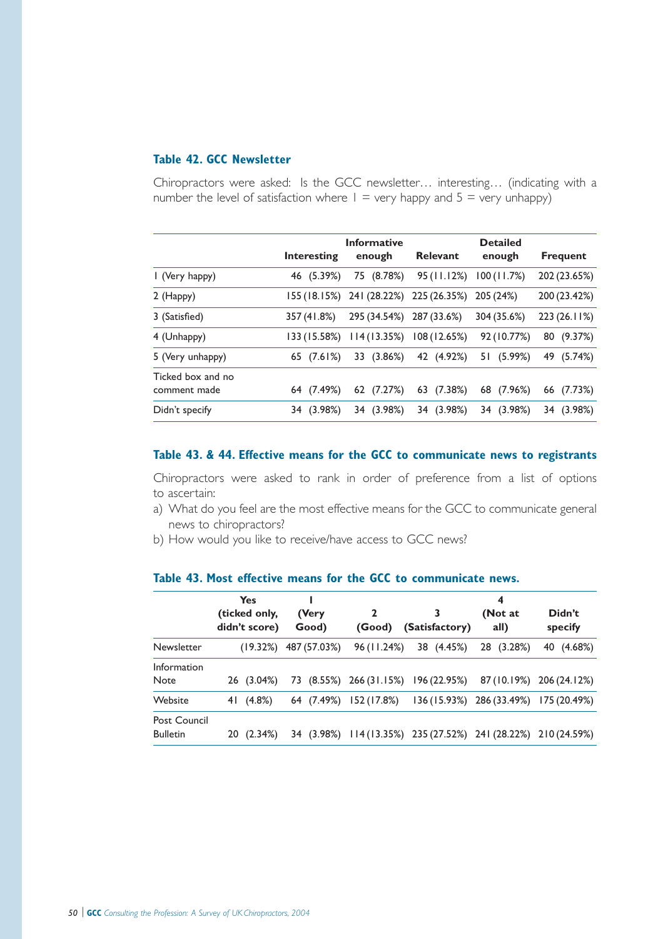#### **Table 42. GCC Newsletter**

Chiropractors were asked: Is the GCC newsletter… interesting… (indicating with a number the level of satisfaction where  $1 = \text{very happy}$  and  $5 = \text{very unhappy}$ )

|                                   |                    | <b>Informative</b> |                 | <b>Detailed</b>  |                 |
|-----------------------------------|--------------------|--------------------|-----------------|------------------|-----------------|
|                                   | <b>Interesting</b> | enough             | <b>Relevant</b> | enough           | <b>Frequent</b> |
| I (Very happy)                    | 46 (5.39%)         | 75 (8.78%)         | 95 (11.12%)     | 100(11.7%)       | 202 (23.65%)    |
| 2 (Happy)                         | 155 (18.15%)       | 241 (28.22%)       | 225 (26.35%)    | 205 (24%)        | 200 (23.42%)    |
| 3 (Satisfied)                     | 357 (41.8%)        | 295 (34.54%)       | 287 (33.6%)     | 304 (35.6%)      | 223 (26.11%)    |
| 4 (Unhappy)                       | 133 (15.58%)       | 114(13.35%)        | 108(12.65%)     | 92 (10.77%)      | 80 (9.37%)      |
| 5 (Very unhappy)                  | 65 (7.61%)         | 33 (3.86%)         | 42 (4.92%)      | 51 (5.99%)       | 49 (5.74%)      |
| Ticked box and no<br>comment made | 64 (7.49%)         | 62 (7.27%)         | 63 (7.38%)      | $(7.96\%)$<br>68 | 66 (7.73%)      |
| Didn't specify                    | (3.98%)<br>34      | 34 (3.98%)         | 34 (3.98%)      | (3.98%)<br>34    | (3.98%)<br>34   |

#### **Table 43. & 44. Effective means for the GCC to communicate news to registrants**

Chiropractors were asked to rank in order of preference from a list of options to ascertain:

- a) What do you feel are the most effective means for the GCC to communicate general news to chiropractors?
- b) How would you like to receive/have access to GCC news?

#### **Table 43. Most effective means for the GCC to communicate news.**

|                                 | <b>Yes</b><br>(ticked only,<br>didn't score) | (Very<br>Good) | 2<br>(Good)             | (Satisfactory)                          | 4<br>(Not at<br>all)      | Didn't<br>specify |  |  |
|---------------------------------|----------------------------------------------|----------------|-------------------------|-----------------------------------------|---------------------------|-------------------|--|--|
| <b>Newsletter</b>               | (19.32%)                                     | 487 (57.03%)   | 96 (11.24%)             | 38 (4.45%)                              | 28 (3.28%)                | 40 (4.68%)        |  |  |
| Information<br>Note             | 26 (3.04%)                                   |                | 73 (8.55%) 266 (31.15%) | 196 (22.95%)                            | 87 (10.19%)               | 206 (24.12%)      |  |  |
| Website                         | 41 (4.8%)                                    | 64 (7.49%)     | 152 (17.8%)             |                                         | 136 (15.93%) 286 (33.49%) | 175 (20.49%)      |  |  |
| Post Council<br><b>Bulletin</b> | 20 (2.34%)                                   | 34 (3.98%)     |                         | $114(13.35%)$ 235 (27.52%) 241 (28.22%) |                           | 210 (24.59%)      |  |  |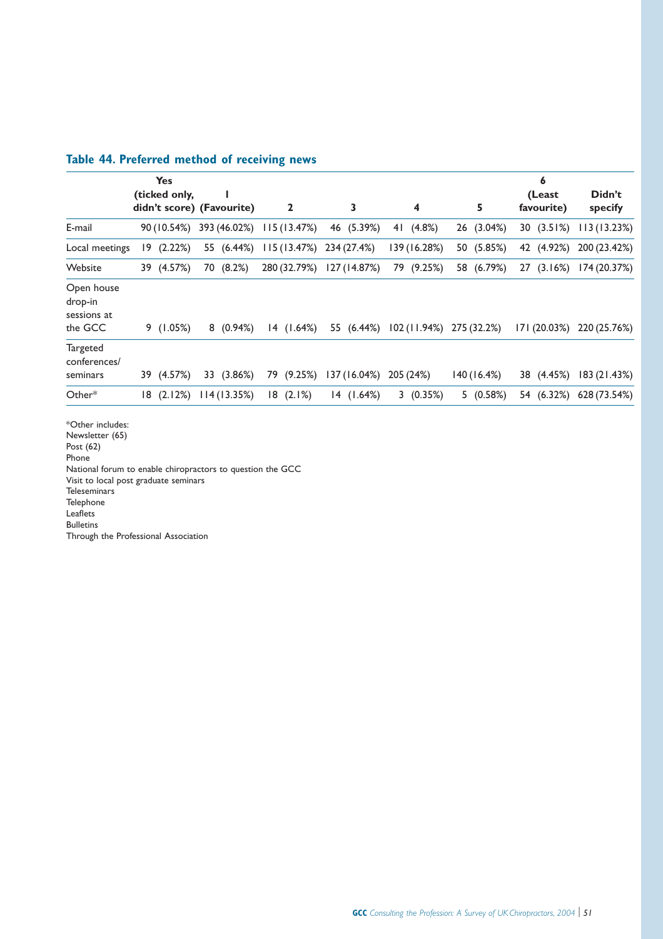## **Table 44. Preferred method of receiving news**

|                                                             |    | <b>Yes</b>                                 |    |              |    |              |    |                |    |                            |    |             |    | 6                    |                           |
|-------------------------------------------------------------|----|--------------------------------------------|----|--------------|----|--------------|----|----------------|----|----------------------------|----|-------------|----|----------------------|---------------------------|
|                                                             |    | (ticked only,<br>didn't score) (Favourite) |    |              |    | $\mathbf{2}$ |    | 3              |    | 4                          |    | 5           |    | (Least<br>favourite) | Didn't<br>specify         |
| E-mail                                                      |    | 90 (10.54%)                                |    | 393 (46.02%) |    | 115(13.47%)  | 46 | (5.39%)        | 41 | (4.8%)                     | 26 | (3.04%)     | 30 | (3.51%)              | 113(13.23%)               |
| Local meetings                                              |    | 19(2.22%)                                  |    | 55 (6.44%)   |    | 115(13.47%)  |    | 234 (27.4%)    |    | 139 (16.28%)               |    | 50 (5.85%)  | 42 | (4.92%)              | 200 (23.42%)              |
| Website                                                     |    | 39 (4.57%)                                 | 70 | (8.2%)       |    | 280 (32.79%) |    | 127 (14.87%)   | 79 | (9.25%)                    |    | 58 (6.79%)  | 27 | (3.16%)              | 174 (20.37%)              |
| Open house<br>drop-in<br>sessions at<br>the GCC             |    | 9(1.05%)                                   |    | 8(0.94%)     |    | 14(1.64%)    |    | 55 (6.44%)     |    | $102 (11.94%)$ 275 (32.2%) |    |             |    |                      | 171 (20.03%) 220 (25.76%) |
| Targeted<br>conferences/<br>seminars                        |    | 39 (4.57%)                                 |    | 33 (3.86%)   | 79 | (9.25%)      |    | 137 (16.04%)   |    | 205 (24%)                  |    | 140 (16.4%) |    | 38 (4.45%)           | 183 (21.43%)              |
| $Other*$                                                    | 18 | (2.12%)                                    |    | 114(13.35%)  | 18 | (2.1%)       |    | $14$ $(1.64%)$ |    | 3(0.35%)                   |    | 5(0.58%)    |    | 54 (6.32%)           | 628 (73.54%)              |
| *Other includes:<br>Newsletter (65)<br>Post $(62)$<br>Phone |    |                                            |    |              |    |              |    |                |    |                            |    |             |    |                      |                           |

National forum to enable chiropractors to question the GCC

Visit to local post graduate seminars

**Teleseminars** 

**Telephone** 

Leaflets

Bulletins

Through the Professional Association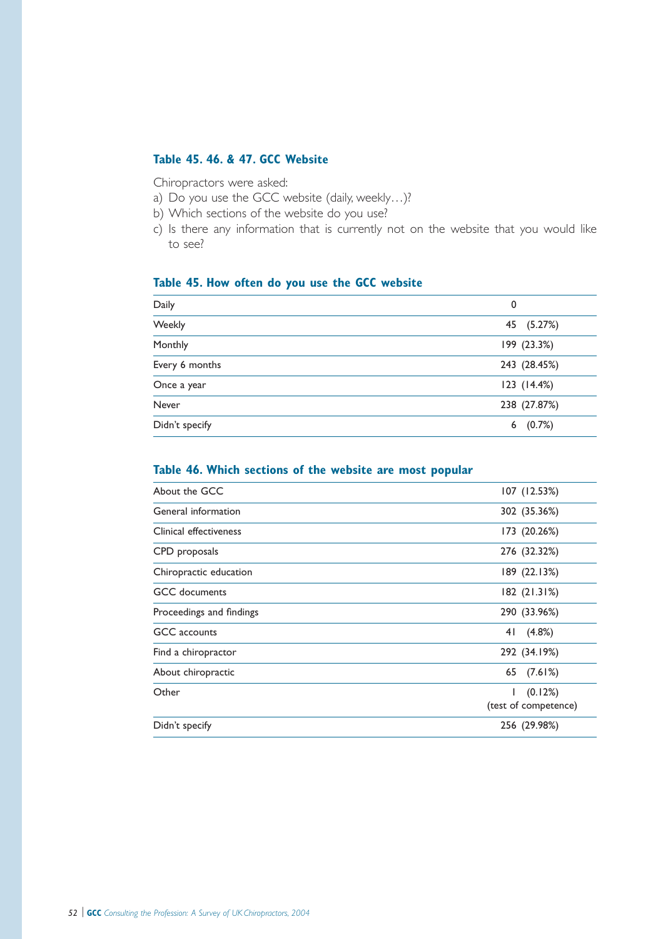#### **Table 45. 46. & 47. GCC Website**

Chiropractors were asked:

- a) Do you use the GCC website (daily, weekly…)?
- b) Which sections of the website do you use?
- c) Is there any information that is currently not on the website that you would like to see?

#### **Table 45. How often do you use the GCC website**

| Daily          | 0             |  |
|----------------|---------------|--|
| Weekly         | (5.27%)<br>45 |  |
| Monthly        | 199 (23.3%)   |  |
| Every 6 months | 243 (28.45%)  |  |
| Once a year    | 123 (14.4%)   |  |
| Never          | 238 (27.87%)  |  |
| Didn't specify | (0.7%)<br>6   |  |

#### **Table 46. Which sections of the website are most popular**

| About the GCC            | 107 (12.53%)                    |
|--------------------------|---------------------------------|
| General information      | 302 (35.36%)                    |
| Clinical effectiveness   | 173 (20.26%)                    |
| CPD proposals            | 276 (32.32%)                    |
| Chiropractic education   | 189 (22.13%)                    |
| <b>GCC</b> documents     | 182 (21.31%)                    |
| Proceedings and findings | 290 (33.96%)                    |
| GCC accounts             | (4.8%)<br>41                    |
| Find a chiropractor      | 292 (34.19%)                    |
| About chiropractic       | 65<br>(7.61%)                   |
| Other                    | (0.12%)<br>(test of competence) |
| Didn't specify           | 256 (29.98%)                    |
|                          |                                 |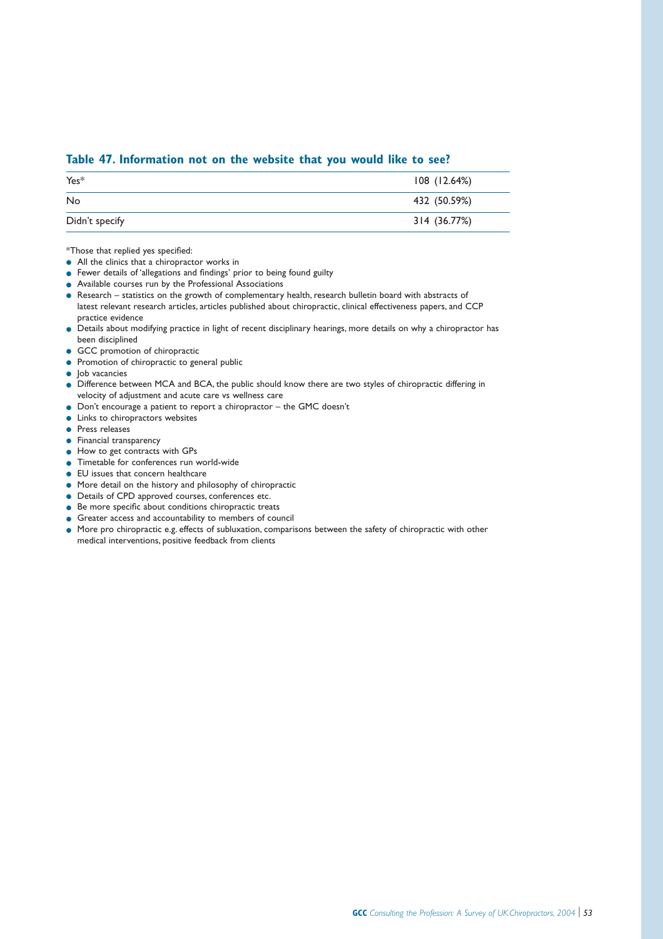#### **Table 47. Information not on the website that you would like to see?**

| $Yes*$         | $108$ (12.64%) |
|----------------|----------------|
| No             | 432 (50.59%)   |
| Didn't specify | 314 (36.77%)   |

\*Those that replied yes specified:

- All the clinics that a chiropractor works in
- Fewer details of 'allegations and findings' prior to being found guilty
- Available courses run by the Professional Associations
- Research statistics on the growth of complementary health, research bulletin board with abstracts of latest relevant research articles, articles published about chiropractic, clinical effectiveness papers, and CCP practice evidence
- Details about modifying practice in light of recent disciplinary hearings, more details on why a chiropractor has been disciplined
- GCC promotion of chiropractic
- Promotion of chiropractic to general public
- Job vacancies
- Difference between MCA and BCA, the public should know there are two styles of chiropractic differing in velocity of adjustment and acute care vs wellness care
- Don't encourage a patient to report a chiropractor the GMC doesn't
- Links to chiropractors websites
- Press releases
- Financial transparency
- How to get contracts with GPs
- Timetable for conferences run world-wide
- EU issues that concern healthcare
- More detail on the history and philosophy of chiropractic
- Details of CPD approved courses, conferences etc.
- Be more specific about conditions chiropractic treats
- Greater access and accountability to members of council
- More pro chiropractic e.g. effects of subluxation, comparisons between the safety of chiropractic with other medical interventions, positive feedback from clients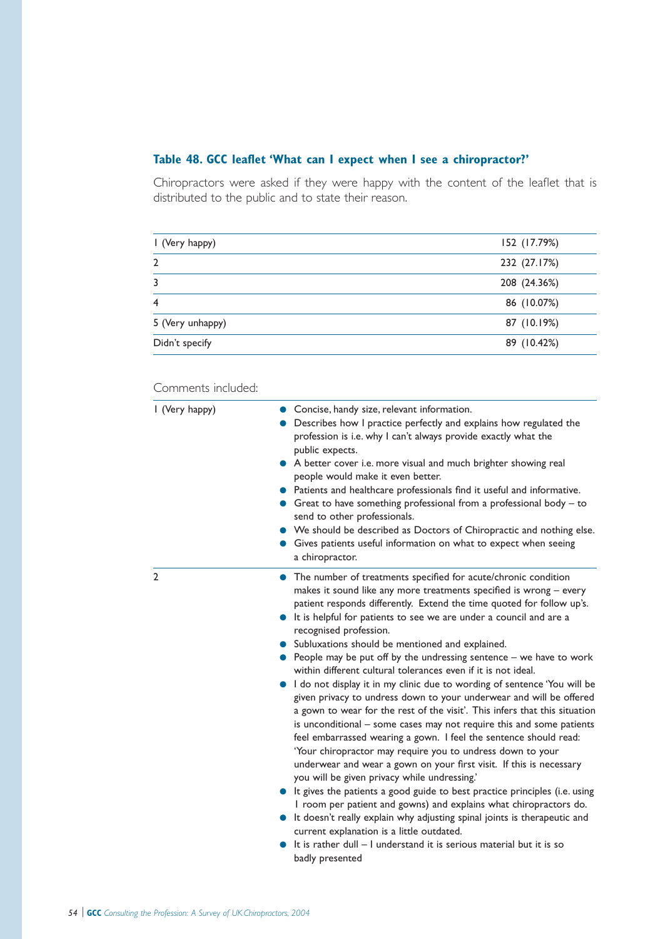## **Table 48. GCC leaflet 'What can I expect when I see a chiropractor?'**

Chiropractors were asked if they were happy with the content of the leaflet that is distributed to the public and to state their reason.

| I (Very happy)   | 152 (17.79%) |
|------------------|--------------|
| $\overline{2}$   | 232 (27.17%) |
| 3                | 208 (24.36%) |
| $\overline{4}$   | 86 (10.07%)  |
| 5 (Very unhappy) | 87 (10.19%)  |
| Didn't specify   | 89 (10.42%)  |

#### Comments included:

| I (Very happy) | • Concise, handy size, relevant information.<br>Describes how I practice perfectly and explains how regulated the<br>profession is i.e. why I can't always provide exactly what the<br>public expects.<br>A better cover i.e. more visual and much brighter showing real<br>people would make it even better.<br>• Patients and healthcare professionals find it useful and informative.<br>$\bullet$ Great to have something professional from a professional body – to<br>send to other professionals.<br>• We should be described as Doctors of Chiropractic and nothing else.<br>• Gives patients useful information on what to expect when seeing<br>a chiropractor.                                                                                                                                                                                                                                                                                                                                                                                                                                                                                                                                                                                                                                                                                                                                                                                           |
|----------------|---------------------------------------------------------------------------------------------------------------------------------------------------------------------------------------------------------------------------------------------------------------------------------------------------------------------------------------------------------------------------------------------------------------------------------------------------------------------------------------------------------------------------------------------------------------------------------------------------------------------------------------------------------------------------------------------------------------------------------------------------------------------------------------------------------------------------------------------------------------------------------------------------------------------------------------------------------------------------------------------------------------------------------------------------------------------------------------------------------------------------------------------------------------------------------------------------------------------------------------------------------------------------------------------------------------------------------------------------------------------------------------------------------------------------------------------------------------------|
| 2              | • The number of treatments specified for acute/chronic condition<br>makes it sound like any more treatments specified is wrong - every<br>patient responds differently. Extend the time quoted for follow up's.<br>• It is helpful for patients to see we are under a council and are a<br>recognised profession.<br>Subluxations should be mentioned and explained.<br>$\bullet$ People may be put off by the undressing sentence – we have to work<br>within different cultural tolerances even if it is not ideal.<br>I do not display it in my clinic due to wording of sentence 'You will be<br>given privacy to undress down to your underwear and will be offered<br>a gown to wear for the rest of the visit'. This infers that this situation<br>is unconditional - some cases may not require this and some patients<br>feel embarrassed wearing a gown. I feel the sentence should read:<br>'Your chiropractor may require you to undress down to your<br>underwear and wear a gown on your first visit. If this is necessary<br>you will be given privacy while undressing.'<br>• It gives the patients a good guide to best practice principles (i.e. using<br>I room per patient and gowns) and explains what chiropractors do.<br>• It doesn't really explain why adjusting spinal joints is therapeutic and<br>current explanation is a little outdated.<br>It is rather dull - I understand it is serious material but it is so<br>badly presented |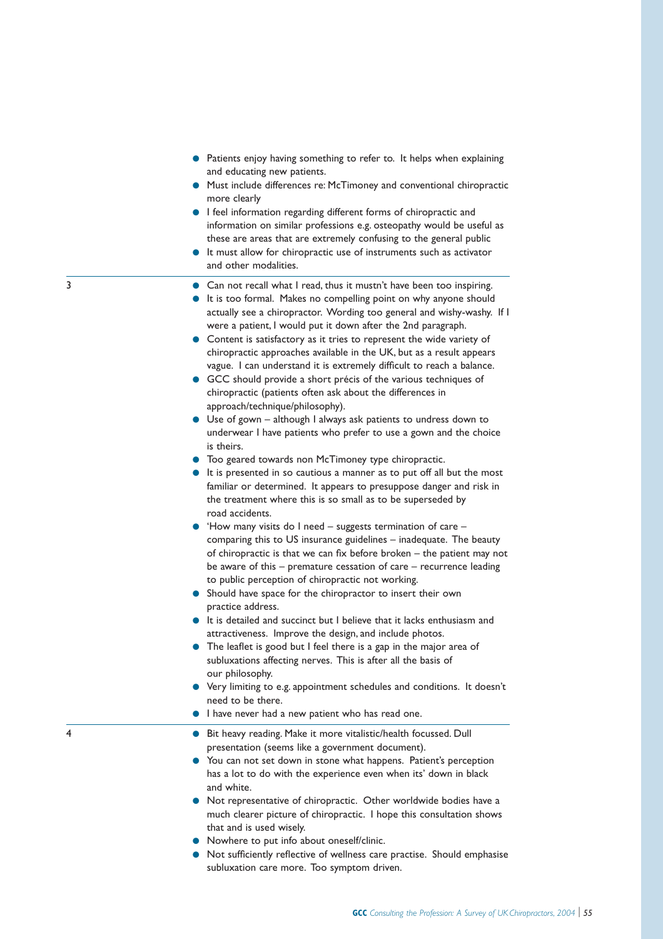- Patients enjoy having something to refer to. It helps when explaining and educating new patients.
- Must include differences re: McTimoney and conventional chiropractic more clearly
- I feel information regarding different forms of chiropractic and information on similar professions e.g. osteopathy would be useful as these are areas that are extremely confusing to the general public
- It must allow for chiropractic use of instruments such as activator and other modalities.
- 3 **Can not recall what I read, thus it mustn't have been too inspiring.** 
	- It is too formal. Makes no compelling point on why anyone should actually see a chiropractor. Wording too general and wishy-washy. If I were a patient, I would put it down after the 2nd paragraph.
	- Content is satisfactory as it tries to represent the wide variety of chiropractic approaches available in the UK, but as a result appears vague. I can understand it is extremely difficult to reach a balance.
	- GCC should provide a short précis of the various techniques of chiropractic (patients often ask about the differences in approach/technique/philosophy).
	- Use of gown although I always ask patients to undress down to underwear I have patients who prefer to use a gown and the choice is theirs.
	- Too geared towards non McTimoney type chiropractic.
	- It is presented in so cautious a manner as to put off all but the most familiar or determined. It appears to presuppose danger and risk in the treatment where this is so small as to be superseded by road accidents.
	- 'How many visits do I need suggests termination of care comparing this to US insurance guidelines – inadequate. The beauty of chiropractic is that we can fix before broken – the patient may not be aware of this – premature cessation of care – recurrence leading to public perception of chiropractic not working.
	- Should have space for the chiropractor to insert their own practice address.
	- It is detailed and succinct but I believe that it lacks enthusiasm and attractiveness. Improve the design, and include photos.
	- The leaflet is good but I feel there is a gap in the major area of subluxations affecting nerves. This is after all the basis of our philosophy.
	- Very limiting to e.g. appointment schedules and conditions. It doesn't need to be there.
	- I have never had a new patient who has read one.
- 4 **8 Bit heavy reading. Make it more vitalistic/health focussed. Dull** presentation (seems like a government document).
	- You can not set down in stone what happens. Patient's perception has a lot to do with the experience even when its' down in black and white.
	- Not representative of chiropractic. Other worldwide bodies have a much clearer picture of chiropractic. I hope this consultation shows that and is used wisely.
	- Nowhere to put info about oneself/clinic.
	- Not sufficiently reflective of wellness care practise. Should emphasise subluxation care more. Too symptom driven.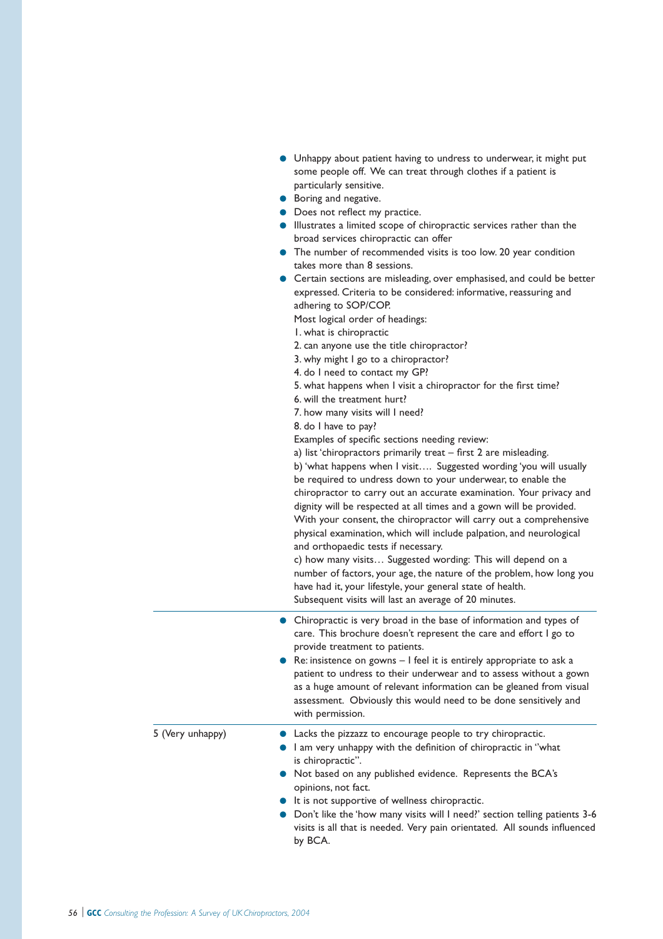| • Unhappy about patient having to undress to underwear, it might put |  |
|----------------------------------------------------------------------|--|
| some people off. We can treat through clothes if a patient is        |  |
| particularly sensitive.                                              |  |

- Boring and negative.
- Does not reflect my practice.
- Illustrates a limited scope of chiropractic services rather than the broad services chiropractic can offer
- The number of recommended visits is too low. 20 year condition takes more than 8 sessions.
- Certain sections are misleading, over emphasised, and could be better expressed. Criteria to be considered: informative, reassuring and adhering to SOP/COP.

Most logical order of headings:

- 1. what is chiropractic
- 2. can anyone use the title chiropractor?
- 3. why might I go to a chiropractor?
- 4. do I need to contact my GP?
- 5. what happens when I visit a chiropractor for the first time?
- 6. will the treatment hurt?
- 7. how many visits will I need?
- 8. do I have to pay?

Examples of specific sections needing review:

a) list 'chiropractors primarily treat – first 2 are misleading.

b) 'what happens when I visit…. Suggested wording 'you will usually be required to undress down to your underwear, to enable the chiropractor to carry out an accurate examination. Your privacy and dignity will be respected at all times and a gown will be provided. With your consent, the chiropractor will carry out a comprehensive physical examination, which will include palpation, and neurological and orthopaedic tests if necessary.

c) how many visits… Suggested wording: This will depend on a number of factors, your age, the nature of the problem, how long you have had it, your lifestyle, your general state of health. Subsequent visits will last an average of 20 minutes.

- Chiropractic is very broad in the base of information and types of care. This brochure doesn't represent the care and effort I go to provide treatment to patients.
- Re: insistence on gowns  $-1$  feel it is entirely appropriate to ask a patient to undress to their underwear and to assess without a gown as a huge amount of relevant information can be gleaned from visual assessment. Obviously this would need to be done sensitively and with permission.

| 5 (Very unhappy) | • Lacks the pizzazz to encourage people to try chiropractic.                 |
|------------------|------------------------------------------------------------------------------|
|                  | • I am very unhappy with the definition of chiropractic in "what"            |
|                  | is chiropractic".                                                            |
|                  | • Not based on any published evidence. Represents the BCA's                  |
|                  | opinions, not fact.                                                          |
|                  | $\bullet$ It is not supportive of wellness chiropractic.                     |
|                  | • Don't like the 'how many visits will I need?' section telling patients 3-6 |
|                  |                                                                              |

visits is all that is needed. Very pain orientated. All sounds influenced by BCA.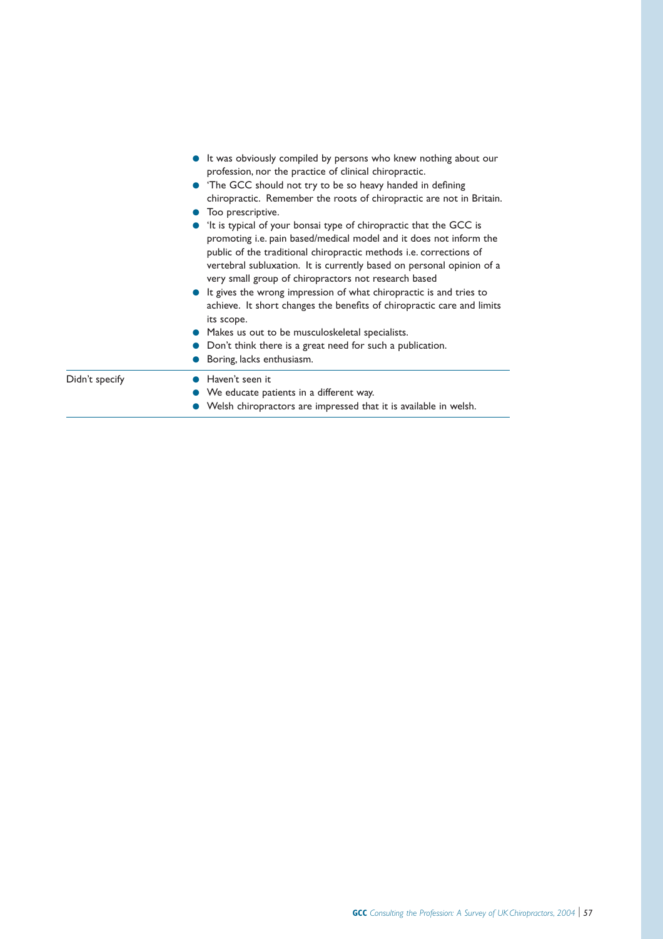|                | It was obviously compiled by persons who knew nothing about our<br>profession, nor the practice of clinical chiropractic.<br>• 'The GCC should not try to be so heavy handed in defining<br>chiropractic. Remember the roots of chiropractic are not in Britain.<br>• Too prescriptive.<br>$\bullet$ 'It is typical of your bonsai type of chiropractic that the GCC is<br>promoting i.e. pain based/medical model and it does not inform the<br>public of the traditional chiropractic methods i.e. corrections of<br>vertebral subluxation. It is currently based on personal opinion of a<br>very small group of chiropractors not research based<br>• It gives the wrong impression of what chiropractic is and tries to<br>achieve. It short changes the benefits of chiropractic care and limits<br>its scope.<br>• Makes us out to be musculoskeletal specialists.<br>• Don't think there is a great need for such a publication.<br><b>Boring, lacks enthusiasm.</b> |
|----------------|------------------------------------------------------------------------------------------------------------------------------------------------------------------------------------------------------------------------------------------------------------------------------------------------------------------------------------------------------------------------------------------------------------------------------------------------------------------------------------------------------------------------------------------------------------------------------------------------------------------------------------------------------------------------------------------------------------------------------------------------------------------------------------------------------------------------------------------------------------------------------------------------------------------------------------------------------------------------------|
| Didn't specify | • Haven't seen it<br>• We educate patients in a different way.<br>• Welsh chiropractors are impressed that it is available in welsh.                                                                                                                                                                                                                                                                                                                                                                                                                                                                                                                                                                                                                                                                                                                                                                                                                                         |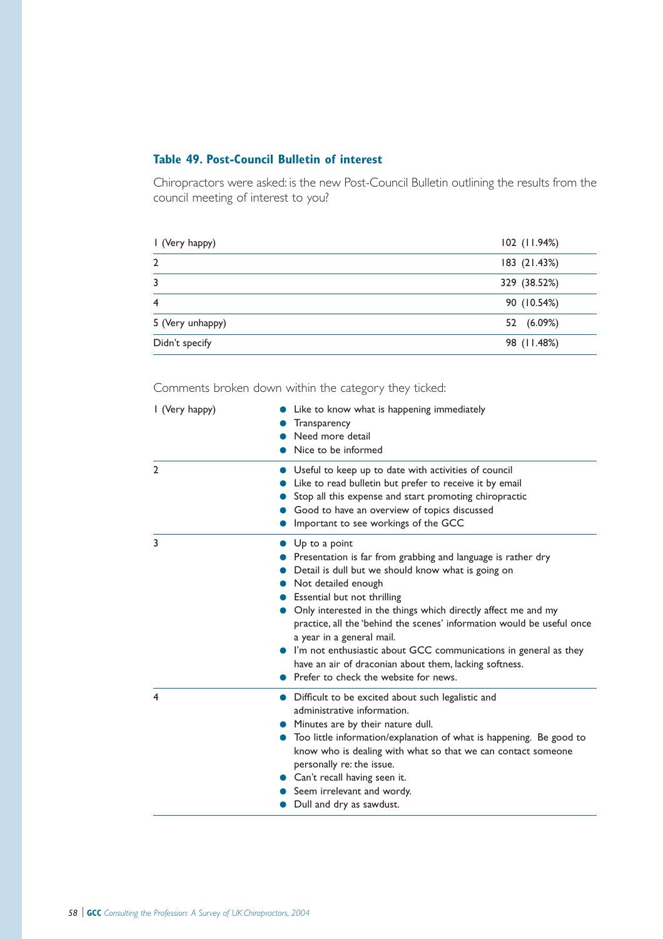#### **Table 49. Post-Council Bulletin of interest**

Chiropractors were asked: is the new Post-Council Bulletin outlining the results from the council meeting of interest to you?

| I (Very happy)   | 102 (11.94%) |
|------------------|--------------|
| $\overline{2}$   | 183 (21.43%) |
| 3                | 329 (38.52%) |
| $\overline{4}$   | 90 (10.54%)  |
| 5 (Very unhappy) | 52 (6.09%)   |
| Didn't specify   | 98 (11.48%)  |

Comments broken down within the category they ticked:

| I (Very happy) | • Like to know what is happening immediately<br>Transparency<br>Need more detail<br>Nice to be informed                                                                                                                                                                                                                                                                                                                                                                                                                                                          |
|----------------|------------------------------------------------------------------------------------------------------------------------------------------------------------------------------------------------------------------------------------------------------------------------------------------------------------------------------------------------------------------------------------------------------------------------------------------------------------------------------------------------------------------------------------------------------------------|
| $\mathbf{2}$   | • Useful to keep up to date with activities of council<br>• Like to read bulletin but prefer to receive it by email<br>• Stop all this expense and start promoting chiropractic<br>Good to have an overview of topics discussed<br>Important to see workings of the GCC                                                                                                                                                                                                                                                                                          |
| 3              | $\bullet$ Up to a point<br>• Presentation is far from grabbing and language is rather dry<br>• Detail is dull but we should know what is going on<br>• Not detailed enough<br>• Essential but not thrilling<br>• Only interested in the things which directly affect me and my<br>practice, all the 'behind the scenes' information would be useful once<br>a year in a general mail.<br>• I'm not enthusiastic about GCC communications in general as they<br>have an air of draconian about them, lacking softness.<br>• Prefer to check the website for news. |
| 4              | • Difficult to be excited about such legalistic and<br>administrative information.<br>• Minutes are by their nature dull.<br>Too little information/explanation of what is happening. Be good to<br>$\bullet$<br>know who is dealing with what so that we can contact someone<br>personally re: the issue.<br>• Can't recall having seen it.<br>• Seem irrelevant and wordy.<br>• Dull and dry as sawdust.                                                                                                                                                       |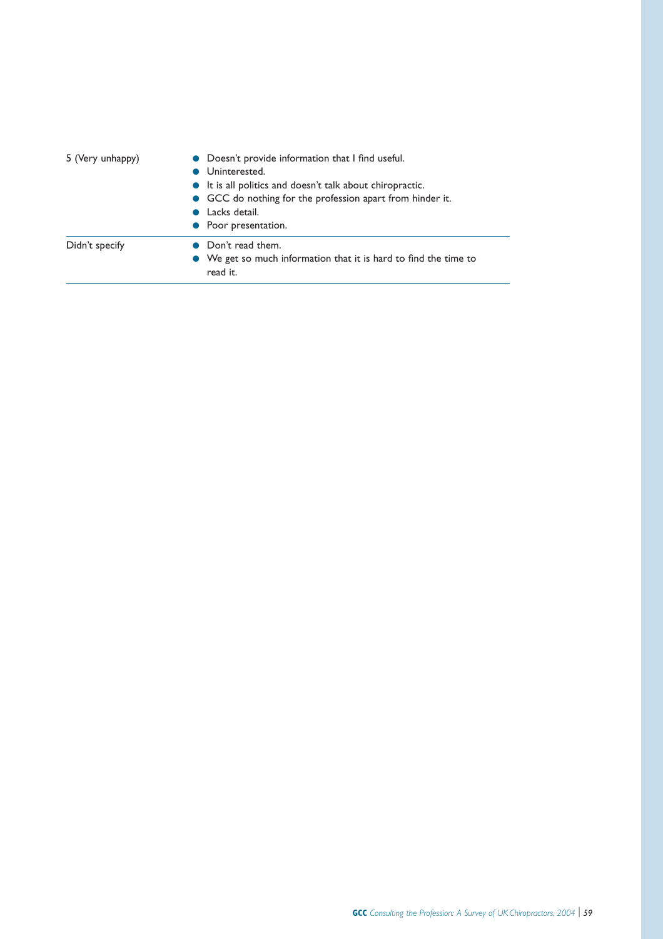| 5 (Very unhappy) | • Doesn't provide information that I find useful.<br>• Uninterested.<br>• It is all politics and doesn't talk about chiropractic.<br>• GCC do nothing for the profession apart from hinder it.<br>• Lacks detail.<br>• Poor presentation. |
|------------------|-------------------------------------------------------------------------------------------------------------------------------------------------------------------------------------------------------------------------------------------|
| Didn't specify   | • Don't read them.<br>• We get so much information that it is hard to find the time to<br>read it.                                                                                                                                        |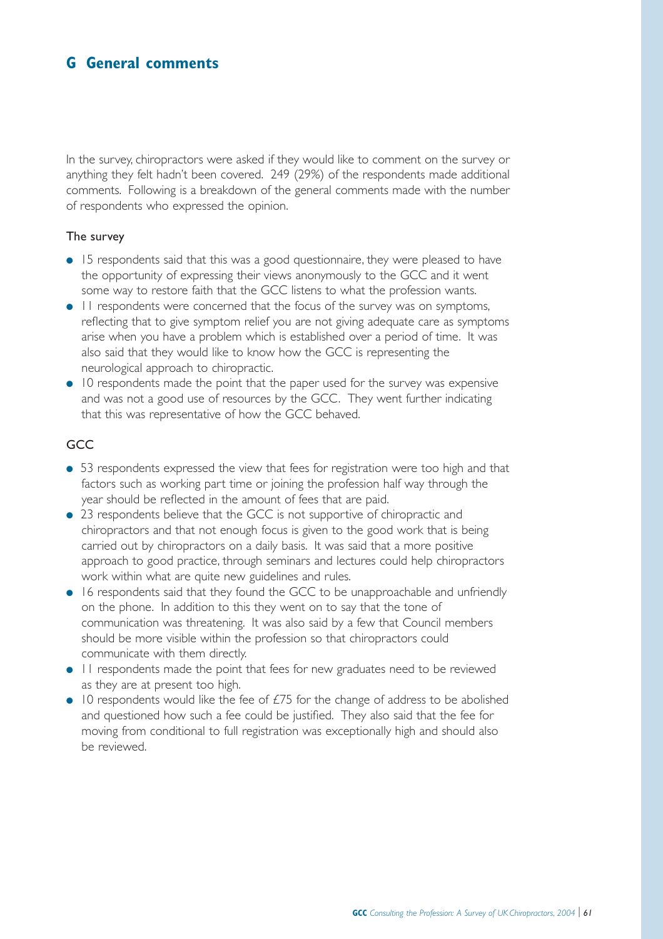# **G General comments**

In the survey, chiropractors were asked if they would like to comment on the survey or anything they felt hadn't been covered. 249 (29%) of the respondents made additional comments. Following is a breakdown of the general comments made with the number of respondents who expressed the opinion.

#### The survey

- 15 respondents said that this was a good questionnaire, they were pleased to have the opportunity of expressing their views anonymously to the GCC and it went some way to restore faith that the GCC listens to what the profession wants.
- 11 respondents were concerned that the focus of the survey was on symptoms, reflecting that to give symptom relief you are not giving adequate care as symptoms arise when you have a problem which is established over a period of time. It was also said that they would like to know how the GCC is representing the neurological approach to chiropractic.
- 10 respondents made the point that the paper used for the survey was expensive and was not a good use of resources by the GCC. They went further indicating that this was representative of how the GCC behaved.

#### **GCC**

- 53 respondents expressed the view that fees for registration were too high and that factors such as working part time or joining the profession half way through the year should be reflected in the amount of fees that are paid.
- 23 respondents believe that the GCC is not supportive of chiropractic and chiropractors and that not enough focus is given to the good work that is being carried out by chiropractors on a daily basis. It was said that a more positive approach to good practice, through seminars and lectures could help chiropractors work within what are quite new guidelines and rules.
- 16 respondents said that they found the GCC to be unapproachable and unfriendly on the phone. In addition to this they went on to say that the tone of communication was threatening. It was also said by a few that Council members should be more visible within the profession so that chiropractors could communicate with them directly.
- 11 respondents made the point that fees for new graduates need to be reviewed as they are at present too high.
- $\bullet$  10 respondents would like the fee of £75 for the change of address to be abolished and questioned how such a fee could be justified. They also said that the fee for moving from conditional to full registration was exceptionally high and should also be reviewed.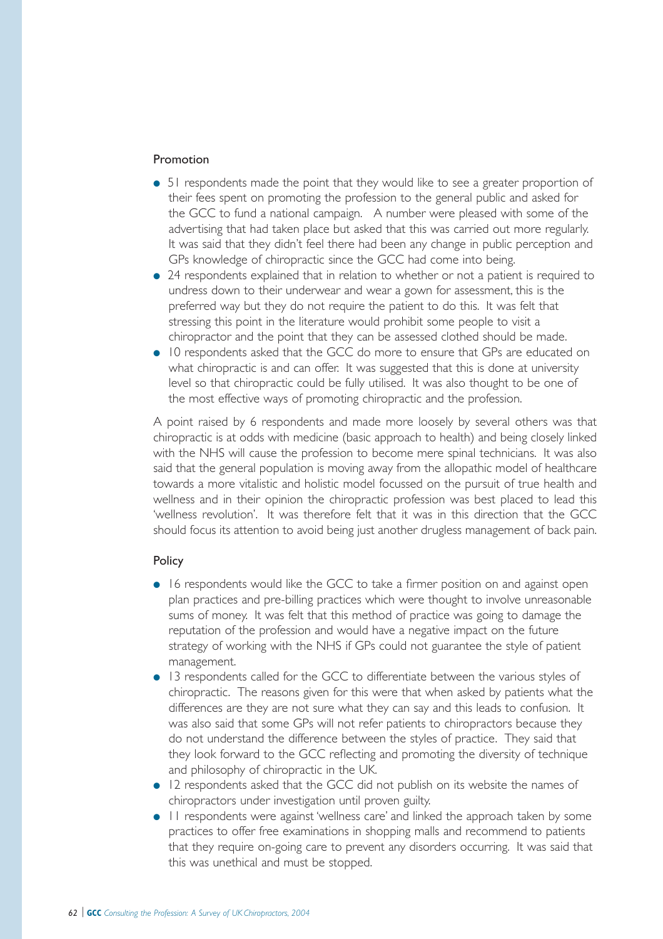#### Promotion

- 51 respondents made the point that they would like to see a greater proportion of their fees spent on promoting the profession to the general public and asked for the GCC to fund a national campaign. A number were pleased with some of the advertising that had taken place but asked that this was carried out more regularly. It was said that they didn't feel there had been any change in public perception and GPs knowledge of chiropractic since the GCC had come into being.
- 24 respondents explained that in relation to whether or not a patient is required to undress down to their underwear and wear a gown for assessment, this is the preferred way but they do not require the patient to do this. It was felt that stressing this point in the literature would prohibit some people to visit a chiropractor and the point that they can be assessed clothed should be made.
- 10 respondents asked that the GCC do more to ensure that GPs are educated on what chiropractic is and can offer. It was suggested that this is done at university level so that chiropractic could be fully utilised. It was also thought to be one of the most effective ways of promoting chiropractic and the profession.

A point raised by 6 respondents and made more loosely by several others was that chiropractic is at odds with medicine (basic approach to health) and being closely linked with the NHS will cause the profession to become mere spinal technicians. It was also said that the general population is moving away from the allopathic model of healthcare towards a more vitalistic and holistic model focussed on the pursuit of true health and wellness and in their opinion the chiropractic profession was best placed to lead this 'wellness revolution'. It was therefore felt that it was in this direction that the GCC should focus its attention to avoid being just another drugless management of back pain.

#### Policy

- 16 respondents would like the GCC to take a firmer position on and against open plan practices and pre-billing practices which were thought to involve unreasonable sums of money. It was felt that this method of practice was going to damage the reputation of the profession and would have a negative impact on the future strategy of working with the NHS if GPs could not guarantee the style of patient management.
- 13 respondents called for the GCC to differentiate between the various styles of chiropractic. The reasons given for this were that when asked by patients what the differences are they are not sure what they can say and this leads to confusion. It was also said that some GPs will not refer patients to chiropractors because they do not understand the difference between the styles of practice. They said that they look forward to the GCC reflecting and promoting the diversity of technique and philosophy of chiropractic in the UK.
- 12 respondents asked that the GCC did not publish on its website the names of chiropractors under investigation until proven guilty.
- 11 respondents were against 'wellness care' and linked the approach taken by some practices to offer free examinations in shopping malls and recommend to patients that they require on-going care to prevent any disorders occurring. It was said that this was unethical and must be stopped.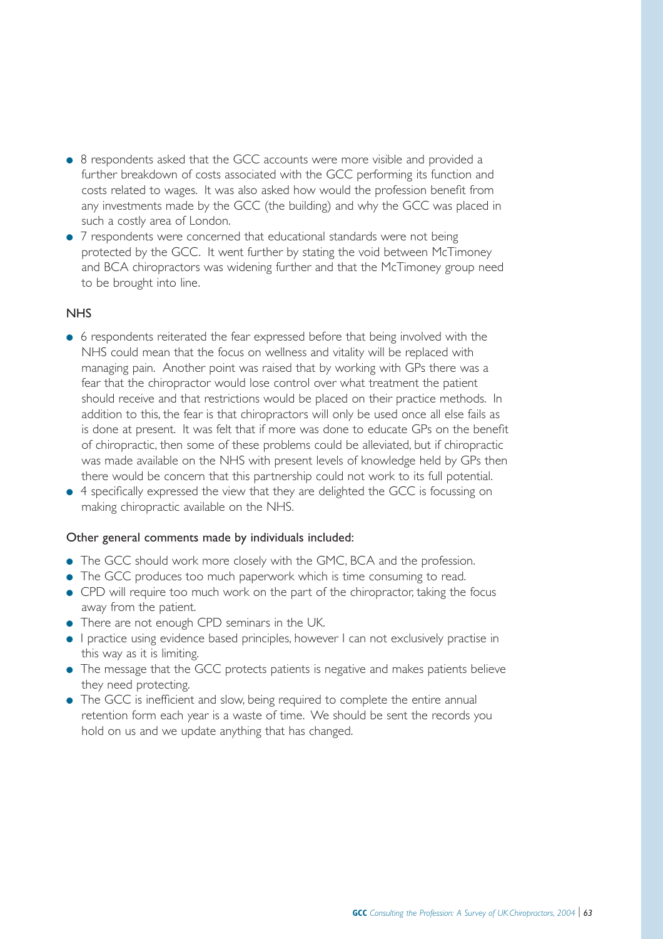- 8 respondents asked that the GCC accounts were more visible and provided a further breakdown of costs associated with the GCC performing its function and costs related to wages. It was also asked how would the profession benefit from any investments made by the GCC (the building) and why the GCC was placed in such a costly area of London.
- 7 respondents were concerned that educational standards were not being protected by the GCC. It went further by stating the void between McTimoney and BCA chiropractors was widening further and that the McTimoney group need to be brought into line.

#### **NHS**

- 6 respondents reiterated the fear expressed before that being involved with the NHS could mean that the focus on wellness and vitality will be replaced with managing pain. Another point was raised that by working with GPs there was a fear that the chiropractor would lose control over what treatment the patient should receive and that restrictions would be placed on their practice methods. In addition to this, the fear is that chiropractors will only be used once all else fails as is done at present. It was felt that if more was done to educate GPs on the benefit of chiropractic, then some of these problems could be alleviated, but if chiropractic was made available on the NHS with present levels of knowledge held by GPs then there would be concern that this partnership could not work to its full potential.
- 4 specifically expressed the view that they are delighted the GCC is focussing on making chiropractic available on the NHS.

#### Other general comments made by individuals included:

- The GCC should work more closely with the GMC, BCA and the profession.
- The GCC produces too much paperwork which is time consuming to read.
- CPD will require too much work on the part of the chiropractor, taking the focus away from the patient.
- There are not enough CPD seminars in the UK.
- I practice using evidence based principles, however I can not exclusively practise in this way as it is limiting.
- The message that the GCC protects patients is negative and makes patients believe they need protecting.
- The GCC is inefficient and slow, being required to complete the entire annual retention form each year is a waste of time. We should be sent the records you hold on us and we update anything that has changed.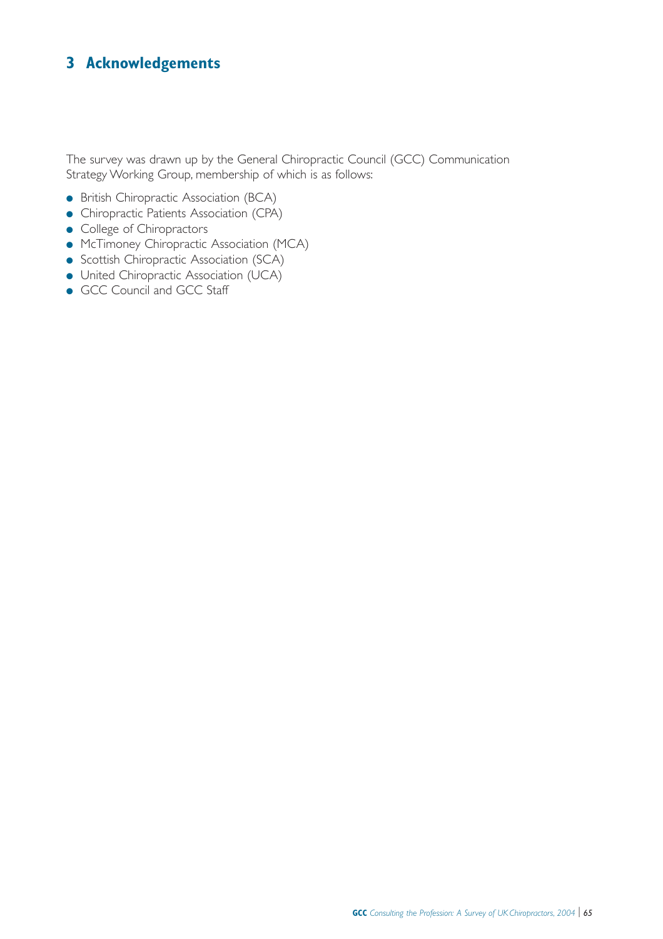# **3 Acknowledgements**

The survey was drawn up by the General Chiropractic Council (GCC) Communication Strategy Working Group, membership of which is as follows:

- British Chiropractic Association (BCA)
- Chiropractic Patients Association (CPA)
- College of Chiropractors
- McTimoney Chiropractic Association (MCA)
- Scottish Chiropractic Association (SCA)
- United Chiropractic Association (UCA)
- GCC Council and GCC Staff